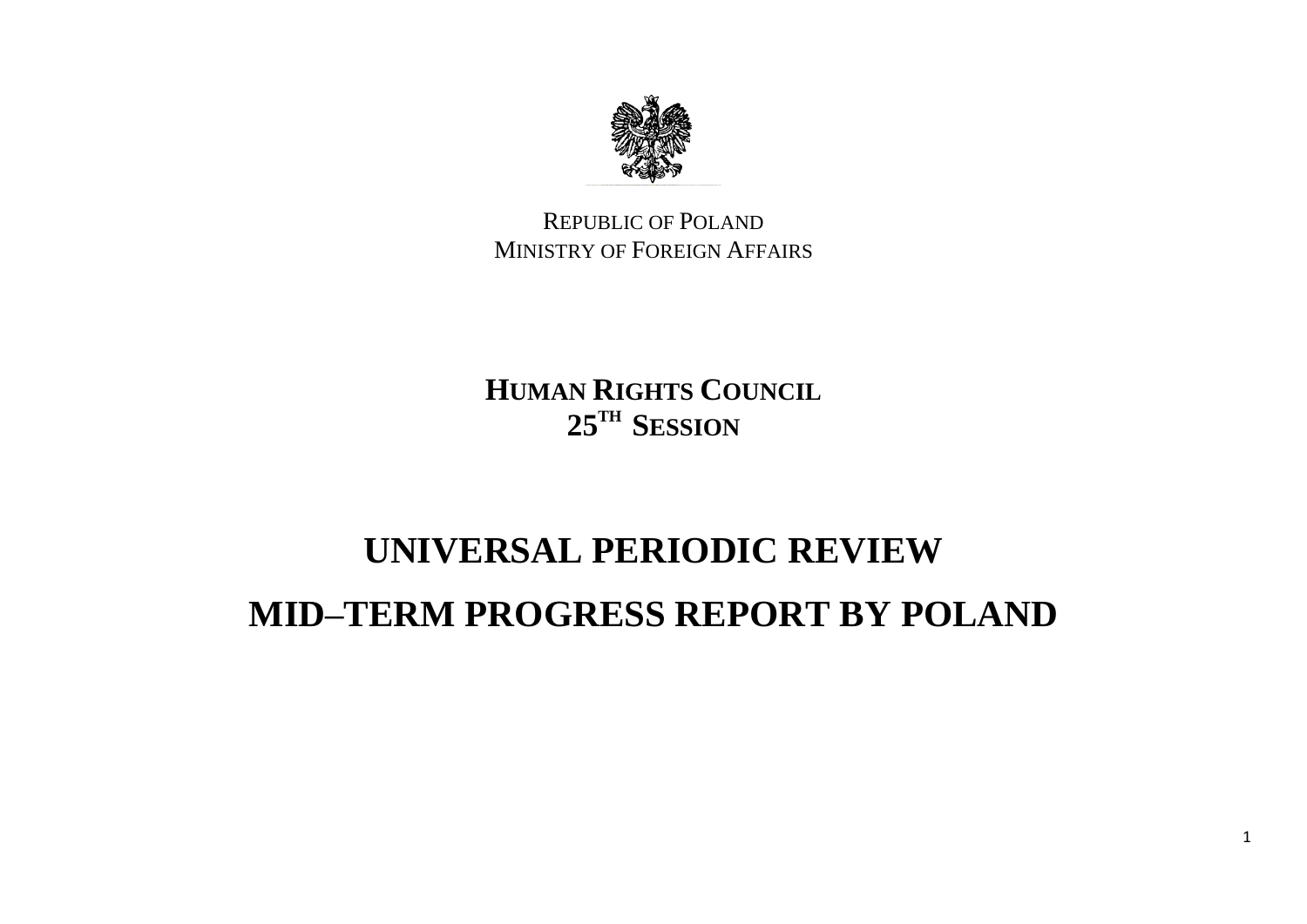

REPUBLIC OF POLAND MINISTRY OF FOREIGN AFFAIRS

**HUMAN RIGHTS COUNCIL 25TH SESSION**

## **UNIVERSAL PERIODIC REVIEW MID–TERM PROGRESS REPORT BY POLAND**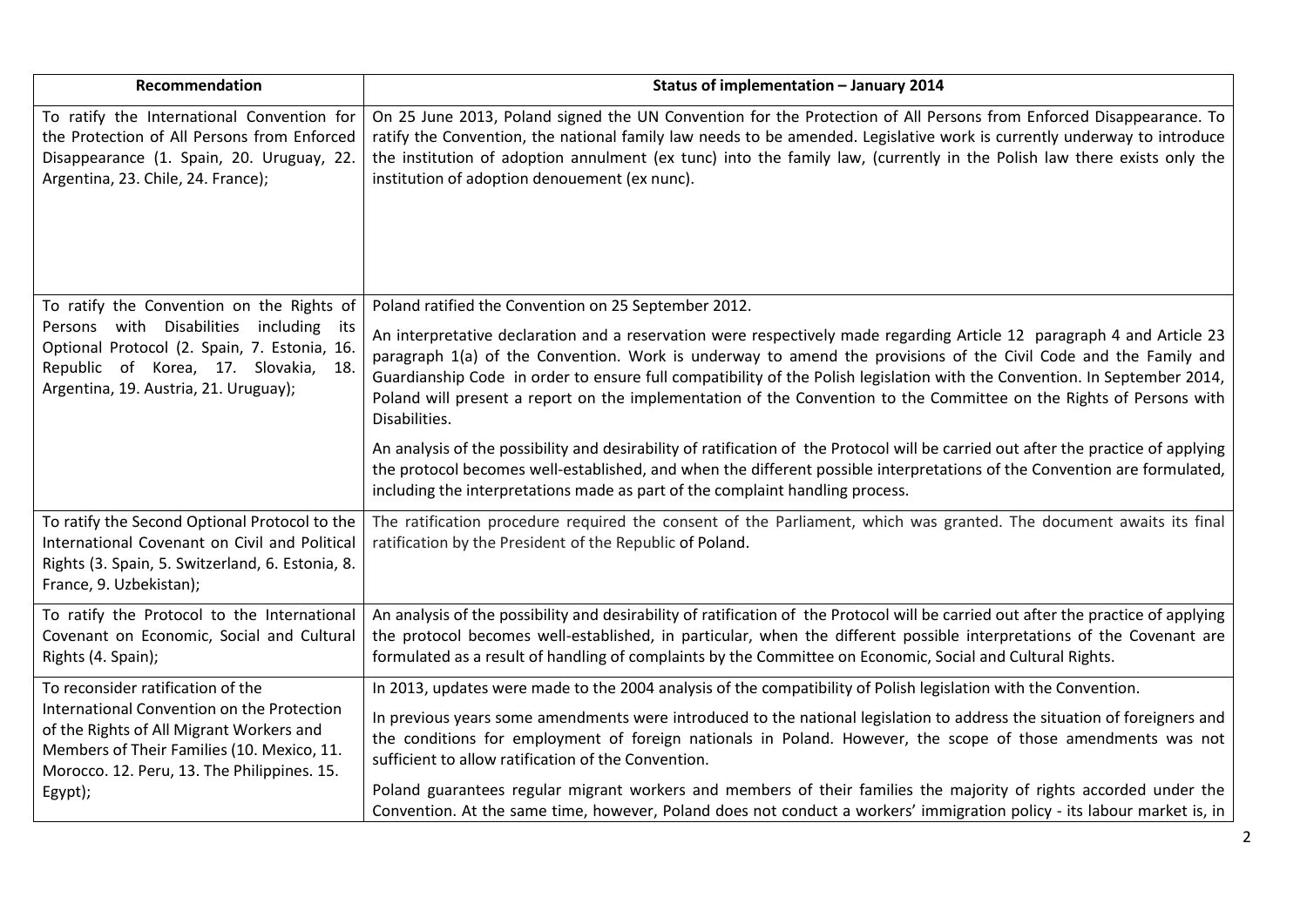| Recommendation                                                                                                                                                                                                                      | Status of implementation - January 2014                                                                                                                                                                                                                                                                                                                                                                                                                                                                                                 |
|-------------------------------------------------------------------------------------------------------------------------------------------------------------------------------------------------------------------------------------|-----------------------------------------------------------------------------------------------------------------------------------------------------------------------------------------------------------------------------------------------------------------------------------------------------------------------------------------------------------------------------------------------------------------------------------------------------------------------------------------------------------------------------------------|
| To ratify the International Convention for<br>the Protection of All Persons from Enforced<br>Disappearance (1. Spain, 20. Uruguay, 22.<br>Argentina, 23. Chile, 24. France);                                                        | On 25 June 2013, Poland signed the UN Convention for the Protection of All Persons from Enforced Disappearance. To<br>ratify the Convention, the national family law needs to be amended. Legislative work is currently underway to introduce<br>the institution of adoption annulment (ex tunc) into the family law, (currently in the Polish law there exists only the<br>institution of adoption denouement (ex nunc).                                                                                                               |
| To ratify the Convention on the Rights of                                                                                                                                                                                           | Poland ratified the Convention on 25 September 2012.                                                                                                                                                                                                                                                                                                                                                                                                                                                                                    |
| Persons with Disabilities including<br>its<br>Optional Protocol (2. Spain, 7. Estonia, 16.<br>Republic of Korea, 17. Slovakia, 18.<br>Argentina, 19. Austria, 21. Uruguay);                                                         | An interpretative declaration and a reservation were respectively made regarding Article 12 paragraph 4 and Article 23<br>paragraph 1(a) of the Convention. Work is underway to amend the provisions of the Civil Code and the Family and<br>Guardianship Code in order to ensure full compatibility of the Polish legislation with the Convention. In September 2014,<br>Poland will present a report on the implementation of the Convention to the Committee on the Rights of Persons with<br>Disabilities.                          |
|                                                                                                                                                                                                                                     | An analysis of the possibility and desirability of ratification of the Protocol will be carried out after the practice of applying<br>the protocol becomes well-established, and when the different possible interpretations of the Convention are formulated,<br>including the interpretations made as part of the complaint handling process.                                                                                                                                                                                         |
| To ratify the Second Optional Protocol to the<br>International Covenant on Civil and Political<br>Rights (3. Spain, 5. Switzerland, 6. Estonia, 8.<br>France, 9. Uzbekistan);                                                       | The ratification procedure required the consent of the Parliament, which was granted. The document awaits its final<br>ratification by the President of the Republic of Poland.                                                                                                                                                                                                                                                                                                                                                         |
| To ratify the Protocol to the International<br>Covenant on Economic, Social and Cultural<br>Rights (4. Spain);                                                                                                                      | An analysis of the possibility and desirability of ratification of the Protocol will be carried out after the practice of applying<br>the protocol becomes well-established, in particular, when the different possible interpretations of the Covenant are<br>formulated as a result of handling of complaints by the Committee on Economic, Social and Cultural Rights.                                                                                                                                                               |
| To reconsider ratification of the<br>International Convention on the Protection<br>of the Rights of All Migrant Workers and<br>Members of Their Families (10. Mexico, 11.<br>Morocco. 12. Peru, 13. The Philippines. 15.<br>Egypt); | In 2013, updates were made to the 2004 analysis of the compatibility of Polish legislation with the Convention.<br>In previous years some amendments were introduced to the national legislation to address the situation of foreigners and<br>the conditions for employment of foreign nationals in Poland. However, the scope of those amendments was not<br>sufficient to allow ratification of the Convention.<br>Poland guarantees regular migrant workers and members of their families the majority of rights accorded under the |
|                                                                                                                                                                                                                                     | Convention. At the same time, however, Poland does not conduct a workers' immigration policy - its labour market is, in                                                                                                                                                                                                                                                                                                                                                                                                                 |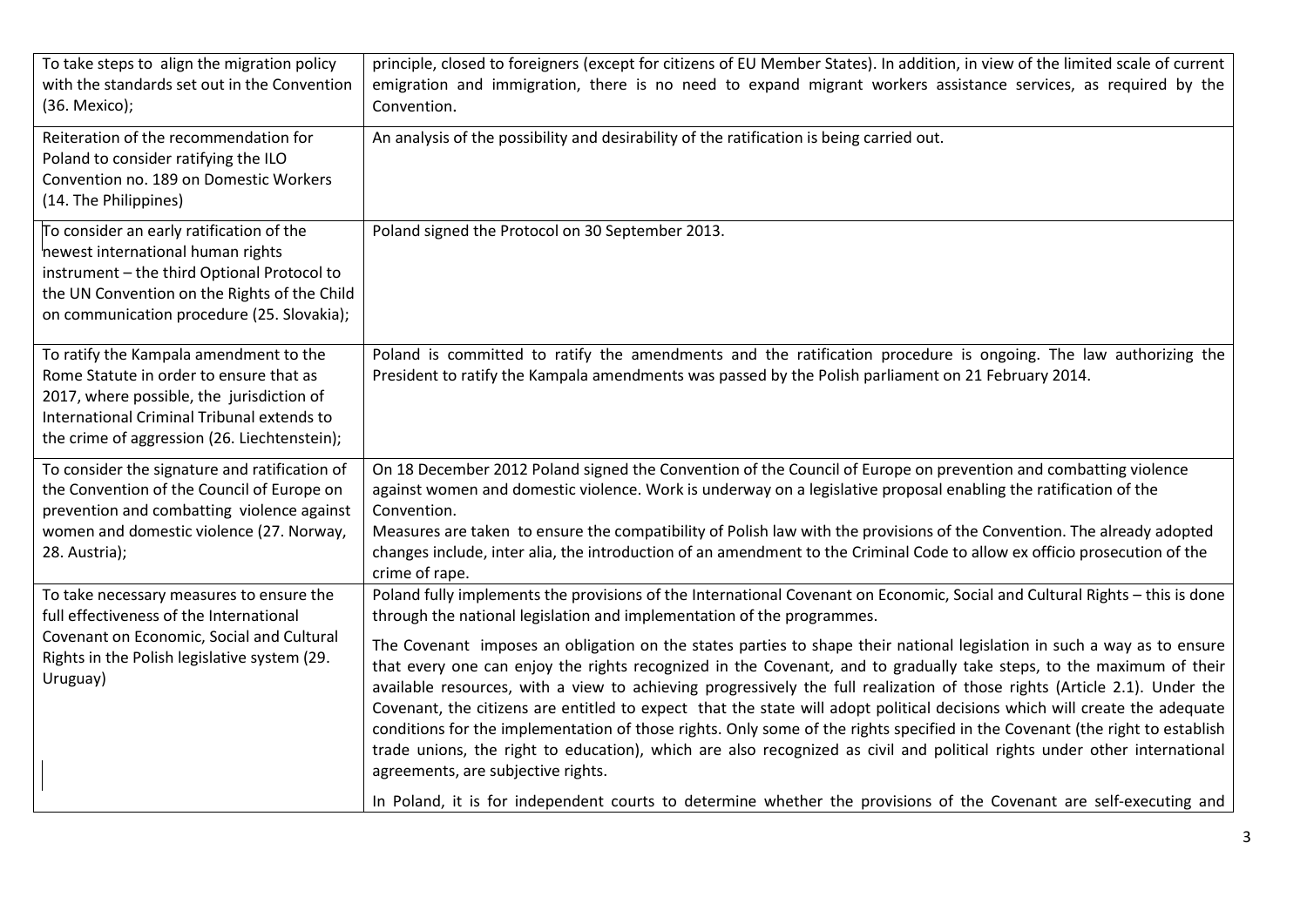| To take steps to align the migration policy<br>with the standards set out in the Convention<br>(36. Mexico);                                                                                                                 | principle, closed to foreigners (except for citizens of EU Member States). In addition, in view of the limited scale of current<br>emigration and immigration, there is no need to expand migrant workers assistance services, as required by the<br>Convention.                                                                                                                                                                                                                                                                                                                                                                                                                                                                                                                                                                                                                                                                                                                                                                                                                                                                            |
|------------------------------------------------------------------------------------------------------------------------------------------------------------------------------------------------------------------------------|---------------------------------------------------------------------------------------------------------------------------------------------------------------------------------------------------------------------------------------------------------------------------------------------------------------------------------------------------------------------------------------------------------------------------------------------------------------------------------------------------------------------------------------------------------------------------------------------------------------------------------------------------------------------------------------------------------------------------------------------------------------------------------------------------------------------------------------------------------------------------------------------------------------------------------------------------------------------------------------------------------------------------------------------------------------------------------------------------------------------------------------------|
| Reiteration of the recommendation for<br>Poland to consider ratifying the ILO<br>Convention no. 189 on Domestic Workers<br>(14. The Philippines)                                                                             | An analysis of the possibility and desirability of the ratification is being carried out.                                                                                                                                                                                                                                                                                                                                                                                                                                                                                                                                                                                                                                                                                                                                                                                                                                                                                                                                                                                                                                                   |
| To consider an early ratification of the<br>newest international human rights<br>instrument - the third Optional Protocol to<br>the UN Convention on the Rights of the Child<br>on communication procedure (25. Slovakia);   | Poland signed the Protocol on 30 September 2013.                                                                                                                                                                                                                                                                                                                                                                                                                                                                                                                                                                                                                                                                                                                                                                                                                                                                                                                                                                                                                                                                                            |
| To ratify the Kampala amendment to the<br>Rome Statute in order to ensure that as<br>2017, where possible, the jurisdiction of<br>International Criminal Tribunal extends to<br>the crime of aggression (26. Liechtenstein); | Poland is committed to ratify the amendments and the ratification procedure is ongoing. The law authorizing the<br>President to ratify the Kampala amendments was passed by the Polish parliament on 21 February 2014.                                                                                                                                                                                                                                                                                                                                                                                                                                                                                                                                                                                                                                                                                                                                                                                                                                                                                                                      |
| To consider the signature and ratification of<br>the Convention of the Council of Europe on<br>prevention and combatting violence against<br>women and domestic violence (27. Norway,<br>28. Austria);                       | On 18 December 2012 Poland signed the Convention of the Council of Europe on prevention and combatting violence<br>against women and domestic violence. Work is underway on a legislative proposal enabling the ratification of the<br>Convention.<br>Measures are taken to ensure the compatibility of Polish law with the provisions of the Convention. The already adopted<br>changes include, inter alia, the introduction of an amendment to the Criminal Code to allow ex officio prosecution of the<br>crime of rape.                                                                                                                                                                                                                                                                                                                                                                                                                                                                                                                                                                                                                |
| To take necessary measures to ensure the<br>full effectiveness of the International<br>Covenant on Economic, Social and Cultural<br>Rights in the Polish legislative system (29.<br>Uruguay)                                 | Poland fully implements the provisions of the International Covenant on Economic, Social and Cultural Rights - this is done<br>through the national legislation and implementation of the programmes.<br>The Covenant imposes an obligation on the states parties to shape their national legislation in such a way as to ensure<br>that every one can enjoy the rights recognized in the Covenant, and to gradually take steps, to the maximum of their<br>available resources, with a view to achieving progressively the full realization of those rights (Article 2.1). Under the<br>Covenant, the citizens are entitled to expect that the state will adopt political decisions which will create the adequate<br>conditions for the implementation of those rights. Only some of the rights specified in the Covenant (the right to establish<br>trade unions, the right to education), which are also recognized as civil and political rights under other international<br>agreements, are subjective rights.<br>In Poland, it is for independent courts to determine whether the provisions of the Covenant are self-executing and |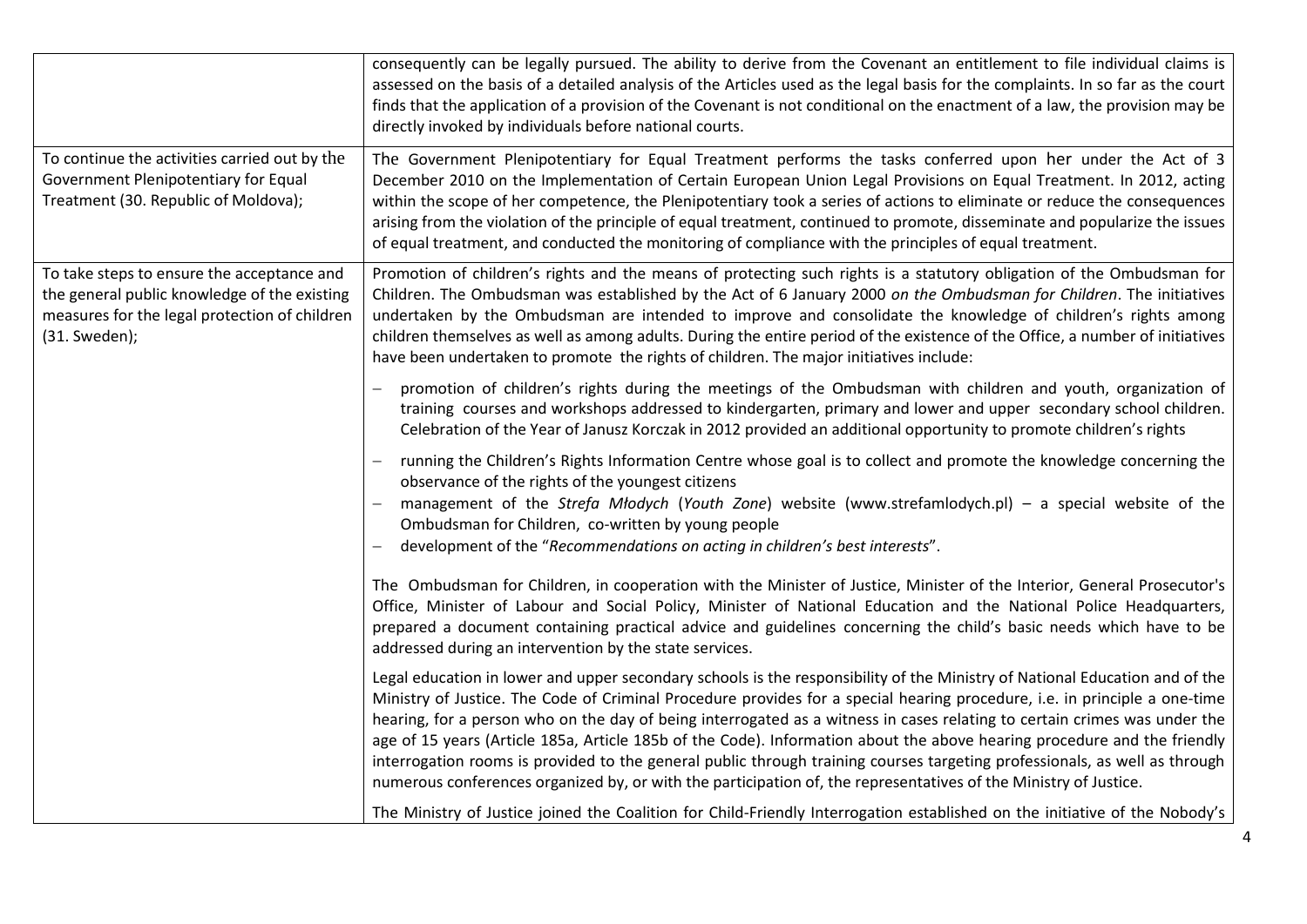|                                                                                                                                                              | consequently can be legally pursued. The ability to derive from the Covenant an entitlement to file individual claims is<br>assessed on the basis of a detailed analysis of the Articles used as the legal basis for the complaints. In so far as the court<br>finds that the application of a provision of the Covenant is not conditional on the enactment of a law, the provision may be<br>directly invoked by individuals before national courts.                                                                                                                                                                                                                                                                                                               |
|--------------------------------------------------------------------------------------------------------------------------------------------------------------|----------------------------------------------------------------------------------------------------------------------------------------------------------------------------------------------------------------------------------------------------------------------------------------------------------------------------------------------------------------------------------------------------------------------------------------------------------------------------------------------------------------------------------------------------------------------------------------------------------------------------------------------------------------------------------------------------------------------------------------------------------------------|
| To continue the activities carried out by the<br>Government Plenipotentiary for Equal<br>Treatment (30. Republic of Moldova);                                | The Government Plenipotentiary for Equal Treatment performs the tasks conferred upon her under the Act of 3<br>December 2010 on the Implementation of Certain European Union Legal Provisions on Equal Treatment. In 2012, acting<br>within the scope of her competence, the Plenipotentiary took a series of actions to eliminate or reduce the consequences<br>arising from the violation of the principle of equal treatment, continued to promote, disseminate and popularize the issues<br>of equal treatment, and conducted the monitoring of compliance with the principles of equal treatment.                                                                                                                                                               |
| To take steps to ensure the acceptance and<br>the general public knowledge of the existing<br>measures for the legal protection of children<br>(31. Sweden); | Promotion of children's rights and the means of protecting such rights is a statutory obligation of the Ombudsman for<br>Children. The Ombudsman was established by the Act of 6 January 2000 on the Ombudsman for Children. The initiatives<br>undertaken by the Ombudsman are intended to improve and consolidate the knowledge of children's rights among<br>children themselves as well as among adults. During the entire period of the existence of the Office, a number of initiatives<br>have been undertaken to promote the rights of children. The major initiatives include:                                                                                                                                                                              |
|                                                                                                                                                              | promotion of children's rights during the meetings of the Ombudsman with children and youth, organization of<br>training courses and workshops addressed to kindergarten, primary and lower and upper secondary school children.<br>Celebration of the Year of Janusz Korczak in 2012 provided an additional opportunity to promote children's rights                                                                                                                                                                                                                                                                                                                                                                                                                |
|                                                                                                                                                              | running the Children's Rights Information Centre whose goal is to collect and promote the knowledge concerning the<br>observance of the rights of the youngest citizens<br>management of the Strefa Młodych (Youth Zone) website (www.strefamlodych.pl) - a special website of the<br>Ombudsman for Children, co-written by young people<br>development of the "Recommendations on acting in children's best interests".                                                                                                                                                                                                                                                                                                                                             |
|                                                                                                                                                              | The Ombudsman for Children, in cooperation with the Minister of Justice, Minister of the Interior, General Prosecutor's<br>Office, Minister of Labour and Social Policy, Minister of National Education and the National Police Headquarters,<br>prepared a document containing practical advice and guidelines concerning the child's basic needs which have to be<br>addressed during an intervention by the state services.                                                                                                                                                                                                                                                                                                                                       |
|                                                                                                                                                              | Legal education in lower and upper secondary schools is the responsibility of the Ministry of National Education and of the<br>Ministry of Justice. The Code of Criminal Procedure provides for a special hearing procedure, i.e. in principle a one-time<br>hearing, for a person who on the day of being interrogated as a witness in cases relating to certain crimes was under the<br>age of 15 years (Article 185a, Article 185b of the Code). Information about the above hearing procedure and the friendly<br>interrogation rooms is provided to the general public through training courses targeting professionals, as well as through<br>numerous conferences organized by, or with the participation of, the representatives of the Ministry of Justice. |
|                                                                                                                                                              | The Ministry of Justice joined the Coalition for Child-Friendly Interrogation established on the initiative of the Nobody's                                                                                                                                                                                                                                                                                                                                                                                                                                                                                                                                                                                                                                          |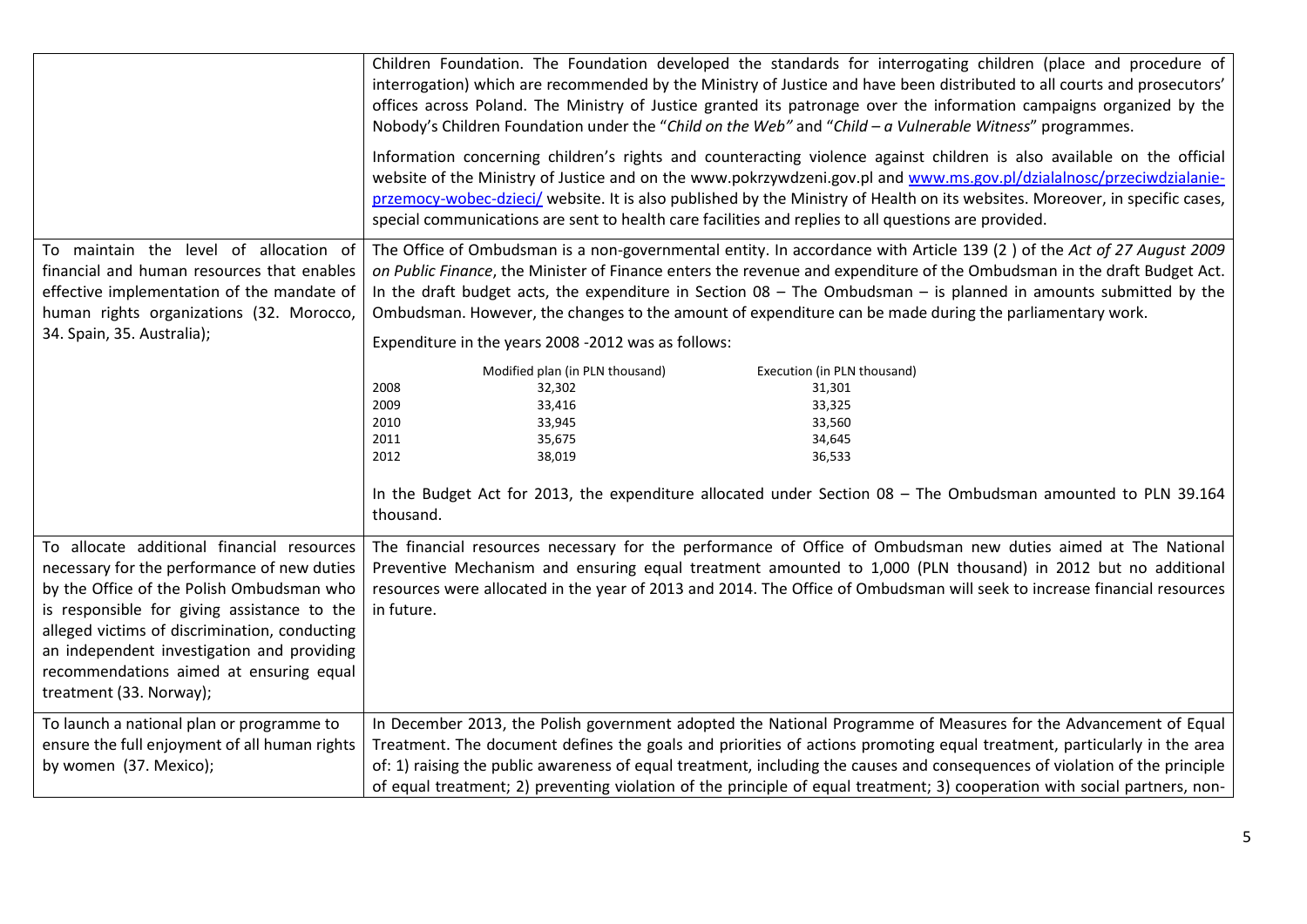|                                                                                                                                                                                                                                                                                                                                                            | Children Foundation. The Foundation developed the standards for interrogating children (place and procedure of<br>interrogation) which are recommended by the Ministry of Justice and have been distributed to all courts and prosecutors'<br>offices across Poland. The Ministry of Justice granted its patronage over the information campaigns organized by the<br>Nobody's Children Foundation under the "Child on the Web" and "Child - a Vulnerable Witness" programmes.<br>Information concerning children's rights and counteracting violence against children is also available on the official<br>website of the Ministry of Justice and on the www.pokrzywdzeni.gov.pl and www.ms.gov.pl/dzialalnosc/przeciwdzialanie-<br>przemocy-wobec-dzieci/ website. It is also published by the Ministry of Health on its websites. Moreover, in specific cases, |
|------------------------------------------------------------------------------------------------------------------------------------------------------------------------------------------------------------------------------------------------------------------------------------------------------------------------------------------------------------|-------------------------------------------------------------------------------------------------------------------------------------------------------------------------------------------------------------------------------------------------------------------------------------------------------------------------------------------------------------------------------------------------------------------------------------------------------------------------------------------------------------------------------------------------------------------------------------------------------------------------------------------------------------------------------------------------------------------------------------------------------------------------------------------------------------------------------------------------------------------|
| To maintain the level of allocation of<br>financial and human resources that enables<br>effective implementation of the mandate of<br>human rights organizations (32. Morocco,<br>34. Spain, 35. Australia);                                                                                                                                               | special communications are sent to health care facilities and replies to all questions are provided.<br>The Office of Ombudsman is a non-governmental entity. In accordance with Article 139 (2) of the Act of 27 August 2009<br>on Public Finance, the Minister of Finance enters the revenue and expenditure of the Ombudsman in the draft Budget Act.<br>In the draft budget acts, the expenditure in Section $08$ – The Ombudsman – is planned in amounts submitted by the<br>Ombudsman. However, the changes to the amount of expenditure can be made during the parliamentary work.<br>Expenditure in the years 2008 -2012 was as follows:                                                                                                                                                                                                                  |
|                                                                                                                                                                                                                                                                                                                                                            | Modified plan (in PLN thousand)<br>Execution (in PLN thousand)<br>2008<br>32,302<br>31,301<br>2009<br>33,416<br>33,325<br>2010<br>33,945<br>33,560<br>2011<br>34,645<br>35,675<br>2012<br>38,019<br>36,533<br>In the Budget Act for 2013, the expenditure allocated under Section 08 - The Ombudsman amounted to PLN 39.164<br>thousand.                                                                                                                                                                                                                                                                                                                                                                                                                                                                                                                          |
| To allocate additional financial resources<br>necessary for the performance of new duties<br>by the Office of the Polish Ombudsman who<br>is responsible for giving assistance to the<br>alleged victims of discrimination, conducting<br>an independent investigation and providing<br>recommendations aimed at ensuring equal<br>treatment (33. Norway); | The financial resources necessary for the performance of Office of Ombudsman new duties aimed at The National<br>Preventive Mechanism and ensuring equal treatment amounted to 1,000 (PLN thousand) in 2012 but no additional<br>resources were allocated in the year of 2013 and 2014. The Office of Ombudsman will seek to increase financial resources<br>in future.                                                                                                                                                                                                                                                                                                                                                                                                                                                                                           |
| To launch a national plan or programme to<br>ensure the full enjoyment of all human rights<br>by women (37. Mexico);                                                                                                                                                                                                                                       | In December 2013, the Polish government adopted the National Programme of Measures for the Advancement of Equal<br>Treatment. The document defines the goals and priorities of actions promoting equal treatment, particularly in the area<br>of: 1) raising the public awareness of equal treatment, including the causes and consequences of violation of the principle<br>of equal treatment; 2) preventing violation of the principle of equal treatment; 3) cooperation with social partners, non-                                                                                                                                                                                                                                                                                                                                                           |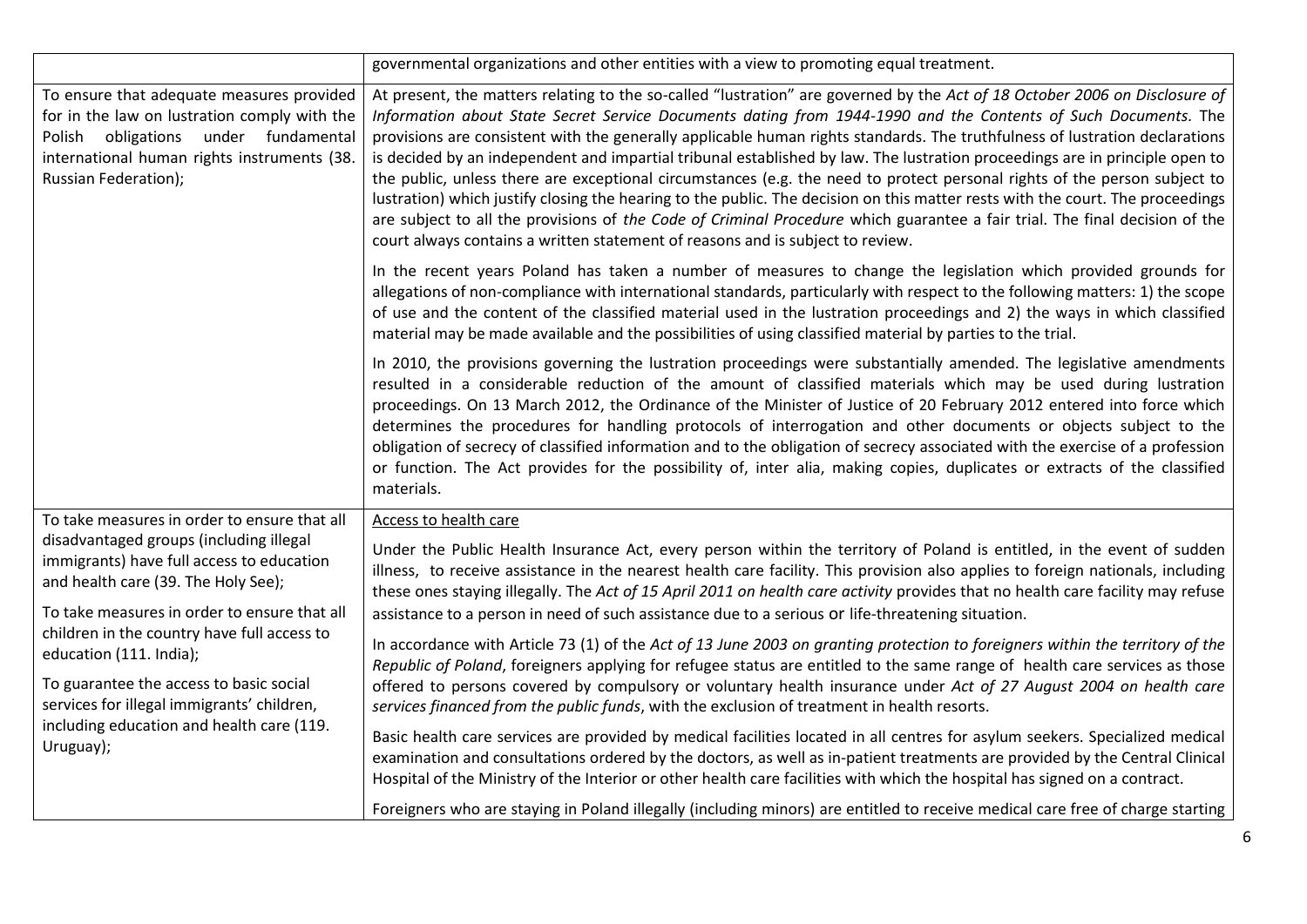|                                                                                                                                                                                                                                                                                                                                                                                                          | governmental organizations and other entities with a view to promoting equal treatment.                                                                                                                                                                                                                                                                                                                                                                                                                                                                                                                                                                                                                                                                                                                                                                                                                                                                                                    |
|----------------------------------------------------------------------------------------------------------------------------------------------------------------------------------------------------------------------------------------------------------------------------------------------------------------------------------------------------------------------------------------------------------|--------------------------------------------------------------------------------------------------------------------------------------------------------------------------------------------------------------------------------------------------------------------------------------------------------------------------------------------------------------------------------------------------------------------------------------------------------------------------------------------------------------------------------------------------------------------------------------------------------------------------------------------------------------------------------------------------------------------------------------------------------------------------------------------------------------------------------------------------------------------------------------------------------------------------------------------------------------------------------------------|
| To ensure that adequate measures provided<br>for in the law on lustration comply with the<br>Polish obligations under fundamental<br>international human rights instruments (38.<br>Russian Federation);                                                                                                                                                                                                 | At present, the matters relating to the so-called "lustration" are governed by the Act of 18 October 2006 on Disclosure of<br>Information about State Secret Service Documents dating from 1944-1990 and the Contents of Such Documents. The<br>provisions are consistent with the generally applicable human rights standards. The truthfulness of lustration declarations<br>is decided by an independent and impartial tribunal established by law. The lustration proceedings are in principle open to<br>the public, unless there are exceptional circumstances (e.g. the need to protect personal rights of the person subject to<br>lustration) which justify closing the hearing to the public. The decision on this matter rests with the court. The proceedings<br>are subject to all the provisions of the Code of Criminal Procedure which guarantee a fair trial. The final decision of the<br>court always contains a written statement of reasons and is subject to review. |
|                                                                                                                                                                                                                                                                                                                                                                                                          | In the recent years Poland has taken a number of measures to change the legislation which provided grounds for<br>allegations of non-compliance with international standards, particularly with respect to the following matters: 1) the scope<br>of use and the content of the classified material used in the lustration proceedings and 2) the ways in which classified<br>material may be made available and the possibilities of using classified material by parties to the trial.                                                                                                                                                                                                                                                                                                                                                                                                                                                                                                   |
|                                                                                                                                                                                                                                                                                                                                                                                                          | In 2010, the provisions governing the lustration proceedings were substantially amended. The legislative amendments<br>resulted in a considerable reduction of the amount of classified materials which may be used during lustration<br>proceedings. On 13 March 2012, the Ordinance of the Minister of Justice of 20 February 2012 entered into force which<br>determines the procedures for handling protocols of interrogation and other documents or objects subject to the<br>obligation of secrecy of classified information and to the obligation of secrecy associated with the exercise of a profession<br>or function. The Act provides for the possibility of, inter alia, making copies, duplicates or extracts of the classified<br>materials.                                                                                                                                                                                                                               |
| To take measures in order to ensure that all                                                                                                                                                                                                                                                                                                                                                             | Access to health care                                                                                                                                                                                                                                                                                                                                                                                                                                                                                                                                                                                                                                                                                                                                                                                                                                                                                                                                                                      |
| disadvantaged groups (including illegal<br>immigrants) have full access to education<br>and health care (39. The Holy See);<br>To take measures in order to ensure that all<br>children in the country have full access to<br>education (111. India);<br>To guarantee the access to basic social<br>services for illegal immigrants' children,<br>including education and health care (119.<br>Uruguay); | Under the Public Health Insurance Act, every person within the territory of Poland is entitled, in the event of sudden<br>illness, to receive assistance in the nearest health care facility. This provision also applies to foreign nationals, including<br>these ones staying illegally. The Act of 15 April 2011 on health care activity provides that no health care facility may refuse<br>assistance to a person in need of such assistance due to a serious or life-threatening situation.                                                                                                                                                                                                                                                                                                                                                                                                                                                                                          |
|                                                                                                                                                                                                                                                                                                                                                                                                          | In accordance with Article 73 (1) of the Act of 13 June 2003 on granting protection to foreigners within the territory of the<br>Republic of Poland, foreigners applying for refugee status are entitled to the same range of health care services as those<br>offered to persons covered by compulsory or voluntary health insurance under Act of 27 August 2004 on health care<br>services financed from the public funds, with the exclusion of treatment in health resorts.                                                                                                                                                                                                                                                                                                                                                                                                                                                                                                            |
|                                                                                                                                                                                                                                                                                                                                                                                                          | Basic health care services are provided by medical facilities located in all centres for asylum seekers. Specialized medical<br>examination and consultations ordered by the doctors, as well as in-patient treatments are provided by the Central Clinical<br>Hospital of the Ministry of the Interior or other health care facilities with which the hospital has signed on a contract.                                                                                                                                                                                                                                                                                                                                                                                                                                                                                                                                                                                                  |
|                                                                                                                                                                                                                                                                                                                                                                                                          | Foreigners who are staying in Poland illegally (including minors) are entitled to receive medical care free of charge starting                                                                                                                                                                                                                                                                                                                                                                                                                                                                                                                                                                                                                                                                                                                                                                                                                                                             |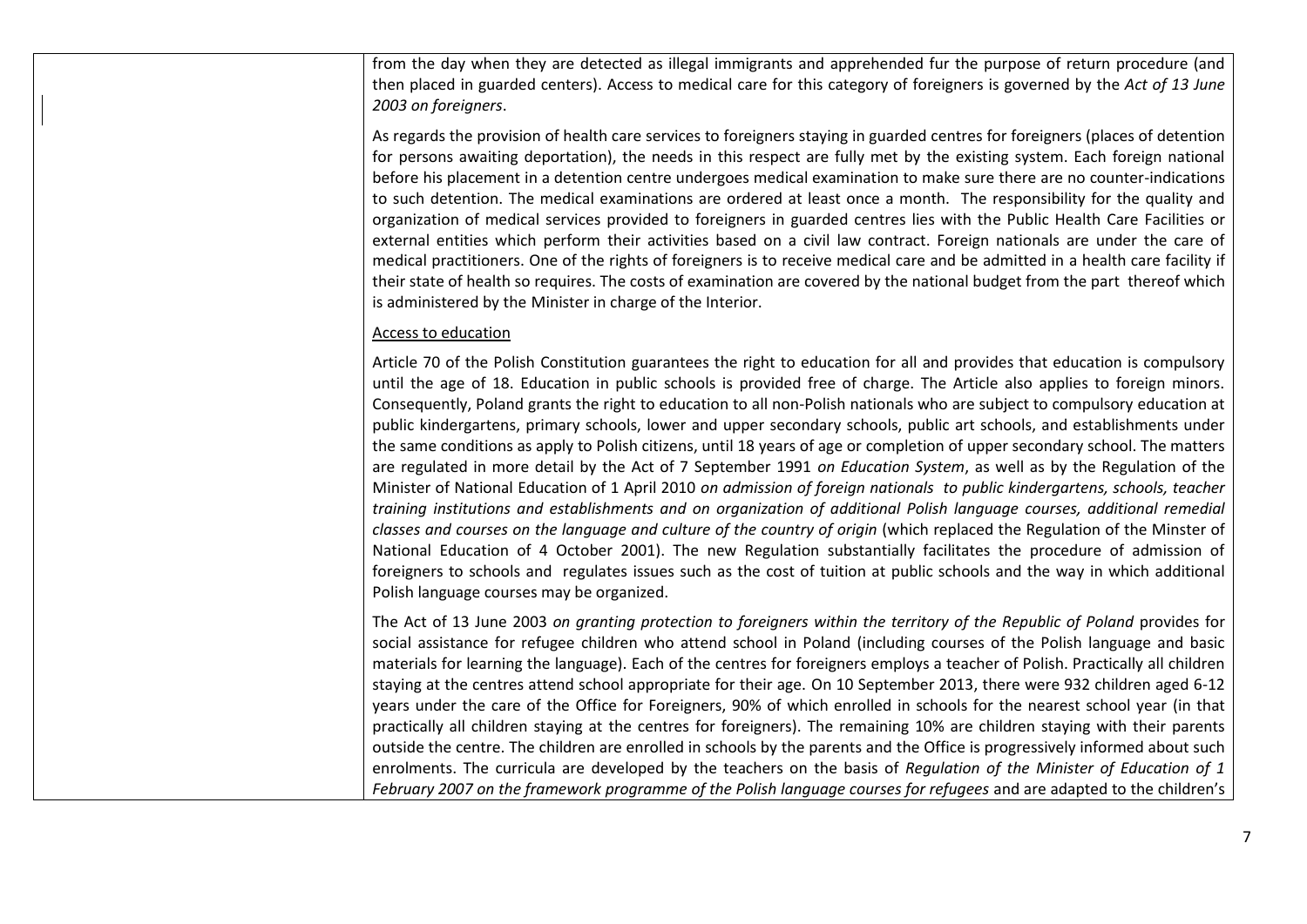from the day when they are detected as illegal immigrants and apprehended fur the purpose of return procedure (and then placed in guarded centers). Access to medical care for this category of foreigners is governed by the *Act of 13 June 2003 on foreigners*.

As regards the provision of health care services to foreigners staying in guarded centres for foreigners (places of detention for persons awaiting deportation), the needs in this respect are fully met by the existing system. Each foreign national before his placement in a detention centre undergoes medical examination to make sure there are no counter-indications to such detention. The medical examinations are ordered at least once a month. The responsibility for the quality and organization of medical services provided to foreigners in guarded centres lies with the Public Health Care Facilities or external entities which perform their activities based on a civil law contract. Foreign nationals are under the care of medical practitioners. One of the rights of foreigners is to receive medical care and be admitted in a health care facility if their state of health so requires. The costs of examination are covered by the national budget from the part thereof which is administered by the Minister in charge of the Interior.

## Access to education

Article 70 of the Polish Constitution guarantees the right to education for all and provides that education is compulsory until the age of 18. Education in public schools is provided free of charge. The Article also applies to foreign minors. Consequently, Poland grants the right to education to all non-Polish nationals who are subject to compulsory education at public kindergartens, primary schools, lower and upper secondary schools, public art schools, and establishments under the same conditions as apply to Polish citizens, until 18 years of age or completion of upper secondary school. The matters are regulated in more detail by the Act of 7 September 1991 *on Education System*, as well as by the Regulation of the Minister of National Education of 1 April 2010 *on admission of foreign nationals to public kindergartens, schools, teacher training institutions and establishments and on organization of additional Polish language courses, additional remedial classes and courses on the language and culture of the country of origin* (which replaced the Regulation of the Minster of National Education of 4 October 2001). The new Regulation substantially facilitates the procedure of admission of foreigners to schools and regulates issues such as the cost of tuition at public schools and the way in which additional Polish language courses may be organized.

The Act of 13 June 2003 *on granting protection to foreigners within the territory of the Republic of Poland* provides for social assistance for refugee children who attend school in Poland (including courses of the Polish language and basic materials for learning the language). Each of the centres for foreigners employs a teacher of Polish. Practically all children staying at the centres attend school appropriate for their age. On 10 September 2013, there were 932 children aged 6-12 years under the care of the Office for Foreigners, 90% of which enrolled in schools for the nearest school year (in that practically all children staying at the centres for foreigners). The remaining 10% are children staying with their parents outside the centre. The children are enrolled in schools by the parents and the Office is progressively informed about such enrolments. The curricula are developed by the teachers on the basis of *Regulation of the Minister of Education of 1 February 2007 on the framework programme of the Polish language courses for refugees* and are adapted to the children's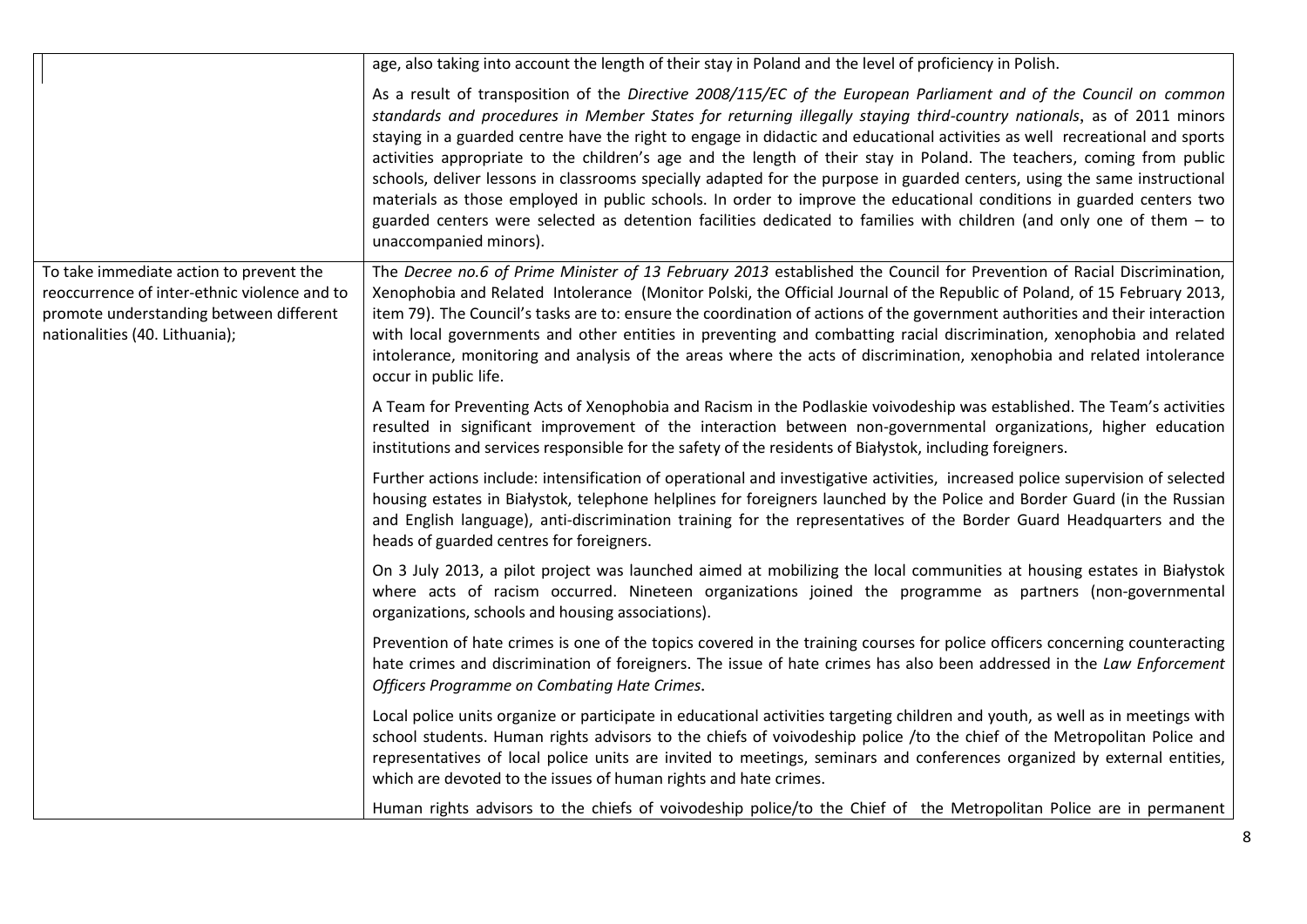|                                                                                                                                                                      | age, also taking into account the length of their stay in Poland and the level of proficiency in Polish.                                                                                                                                                                                                                                                                                                                                                                                                                                                                                                                                                                                                                                                                                                                                                                                                 |
|----------------------------------------------------------------------------------------------------------------------------------------------------------------------|----------------------------------------------------------------------------------------------------------------------------------------------------------------------------------------------------------------------------------------------------------------------------------------------------------------------------------------------------------------------------------------------------------------------------------------------------------------------------------------------------------------------------------------------------------------------------------------------------------------------------------------------------------------------------------------------------------------------------------------------------------------------------------------------------------------------------------------------------------------------------------------------------------|
|                                                                                                                                                                      | As a result of transposition of the Directive 2008/115/EC of the European Parliament and of the Council on common<br>standards and procedures in Member States for returning illegally staying third-country nationals, as of 2011 minors<br>staying in a guarded centre have the right to engage in didactic and educational activities as well recreational and sports<br>activities appropriate to the children's age and the length of their stay in Poland. The teachers, coming from public<br>schools, deliver lessons in classrooms specially adapted for the purpose in guarded centers, using the same instructional<br>materials as those employed in public schools. In order to improve the educational conditions in guarded centers two<br>guarded centers were selected as detention facilities dedicated to families with children (and only one of them - to<br>unaccompanied minors). |
| To take immediate action to prevent the<br>reoccurrence of inter-ethnic violence and to<br>promote understanding between different<br>nationalities (40. Lithuania); | The Decree no.6 of Prime Minister of 13 February 2013 established the Council for Prevention of Racial Discrimination,<br>Xenophobia and Related Intolerance (Monitor Polski, the Official Journal of the Republic of Poland, of 15 February 2013,<br>item 79). The Council's tasks are to: ensure the coordination of actions of the government authorities and their interaction<br>with local governments and other entities in preventing and combatting racial discrimination, xenophobia and related<br>intolerance, monitoring and analysis of the areas where the acts of discrimination, xenophobia and related intolerance<br>occur in public life.                                                                                                                                                                                                                                            |
|                                                                                                                                                                      | A Team for Preventing Acts of Xenophobia and Racism in the Podlaskie voivodeship was established. The Team's activities<br>resulted in significant improvement of the interaction between non-governmental organizations, higher education<br>institutions and services responsible for the safety of the residents of Białystok, including foreigners.                                                                                                                                                                                                                                                                                                                                                                                                                                                                                                                                                  |
|                                                                                                                                                                      | Further actions include: intensification of operational and investigative activities, increased police supervision of selected<br>housing estates in Białystok, telephone helplines for foreigners launched by the Police and Border Guard (in the Russian<br>and English language), anti-discrimination training for the representatives of the Border Guard Headquarters and the<br>heads of guarded centres for foreigners.                                                                                                                                                                                                                                                                                                                                                                                                                                                                           |
|                                                                                                                                                                      | On 3 July 2013, a pilot project was launched aimed at mobilizing the local communities at housing estates in Białystok<br>where acts of racism occurred. Nineteen organizations joined the programme as partners (non-governmental<br>organizations, schools and housing associations).                                                                                                                                                                                                                                                                                                                                                                                                                                                                                                                                                                                                                  |
|                                                                                                                                                                      | Prevention of hate crimes is one of the topics covered in the training courses for police officers concerning counteracting<br>hate crimes and discrimination of foreigners. The issue of hate crimes has also been addressed in the Law Enforcement<br>Officers Programme on Combating Hate Crimes.                                                                                                                                                                                                                                                                                                                                                                                                                                                                                                                                                                                                     |
|                                                                                                                                                                      | Local police units organize or participate in educational activities targeting children and youth, as well as in meetings with<br>school students. Human rights advisors to the chiefs of voivodeship police /to the chief of the Metropolitan Police and<br>representatives of local police units are invited to meetings, seminars and conferences organized by external entities,<br>which are devoted to the issues of human rights and hate crimes.                                                                                                                                                                                                                                                                                                                                                                                                                                                 |
|                                                                                                                                                                      | Human rights advisors to the chiefs of voivodeship police/to the Chief of the Metropolitan Police are in permanent                                                                                                                                                                                                                                                                                                                                                                                                                                                                                                                                                                                                                                                                                                                                                                                       |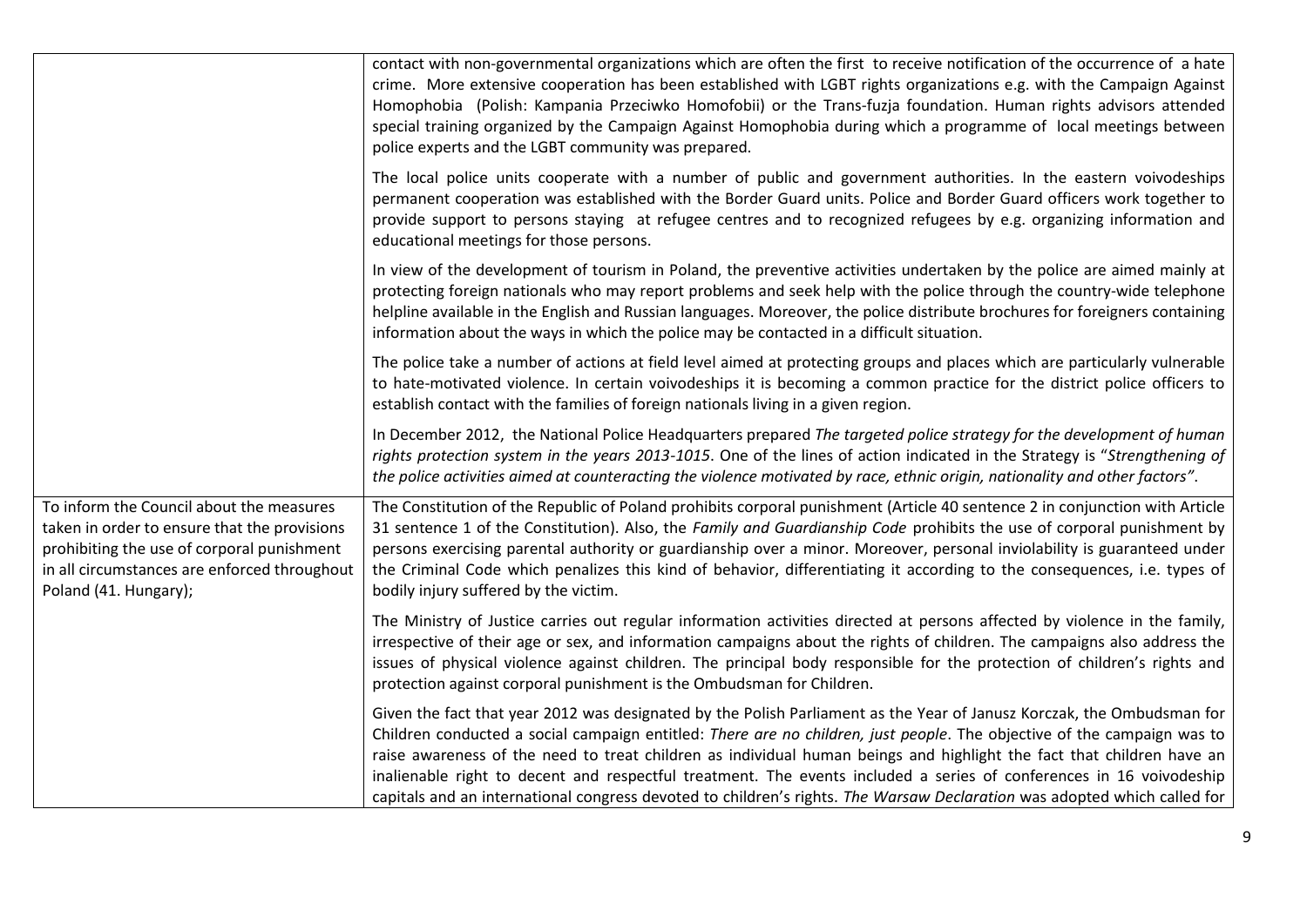|                                                                                                                                                                                                                 | contact with non-governmental organizations which are often the first to receive notification of the occurrence of a hate<br>crime. More extensive cooperation has been established with LGBT rights organizations e.g. with the Campaign Against<br>Homophobia (Polish: Kampania Przeciwko Homofobii) or the Trans-fuzja foundation. Human rights advisors attended<br>special training organized by the Campaign Against Homophobia during which a programme of local meetings between<br>police experts and the LGBT community was prepared.                                                                               |
|-----------------------------------------------------------------------------------------------------------------------------------------------------------------------------------------------------------------|-------------------------------------------------------------------------------------------------------------------------------------------------------------------------------------------------------------------------------------------------------------------------------------------------------------------------------------------------------------------------------------------------------------------------------------------------------------------------------------------------------------------------------------------------------------------------------------------------------------------------------|
|                                                                                                                                                                                                                 | The local police units cooperate with a number of public and government authorities. In the eastern voivodeships<br>permanent cooperation was established with the Border Guard units. Police and Border Guard officers work together to<br>provide support to persons staying at refugee centres and to recognized refugees by e.g. organizing information and<br>educational meetings for those persons.                                                                                                                                                                                                                    |
|                                                                                                                                                                                                                 | In view of the development of tourism in Poland, the preventive activities undertaken by the police are aimed mainly at<br>protecting foreign nationals who may report problems and seek help with the police through the country-wide telephone<br>helpline available in the English and Russian languages. Moreover, the police distribute brochures for foreigners containing<br>information about the ways in which the police may be contacted in a difficult situation.                                                                                                                                                 |
|                                                                                                                                                                                                                 | The police take a number of actions at field level aimed at protecting groups and places which are particularly vulnerable<br>to hate-motivated violence. In certain voivodeships it is becoming a common practice for the district police officers to<br>establish contact with the families of foreign nationals living in a given region.                                                                                                                                                                                                                                                                                  |
|                                                                                                                                                                                                                 | In December 2012, the National Police Headquarters prepared The targeted police strategy for the development of human<br>rights protection system in the years 2013-1015. One of the lines of action indicated in the Strategy is "Strengthening of<br>the police activities aimed at counteracting the violence motivated by race, ethnic origin, nationality and other factors".                                                                                                                                                                                                                                            |
| To inform the Council about the measures<br>taken in order to ensure that the provisions<br>prohibiting the use of corporal punishment<br>in all circumstances are enforced throughout<br>Poland (41. Hungary); | The Constitution of the Republic of Poland prohibits corporal punishment (Article 40 sentence 2 in conjunction with Article<br>31 sentence 1 of the Constitution). Also, the Family and Guardianship Code prohibits the use of corporal punishment by<br>persons exercising parental authority or guardianship over a minor. Moreover, personal inviolability is guaranteed under<br>the Criminal Code which penalizes this kind of behavior, differentiating it according to the consequences, i.e. types of<br>bodily injury suffered by the victim.                                                                        |
|                                                                                                                                                                                                                 | The Ministry of Justice carries out regular information activities directed at persons affected by violence in the family,<br>irrespective of their age or sex, and information campaigns about the rights of children. The campaigns also address the<br>issues of physical violence against children. The principal body responsible for the protection of children's rights and<br>protection against corporal punishment is the Ombudsman for Children.                                                                                                                                                                   |
|                                                                                                                                                                                                                 | Given the fact that year 2012 was designated by the Polish Parliament as the Year of Janusz Korczak, the Ombudsman for<br>Children conducted a social campaign entitled: There are no children, just people. The objective of the campaign was to<br>raise awareness of the need to treat children as individual human beings and highlight the fact that children have an<br>inalienable right to decent and respectful treatment. The events included a series of conferences in 16 voivodeship<br>capitals and an international congress devoted to children's rights. The Warsaw Declaration was adopted which called for |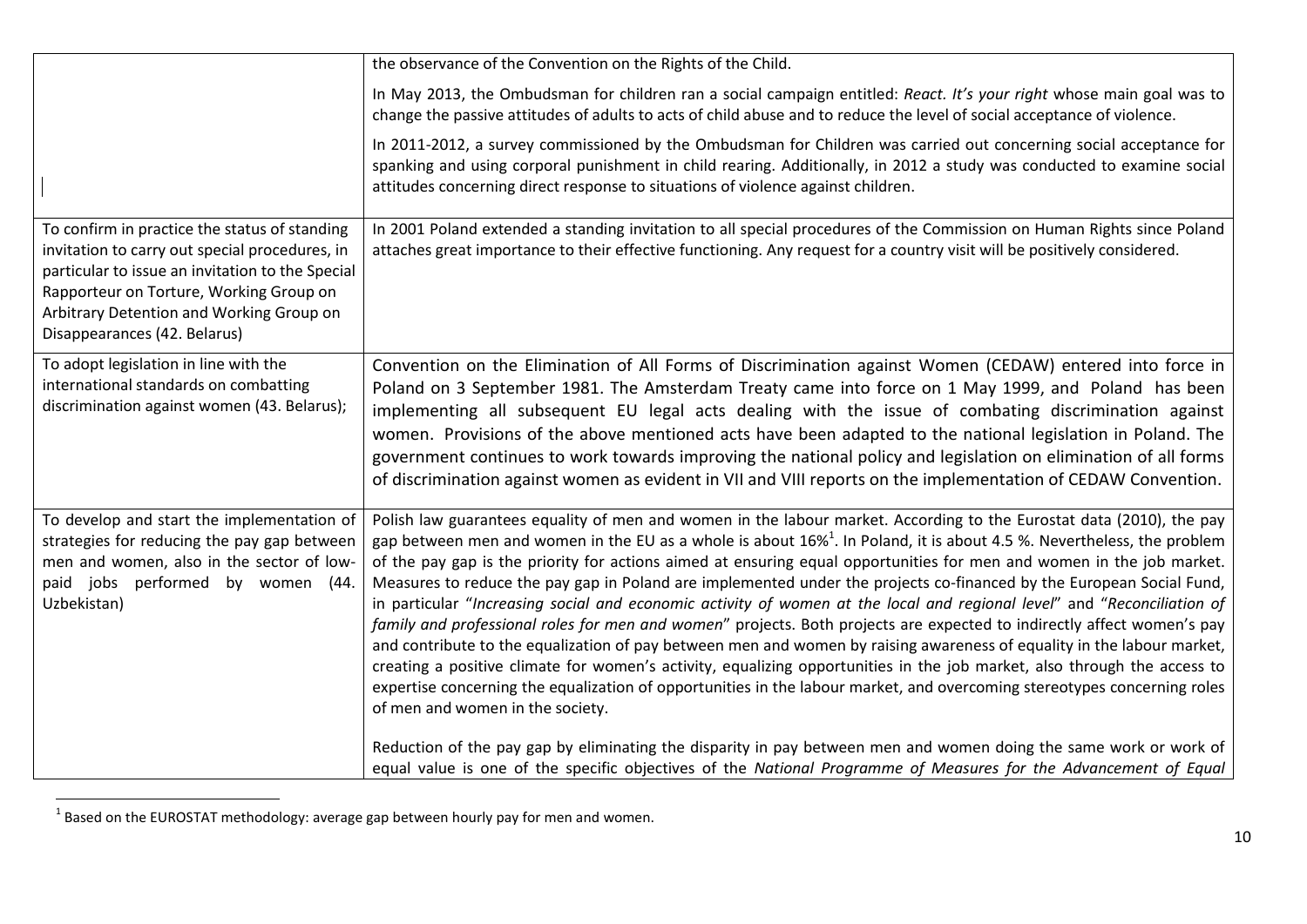|                                                                                                                                                                                                                                                                            | the observance of the Convention on the Rights of the Child.                                                                                                                                                                                                                                                                                                                                                                                                                                                                                                                                                                                                                                                                                                                                                                                                                                                                                                                                                                                                                                                                                                                              |
|----------------------------------------------------------------------------------------------------------------------------------------------------------------------------------------------------------------------------------------------------------------------------|-------------------------------------------------------------------------------------------------------------------------------------------------------------------------------------------------------------------------------------------------------------------------------------------------------------------------------------------------------------------------------------------------------------------------------------------------------------------------------------------------------------------------------------------------------------------------------------------------------------------------------------------------------------------------------------------------------------------------------------------------------------------------------------------------------------------------------------------------------------------------------------------------------------------------------------------------------------------------------------------------------------------------------------------------------------------------------------------------------------------------------------------------------------------------------------------|
|                                                                                                                                                                                                                                                                            | In May 2013, the Ombudsman for children ran a social campaign entitled: React. It's your right whose main goal was to<br>change the passive attitudes of adults to acts of child abuse and to reduce the level of social acceptance of violence.                                                                                                                                                                                                                                                                                                                                                                                                                                                                                                                                                                                                                                                                                                                                                                                                                                                                                                                                          |
|                                                                                                                                                                                                                                                                            | In 2011-2012, a survey commissioned by the Ombudsman for Children was carried out concerning social acceptance for<br>spanking and using corporal punishment in child rearing. Additionally, in 2012 a study was conducted to examine social<br>attitudes concerning direct response to situations of violence against children.                                                                                                                                                                                                                                                                                                                                                                                                                                                                                                                                                                                                                                                                                                                                                                                                                                                          |
| To confirm in practice the status of standing<br>invitation to carry out special procedures, in<br>particular to issue an invitation to the Special<br>Rapporteur on Torture, Working Group on<br>Arbitrary Detention and Working Group on<br>Disappearances (42. Belarus) | In 2001 Poland extended a standing invitation to all special procedures of the Commission on Human Rights since Poland<br>attaches great importance to their effective functioning. Any request for a country visit will be positively considered.                                                                                                                                                                                                                                                                                                                                                                                                                                                                                                                                                                                                                                                                                                                                                                                                                                                                                                                                        |
| To adopt legislation in line with the<br>international standards on combatting<br>discrimination against women (43. Belarus);                                                                                                                                              | Convention on the Elimination of All Forms of Discrimination against Women (CEDAW) entered into force in<br>Poland on 3 September 1981. The Amsterdam Treaty came into force on 1 May 1999, and Poland has been<br>implementing all subsequent EU legal acts dealing with the issue of combating discrimination against<br>women. Provisions of the above mentioned acts have been adapted to the national legislation in Poland. The<br>government continues to work towards improving the national policy and legislation on elimination of all forms<br>of discrimination against women as evident in VII and VIII reports on the implementation of CEDAW Convention.                                                                                                                                                                                                                                                                                                                                                                                                                                                                                                                  |
| To develop and start the implementation of<br>strategies for reducing the pay gap between<br>men and women, also in the sector of low-<br>paid jobs performed by women (44.<br>Uzbekistan)                                                                                 | Polish law guarantees equality of men and women in the labour market. According to the Eurostat data (2010), the pay<br>gap between men and women in the EU as a whole is about $16\%$ <sup>1</sup> . In Poland, it is about 4.5 %. Nevertheless, the problem<br>of the pay gap is the priority for actions aimed at ensuring equal opportunities for men and women in the job market.<br>Measures to reduce the pay gap in Poland are implemented under the projects co-financed by the European Social Fund,<br>in particular "Increasing social and economic activity of women at the local and regional level" and "Reconciliation of<br>family and professional roles for men and women" projects. Both projects are expected to indirectly affect women's pay<br>and contribute to the equalization of pay between men and women by raising awareness of equality in the labour market,<br>creating a positive climate for women's activity, equalizing opportunities in the job market, also through the access to<br>expertise concerning the equalization of opportunities in the labour market, and overcoming stereotypes concerning roles<br>of men and women in the society. |
|                                                                                                                                                                                                                                                                            | Reduction of the pay gap by eliminating the disparity in pay between men and women doing the same work or work of<br>equal value is one of the specific objectives of the National Programme of Measures for the Advancement of Equal                                                                                                                                                                                                                                                                                                                                                                                                                                                                                                                                                                                                                                                                                                                                                                                                                                                                                                                                                     |

**THE SECTS TO A SECTS 10 A FIREM**<br><sup>1</sup> Based on the EUROSTAT methodology: average gap between hourly pay for men and women.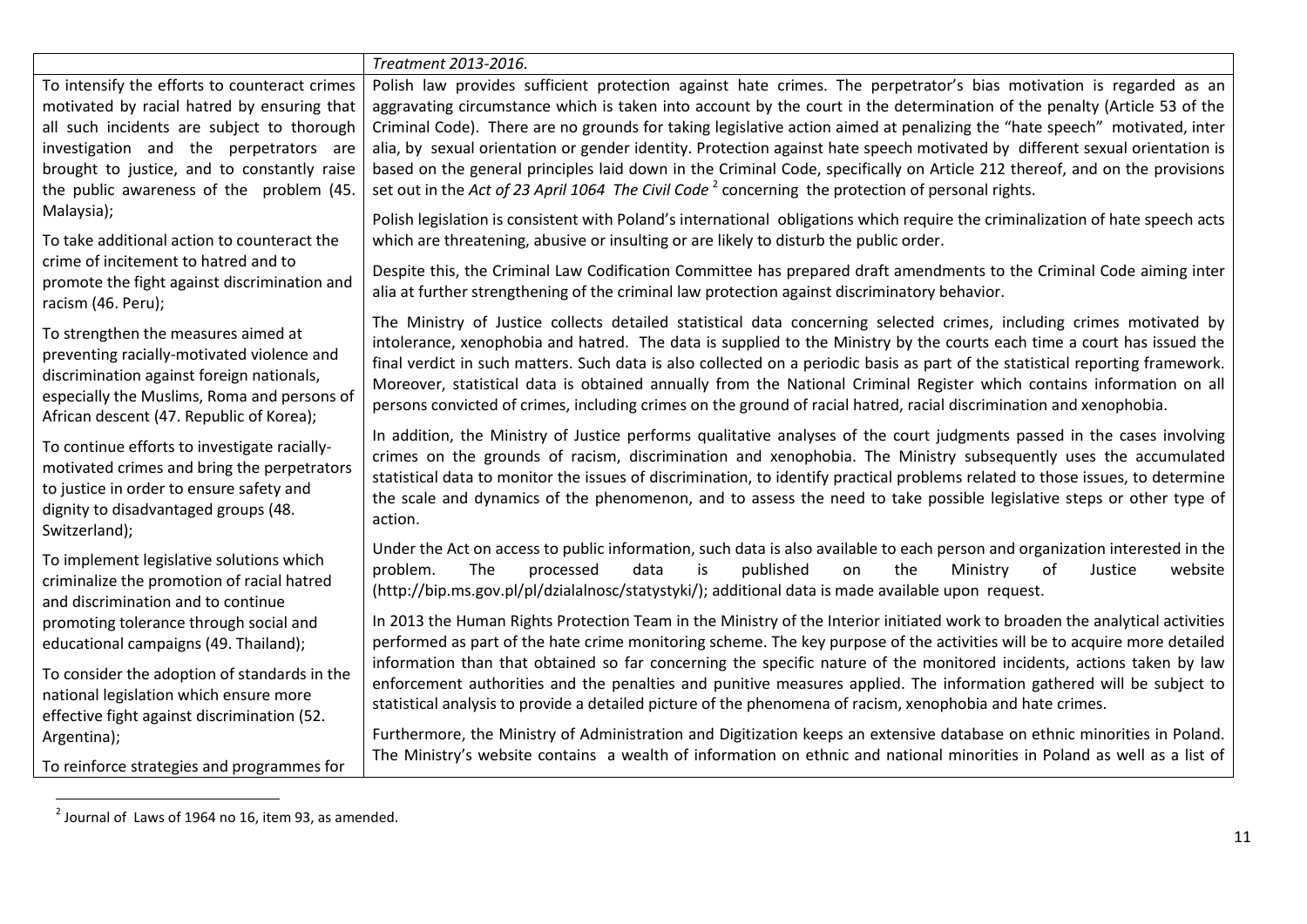|                                                                                                                                       | Treatment 2013-2016.                                                                                                                                                                                                                                                                                                                                                                                                                                                                    |
|---------------------------------------------------------------------------------------------------------------------------------------|-----------------------------------------------------------------------------------------------------------------------------------------------------------------------------------------------------------------------------------------------------------------------------------------------------------------------------------------------------------------------------------------------------------------------------------------------------------------------------------------|
| To intensify the efforts to counteract crimes                                                                                         | Polish law provides sufficient protection against hate crimes. The perpetrator's bias motivation is regarded as an                                                                                                                                                                                                                                                                                                                                                                      |
| motivated by racial hatred by ensuring that                                                                                           | aggravating circumstance which is taken into account by the court in the determination of the penalty (Article 53 of the                                                                                                                                                                                                                                                                                                                                                                |
| all such incidents are subject to thorough                                                                                            | Criminal Code). There are no grounds for taking legislative action aimed at penalizing the "hate speech" motivated, inter                                                                                                                                                                                                                                                                                                                                                               |
| investigation and the perpetrators are                                                                                                | alia, by sexual orientation or gender identity. Protection against hate speech motivated by different sexual orientation is                                                                                                                                                                                                                                                                                                                                                             |
| brought to justice, and to constantly raise                                                                                           | based on the general principles laid down in the Criminal Code, specifically on Article 212 thereof, and on the provisions                                                                                                                                                                                                                                                                                                                                                              |
| the public awareness of the problem (45.                                                                                              | set out in the Act of 23 April 1064 The Civil Code <sup>2</sup> concerning the protection of personal rights.                                                                                                                                                                                                                                                                                                                                                                           |
| Malaysia);                                                                                                                            | Polish legislation is consistent with Poland's international obligations which require the criminalization of hate speech acts                                                                                                                                                                                                                                                                                                                                                          |
| To take additional action to counteract the                                                                                           | which are threatening, abusive or insulting or are likely to disturb the public order.                                                                                                                                                                                                                                                                                                                                                                                                  |
| crime of incitement to hatred and to<br>promote the fight against discrimination and<br>racism (46. Peru);                            | Despite this, the Criminal Law Codification Committee has prepared draft amendments to the Criminal Code aiming inter<br>alia at further strengthening of the criminal law protection against discriminatory behavior.                                                                                                                                                                                                                                                                  |
| To strengthen the measures aimed at                                                                                                   | The Ministry of Justice collects detailed statistical data concerning selected crimes, including crimes motivated by                                                                                                                                                                                                                                                                                                                                                                    |
| preventing racially-motivated violence and                                                                                            | intolerance, xenophobia and hatred. The data is supplied to the Ministry by the courts each time a court has issued the                                                                                                                                                                                                                                                                                                                                                                 |
| discrimination against foreign nationals,                                                                                             | final verdict in such matters. Such data is also collected on a periodic basis as part of the statistical reporting framework.                                                                                                                                                                                                                                                                                                                                                          |
| especially the Muslims, Roma and persons of                                                                                           | Moreover, statistical data is obtained annually from the National Criminal Register which contains information on all                                                                                                                                                                                                                                                                                                                                                                   |
| African descent (47. Republic of Korea);                                                                                              | persons convicted of crimes, including crimes on the ground of racial hatred, racial discrimination and xenophobia.                                                                                                                                                                                                                                                                                                                                                                     |
| To continue efforts to investigate racially-                                                                                          | In addition, the Ministry of Justice performs qualitative analyses of the court judgments passed in the cases involving                                                                                                                                                                                                                                                                                                                                                                 |
| motivated crimes and bring the perpetrators                                                                                           | crimes on the grounds of racism, discrimination and xenophobia. The Ministry subsequently uses the accumulated                                                                                                                                                                                                                                                                                                                                                                          |
| to justice in order to ensure safety and                                                                                              | statistical data to monitor the issues of discrimination, to identify practical problems related to those issues, to determine                                                                                                                                                                                                                                                                                                                                                          |
| dignity to disadvantaged groups (48.                                                                                                  | the scale and dynamics of the phenomenon, and to assess the need to take possible legislative steps or other type of                                                                                                                                                                                                                                                                                                                                                                    |
| Switzerland);                                                                                                                         | action.                                                                                                                                                                                                                                                                                                                                                                                                                                                                                 |
| To implement legislative solutions which<br>criminalize the promotion of racial hatred<br>and discrimination and to continue          | Under the Act on access to public information, such data is also available to each person and organization interested in the<br>problem.<br>The<br>processed<br>data<br>is<br>published<br>the<br>Justice<br>website<br>on<br>Ministry<br>of<br>(http://bip.ms.gov.pl/pl/dzialalnosc/statystyki/); additional data is made available upon request.                                                                                                                                      |
| promoting tolerance through social and                                                                                                | In 2013 the Human Rights Protection Team in the Ministry of the Interior initiated work to broaden the analytical activities                                                                                                                                                                                                                                                                                                                                                            |
| educational campaigns (49. Thailand);                                                                                                 | performed as part of the hate crime monitoring scheme. The key purpose of the activities will be to acquire more detailed                                                                                                                                                                                                                                                                                                                                                               |
| To consider the adoption of standards in the<br>national legislation which ensure more<br>effective fight against discrimination (52. | information than that obtained so far concerning the specific nature of the monitored incidents, actions taken by law<br>enforcement authorities and the penalties and punitive measures applied. The information gathered will be subject to<br>statistical analysis to provide a detailed picture of the phenomena of racism, xenophobia and hate crimes.<br>Furthermore, the Ministry of Administration and Digitization keeps an extensive database on ethnic minorities in Poland. |
| Argentina);<br>To reinforce strategies and programmes for                                                                             | The Ministry's website contains a wealth of information on ethnic and national minorities in Poland as well as a list of                                                                                                                                                                                                                                                                                                                                                                |

 2 Journal of Laws of 1964 no 16, item 93, as amended.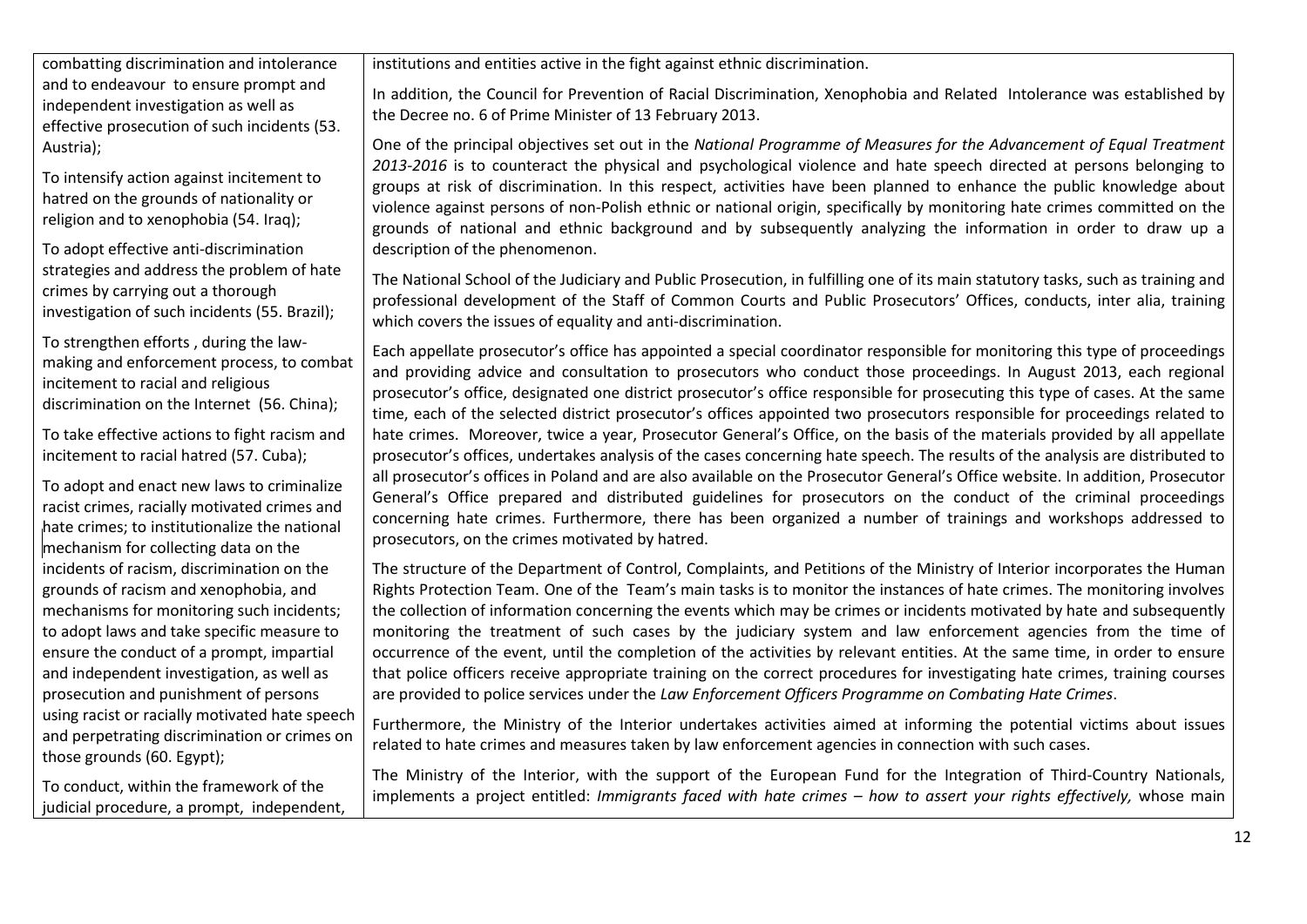combatting discrimination and intolerance and to endeavour to ensure prompt and independent investigation as well as effective prosecution of such incidents (53. Austria);

To intensify action against incitement to hatred on the grounds of nationality or religion and to xenophobia (54. Iraq);

To adopt effective anti-discrimination strategies and address the problem of hate crimes by carrying out a thorough investigation of such incidents (55. Brazil);

To strengthen efforts , during the lawmaking and enforcement process, to combat incitement to racial and religious discrimination on the Internet (56. China);

To take effective actions to fight racism and incitement to racial hatred (57. Cuba);

To adopt and enact new laws to criminalize racist crimes, racially motivated crimes and hate crimes; to institutionalize the national mechanism for collecting data on the incidents of racism, discrimination on the grounds of racism and xenophobia, and mechanisms for monitoring such incidents; to adopt laws and take specific measure to ensure the conduct of a prompt, impartial and independent investigation, as well as prosecution and punishment of persons using racist or racially motivated hate speech and perpetrating discrimination or crimes on those grounds (60. Egypt);

To conduct, within the framework of the judicial procedure, a prompt, independent, institutions and entities active in the fight against ethnic discrimination.

In addition, the Council for Prevention of Racial Discrimination, Xenophobia and Related Intolerance was established by the Decree no. 6 of Prime Minister of 13 February 2013.

One of the principal objectives set out in the *National Programme of Measures for the Advancement of Equal Treatment 2013-2016* is to counteract the physical and psychological violence and hate speech directed at persons belonging to groups at risk of discrimination. In this respect, activities have been planned to enhance the public knowledge about violence against persons of non-Polish ethnic or national origin, specifically by monitoring hate crimes committed on the grounds of national and ethnic background and by subsequently analyzing the information in order to draw up a description of the phenomenon.

The National School of the Judiciary and Public Prosecution, in fulfilling one of its main statutory tasks, such as training and professional development of the Staff of Common Courts and Public Prosecutors' Offices, conducts, inter alia, training which covers the issues of equality and anti-discrimination.

Each appellate prosecutor's office has appointed a special coordinator responsible for monitoring this type of proceedings and providing advice and consultation to prosecutors who conduct those proceedings. In August 2013, each regional prosecutor's office, designated one district prosecutor's office responsible for prosecuting this type of cases. At the same time, each of the selected district prosecutor's offices appointed two prosecutors responsible for proceedings related to hate crimes. Moreover, twice a year, Prosecutor General's Office, on the basis of the materials provided by all appellate prosecutor's offices, undertakes analysis of the cases concerning hate speech. The results of the analysis are distributed to all prosecutor's offices in Poland and are also available on the Prosecutor General's Office website. In addition, Prosecutor General's Office prepared and distributed guidelines for prosecutors on the conduct of the criminal proceedings concerning hate crimes. Furthermore, there has been organized a number of trainings and workshops addressed to prosecutors, on the crimes motivated by hatred.

The structure of the Department of Control, Complaints, and Petitions of the Ministry of Interior incorporates the Human Rights Protection Team. One of the Team's main tasks is to monitor the instances of hate crimes. The monitoring involves the collection of information concerning the events which may be crimes or incidents motivated by hate and subsequently monitoring the treatment of such cases by the judiciary system and law enforcement agencies from the time of occurrence of the event, until the completion of the activities by relevant entities. At the same time, in order to ensure that police officers receive appropriate training on the correct procedures for investigating hate crimes, training courses are provided to police services under the *Law Enforcement Officers Programme on Combating Hate Crimes*.

Furthermore, the Ministry of the Interior undertakes activities aimed at informing the potential victims about issues related to hate crimes and measures taken by law enforcement agencies in connection with such cases.

The Ministry of the Interior, with the support of the European Fund for the Integration of Third-Country Nationals, implements a project entitled: *Immigrants faced with hate crimes – how to assert your rights effectively,* whose main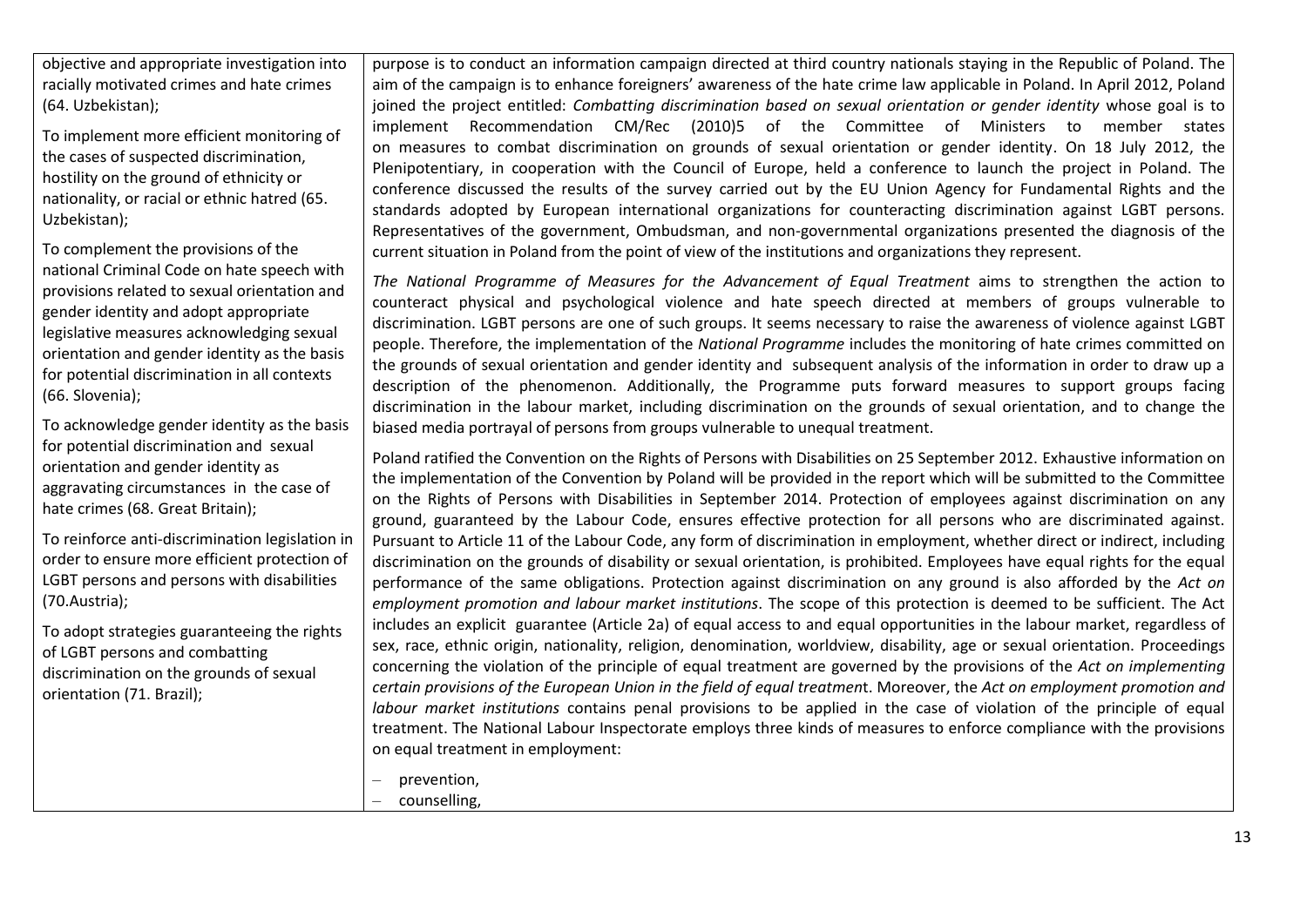objective and appropriate investigation into racially motivated crimes and hate crimes (64. Uzbekistan);

To implement more efficient monitoring of the cases of suspected discrimination, hostility on the ground of ethnicity or nationality, or racial or ethnic hatred (65. Uzbekistan);

To complement the provisions of the national Criminal Code on hate speech with provisions related to sexual orientation and gender identity and adopt appropriate legislative measures acknowledging sexual orientation and gender identity as the basis for potential discrimination in all contexts (66. Slovenia);

To acknowledge gender identity as the basis for potential discrimination and sexual orientation and gender identity as aggravating circumstances in the case of hate crimes (68. Great Britain);

To reinforce anti-discrimination legislation in order to ensure more efficient protection of LGBT persons and persons with disabilities (70.Austria);

To adopt strategies guaranteeing the rights of LGBT persons and combatting discrimination on the grounds of sexual orientation (71. Brazil);

purpose is to conduct an information campaign directed at third country nationals staying in the Republic of Poland. The aim of the campaign is to enhance foreigners' awareness of the hate crime law applicable in Poland. In April 2012, Poland joined the project entitled: *Combatting discrimination based on sexual orientation or gender identity* whose goal is to implement Recommendation CM/Rec (2010)5 of the Committee of Ministers to member states on measures to combat discrimination on grounds of sexual orientation or gender identity. On 18 July 2012, the Plenipotentiary, in cooperation with the Council of Europe, held a conference to launch the project in Poland. The conference discussed the results of the survey carried out by the EU Union Agency for Fundamental Rights and the standards adopted by European international organizations for counteracting discrimination against LGBT persons. Representatives of the government, Ombudsman, and non-governmental organizations presented the diagnosis of the current situation in Poland from the point of view of the institutions and organizations they represent.

*The National Programme of Measures for the Advancement of Equal Treatment* aims to strengthen the action to counteract physical and psychological violence and hate speech directed at members of groups vulnerable to discrimination. LGBT persons are one of such groups. It seems necessary to raise the awareness of violence against LGBT people. Therefore, the implementation of the *National Programme* includes the monitoring of hate crimes committed on the grounds of sexual orientation and gender identity and subsequent analysis of the information in order to draw up a description of the phenomenon. Additionally, the Programme puts forward measures to support groups facing discrimination in the labour market, including discrimination on the grounds of sexual orientation, and to change the biased media portrayal of persons from groups vulnerable to unequal treatment.

Poland ratified the Convention on the Rights of Persons with Disabilities on 25 September 2012. Exhaustive information on the implementation of the Convention by Poland will be provided in the report which will be submitted to the Committee on the Rights of Persons with Disabilities in September 2014. Protection of employees against discrimination on any ground, guaranteed by the Labour Code, ensures effective protection for all persons who are discriminated against. Pursuant to Article 11 of the Labour Code, any form of discrimination in employment, whether direct or indirect, including discrimination on the grounds of disability or sexual orientation, is prohibited. Employees have equal rights for the equal performance of the same obligations. Protection against discrimination on any ground is also afforded by the *Act on employment promotion and labour market institutions*. The scope of this protection is deemed to be sufficient. The Act includes an explicit guarantee (Article 2a) of equal access to and equal opportunities in the labour market, regardless of sex, race, ethnic origin, nationality, religion, denomination, worldview, disability, age or sexual orientation. Proceedings concerning the violation of the principle of equal treatment are governed by the provisions of the *Act on implementing certain provisions of the European Union in the field of equal treatmen*t. Moreover, the *Act on employment promotion and labour market institutions* contains penal provisions to be applied in the case of violation of the principle of equal treatment. The National Labour Inspectorate employs three kinds of measures to enforce compliance with the provisions on equal treatment in employment:

– prevention, – counselling,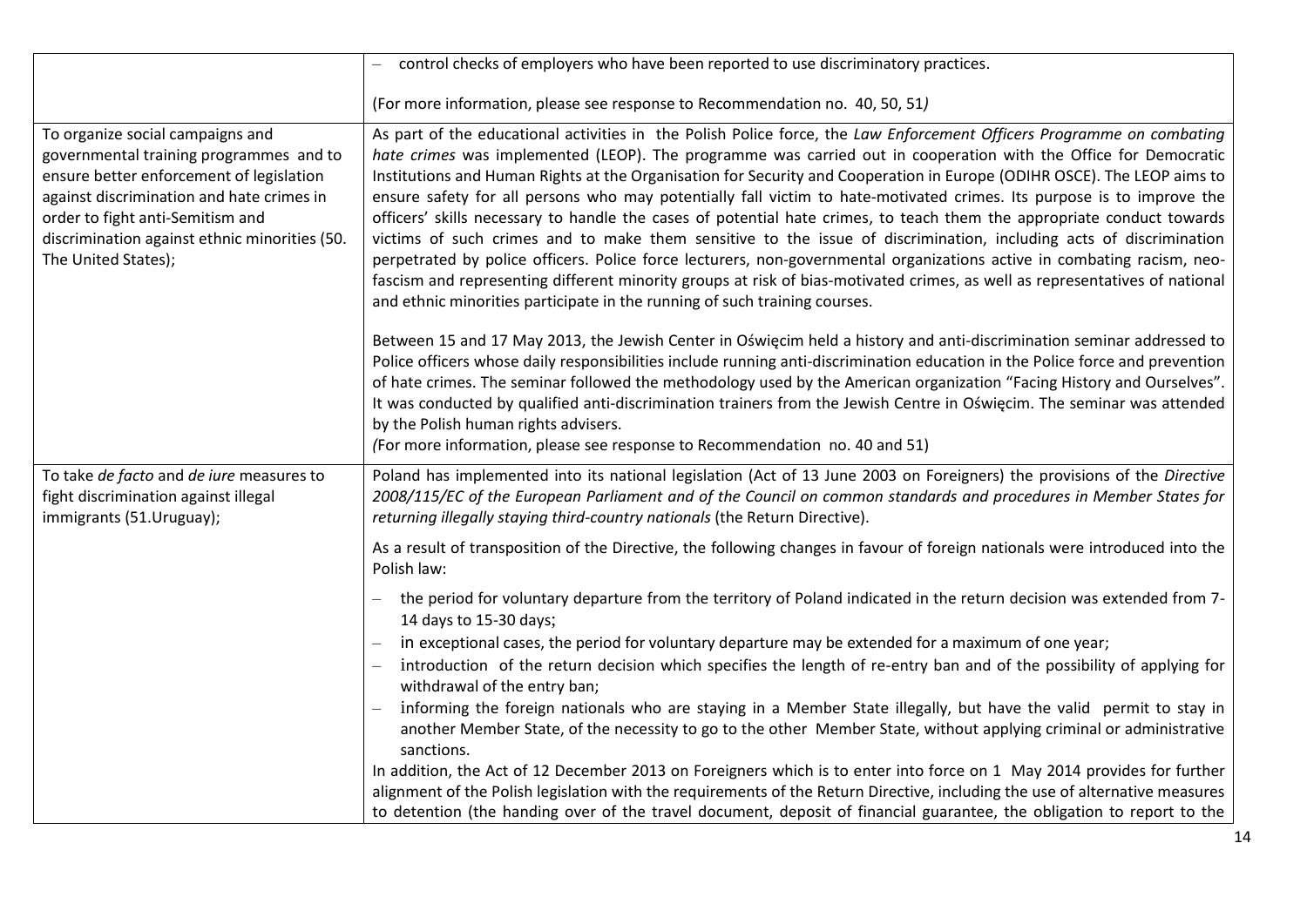|                                                                                                                                                                                                                                                                                  | control checks of employers who have been reported to use discriminatory practices.                                                                                                                                                                                                                                                                                                                                                                                                                                                                                                                                                                                                                                                                                                                                                                                                                                                                                                                                                                                                  |
|----------------------------------------------------------------------------------------------------------------------------------------------------------------------------------------------------------------------------------------------------------------------------------|--------------------------------------------------------------------------------------------------------------------------------------------------------------------------------------------------------------------------------------------------------------------------------------------------------------------------------------------------------------------------------------------------------------------------------------------------------------------------------------------------------------------------------------------------------------------------------------------------------------------------------------------------------------------------------------------------------------------------------------------------------------------------------------------------------------------------------------------------------------------------------------------------------------------------------------------------------------------------------------------------------------------------------------------------------------------------------------|
|                                                                                                                                                                                                                                                                                  | (For more information, please see response to Recommendation no. 40, 50, 51)                                                                                                                                                                                                                                                                                                                                                                                                                                                                                                                                                                                                                                                                                                                                                                                                                                                                                                                                                                                                         |
| To organize social campaigns and<br>governmental training programmes and to<br>ensure better enforcement of legislation<br>against discrimination and hate crimes in<br>order to fight anti-Semitism and<br>discrimination against ethnic minorities (50.<br>The United States); | As part of the educational activities in the Polish Police force, the Law Enforcement Officers Programme on combating<br>hate crimes was implemented (LEOP). The programme was carried out in cooperation with the Office for Democratic<br>Institutions and Human Rights at the Organisation for Security and Cooperation in Europe (ODIHR OSCE). The LEOP aims to<br>ensure safety for all persons who may potentially fall victim to hate-motivated crimes. Its purpose is to improve the<br>officers' skills necessary to handle the cases of potential hate crimes, to teach them the appropriate conduct towards<br>victims of such crimes and to make them sensitive to the issue of discrimination, including acts of discrimination<br>perpetrated by police officers. Police force lecturers, non-governmental organizations active in combating racism, neo-<br>fascism and representing different minority groups at risk of bias-motivated crimes, as well as representatives of national<br>and ethnic minorities participate in the running of such training courses. |
|                                                                                                                                                                                                                                                                                  | Between 15 and 17 May 2013, the Jewish Center in Oświęcim held a history and anti-discrimination seminar addressed to<br>Police officers whose daily responsibilities include running anti-discrimination education in the Police force and prevention<br>of hate crimes. The seminar followed the methodology used by the American organization "Facing History and Ourselves".<br>It was conducted by qualified anti-discrimination trainers from the Jewish Centre in Oświęcim. The seminar was attended<br>by the Polish human rights advisers.<br>(For more information, please see response to Recommendation no. 40 and 51)                                                                                                                                                                                                                                                                                                                                                                                                                                                   |
| To take de facto and de iure measures to<br>fight discrimination against illegal<br>immigrants (51.Uruguay);                                                                                                                                                                     | Poland has implemented into its national legislation (Act of 13 June 2003 on Foreigners) the provisions of the Directive<br>2008/115/EC of the European Parliament and of the Council on common standards and procedures in Member States for<br>returning illegally staying third-country nationals (the Return Directive).                                                                                                                                                                                                                                                                                                                                                                                                                                                                                                                                                                                                                                                                                                                                                         |
|                                                                                                                                                                                                                                                                                  | As a result of transposition of the Directive, the following changes in favour of foreign nationals were introduced into the<br>Polish law:                                                                                                                                                                                                                                                                                                                                                                                                                                                                                                                                                                                                                                                                                                                                                                                                                                                                                                                                          |
|                                                                                                                                                                                                                                                                                  | the period for voluntary departure from the territory of Poland indicated in the return decision was extended from 7-<br>14 days to 15-30 days;                                                                                                                                                                                                                                                                                                                                                                                                                                                                                                                                                                                                                                                                                                                                                                                                                                                                                                                                      |
|                                                                                                                                                                                                                                                                                  | in exceptional cases, the period for voluntary departure may be extended for a maximum of one year;<br>introduction of the return decision which specifies the length of re-entry ban and of the possibility of applying for<br>withdrawal of the entry ban;                                                                                                                                                                                                                                                                                                                                                                                                                                                                                                                                                                                                                                                                                                                                                                                                                         |
|                                                                                                                                                                                                                                                                                  | informing the foreign nationals who are staying in a Member State illegally, but have the valid permit to stay in<br>another Member State, of the necessity to go to the other Member State, without applying criminal or administrative<br>sanctions.                                                                                                                                                                                                                                                                                                                                                                                                                                                                                                                                                                                                                                                                                                                                                                                                                               |
|                                                                                                                                                                                                                                                                                  | In addition, the Act of 12 December 2013 on Foreigners which is to enter into force on 1 May 2014 provides for further                                                                                                                                                                                                                                                                                                                                                                                                                                                                                                                                                                                                                                                                                                                                                                                                                                                                                                                                                               |
|                                                                                                                                                                                                                                                                                  | alignment of the Polish legislation with the requirements of the Return Directive, including the use of alternative measures<br>to detention (the handing over of the travel document, deposit of financial guarantee, the obligation to report to the                                                                                                                                                                                                                                                                                                                                                                                                                                                                                                                                                                                                                                                                                                                                                                                                                               |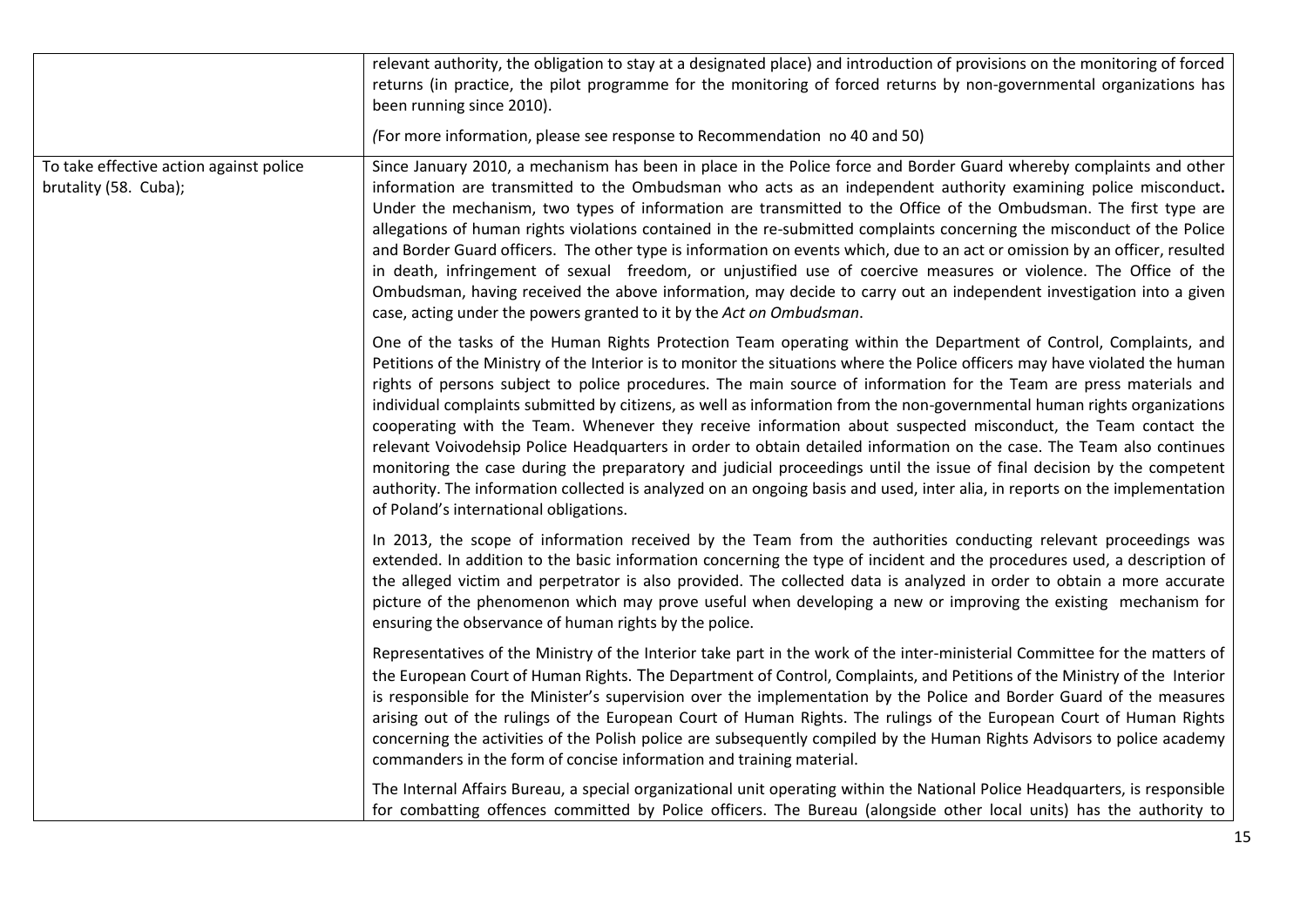|                                                                  | relevant authority, the obligation to stay at a designated place) and introduction of provisions on the monitoring of forced<br>returns (in practice, the pilot programme for the monitoring of forced returns by non-governmental organizations has<br>been running since 2010).<br>(For more information, please see response to Recommendation no 40 and 50)                                                                                                                                                                                                                                                                                                                                                                                                                                                                                                                                                                                                                                                                                  |
|------------------------------------------------------------------|--------------------------------------------------------------------------------------------------------------------------------------------------------------------------------------------------------------------------------------------------------------------------------------------------------------------------------------------------------------------------------------------------------------------------------------------------------------------------------------------------------------------------------------------------------------------------------------------------------------------------------------------------------------------------------------------------------------------------------------------------------------------------------------------------------------------------------------------------------------------------------------------------------------------------------------------------------------------------------------------------------------------------------------------------|
| To take effective action against police<br>brutality (58. Cuba); | Since January 2010, a mechanism has been in place in the Police force and Border Guard whereby complaints and other<br>information are transmitted to the Ombudsman who acts as an independent authority examining police misconduct.<br>Under the mechanism, two types of information are transmitted to the Office of the Ombudsman. The first type are<br>allegations of human rights violations contained in the re-submitted complaints concerning the misconduct of the Police<br>and Border Guard officers. The other type is information on events which, due to an act or omission by an officer, resulted<br>in death, infringement of sexual freedom, or unjustified use of coercive measures or violence. The Office of the<br>Ombudsman, having received the above information, may decide to carry out an independent investigation into a given<br>case, acting under the powers granted to it by the Act on Ombudsman.                                                                                                           |
|                                                                  | One of the tasks of the Human Rights Protection Team operating within the Department of Control, Complaints, and<br>Petitions of the Ministry of the Interior is to monitor the situations where the Police officers may have violated the human<br>rights of persons subject to police procedures. The main source of information for the Team are press materials and<br>individual complaints submitted by citizens, as well as information from the non-governmental human rights organizations<br>cooperating with the Team. Whenever they receive information about suspected misconduct, the Team contact the<br>relevant Voivodehsip Police Headquarters in order to obtain detailed information on the case. The Team also continues<br>monitoring the case during the preparatory and judicial proceedings until the issue of final decision by the competent<br>authority. The information collected is analyzed on an ongoing basis and used, inter alia, in reports on the implementation<br>of Poland's international obligations. |
|                                                                  | In 2013, the scope of information received by the Team from the authorities conducting relevant proceedings was<br>extended. In addition to the basic information concerning the type of incident and the procedures used, a description of<br>the alleged victim and perpetrator is also provided. The collected data is analyzed in order to obtain a more accurate<br>picture of the phenomenon which may prove useful when developing a new or improving the existing mechanism for<br>ensuring the observance of human rights by the police.                                                                                                                                                                                                                                                                                                                                                                                                                                                                                                |
|                                                                  | Representatives of the Ministry of the Interior take part in the work of the inter-ministerial Committee for the matters of<br>the European Court of Human Rights. The Department of Control, Complaints, and Petitions of the Ministry of the Interior<br>is responsible for the Minister's supervision over the implementation by the Police and Border Guard of the measures<br>arising out of the rulings of the European Court of Human Rights. The rulings of the European Court of Human Rights<br>concerning the activities of the Polish police are subsequently compiled by the Human Rights Advisors to police academy<br>commanders in the form of concise information and training material.                                                                                                                                                                                                                                                                                                                                        |
|                                                                  | The Internal Affairs Bureau, a special organizational unit operating within the National Police Headquarters, is responsible<br>for combatting offences committed by Police officers. The Bureau (alongside other local units) has the authority to                                                                                                                                                                                                                                                                                                                                                                                                                                                                                                                                                                                                                                                                                                                                                                                              |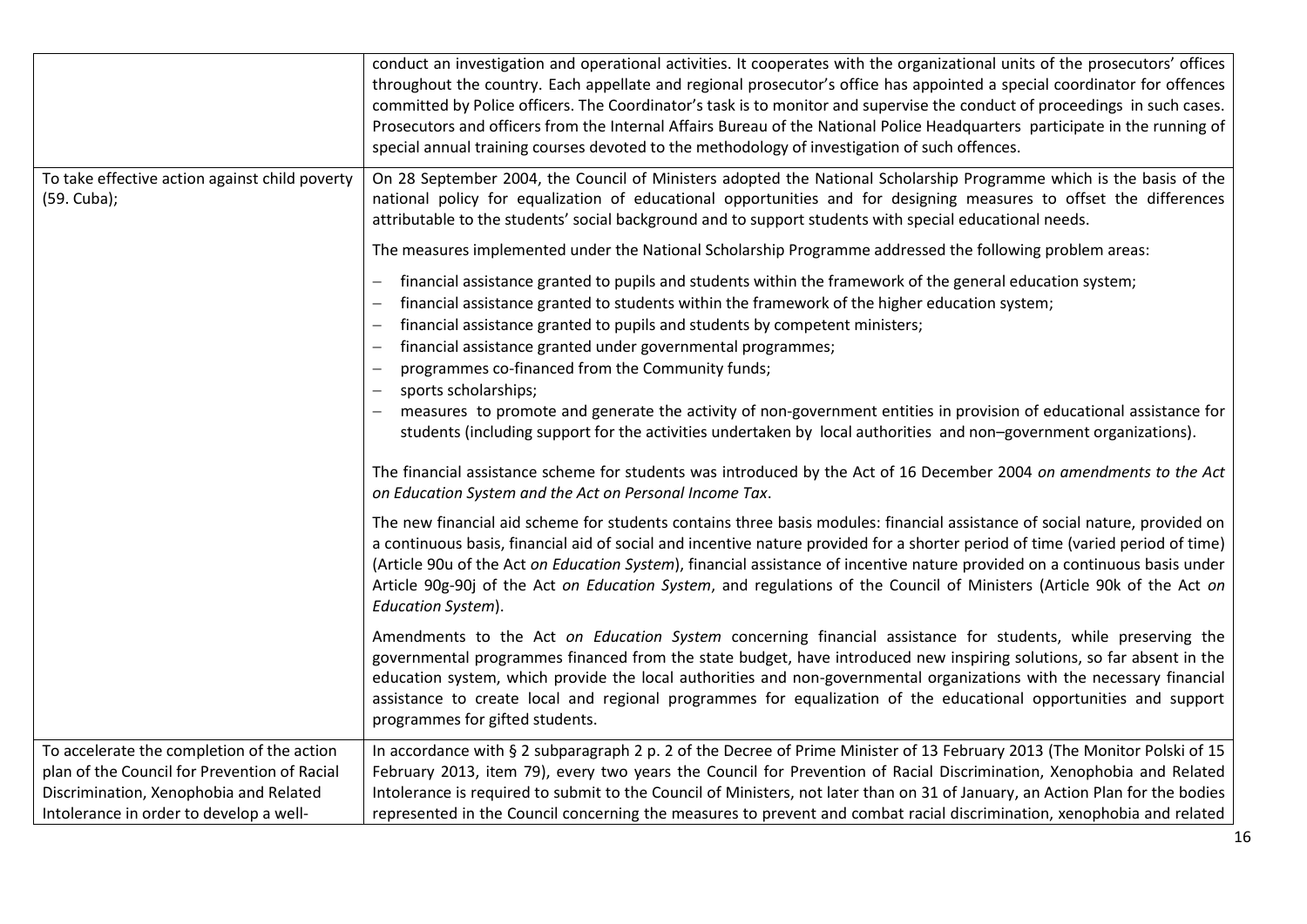|                                                                                                                                                                                 | conduct an investigation and operational activities. It cooperates with the organizational units of the prosecutors' offices<br>throughout the country. Each appellate and regional prosecutor's office has appointed a special coordinator for offences<br>committed by Police officers. The Coordinator's task is to monitor and supervise the conduct of proceedings in such cases.<br>Prosecutors and officers from the Internal Affairs Bureau of the National Police Headquarters participate in the running of<br>special annual training courses devoted to the methodology of investigation of such offences.                                                           |
|---------------------------------------------------------------------------------------------------------------------------------------------------------------------------------|----------------------------------------------------------------------------------------------------------------------------------------------------------------------------------------------------------------------------------------------------------------------------------------------------------------------------------------------------------------------------------------------------------------------------------------------------------------------------------------------------------------------------------------------------------------------------------------------------------------------------------------------------------------------------------|
| To take effective action against child poverty<br>(59. Cuba);                                                                                                                   | On 28 September 2004, the Council of Ministers adopted the National Scholarship Programme which is the basis of the<br>national policy for equalization of educational opportunities and for designing measures to offset the differences<br>attributable to the students' social background and to support students with special educational needs.                                                                                                                                                                                                                                                                                                                             |
|                                                                                                                                                                                 | The measures implemented under the National Scholarship Programme addressed the following problem areas:                                                                                                                                                                                                                                                                                                                                                                                                                                                                                                                                                                         |
|                                                                                                                                                                                 | financial assistance granted to pupils and students within the framework of the general education system;<br>financial assistance granted to students within the framework of the higher education system;<br>financial assistance granted to pupils and students by competent ministers;<br>financial assistance granted under governmental programmes;<br>programmes co-financed from the Community funds;<br>sports scholarships;<br>measures to promote and generate the activity of non-government entities in provision of educational assistance for<br>students (including support for the activities undertaken by local authorities and non-government organizations). |
|                                                                                                                                                                                 | The financial assistance scheme for students was introduced by the Act of 16 December 2004 on amendments to the Act<br>on Education System and the Act on Personal Income Tax.                                                                                                                                                                                                                                                                                                                                                                                                                                                                                                   |
|                                                                                                                                                                                 | The new financial aid scheme for students contains three basis modules: financial assistance of social nature, provided on<br>a continuous basis, financial aid of social and incentive nature provided for a shorter period of time (varied period of time)<br>(Article 90u of the Act on Education System), financial assistance of incentive nature provided on a continuous basis under<br>Article 90g-90j of the Act on Education System, and regulations of the Council of Ministers (Article 90k of the Act on<br>Education System).                                                                                                                                      |
|                                                                                                                                                                                 | Amendments to the Act on Education System concerning financial assistance for students, while preserving the<br>governmental programmes financed from the state budget, have introduced new inspiring solutions, so far absent in the<br>education system, which provide the local authorities and non-governmental organizations with the necessary financial<br>assistance to create local and regional programmes for equalization of the educational opportunities and support<br>programmes for gifted students.                                                                                                                                                            |
| To accelerate the completion of the action<br>plan of the Council for Prevention of Racial<br>Discrimination, Xenophobia and Related<br>Intolerance in order to develop a well- | In accordance with § 2 subparagraph 2 p. 2 of the Decree of Prime Minister of 13 February 2013 (The Monitor Polski of 15<br>February 2013, item 79), every two years the Council for Prevention of Racial Discrimination, Xenophobia and Related<br>Intolerance is required to submit to the Council of Ministers, not later than on 31 of January, an Action Plan for the bodies<br>represented in the Council concerning the measures to prevent and combat racial discrimination, xenophobia and related                                                                                                                                                                      |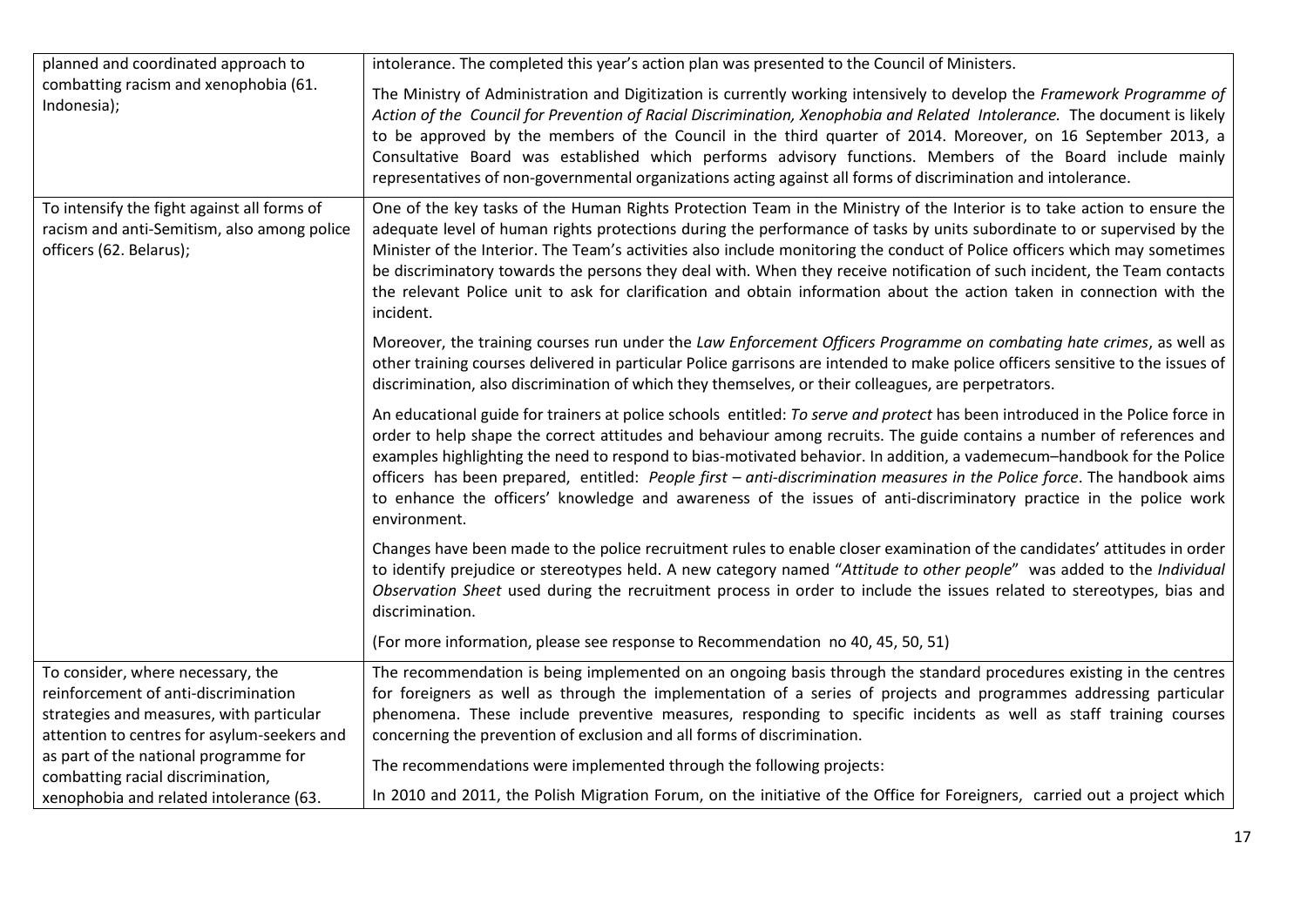| planned and coordinated approach to                                                                                                                                  | intolerance. The completed this year's action plan was presented to the Council of Ministers.                                                                                                                                                                                                                                                                                                                                                                                                                                                                                                                                                        |
|----------------------------------------------------------------------------------------------------------------------------------------------------------------------|------------------------------------------------------------------------------------------------------------------------------------------------------------------------------------------------------------------------------------------------------------------------------------------------------------------------------------------------------------------------------------------------------------------------------------------------------------------------------------------------------------------------------------------------------------------------------------------------------------------------------------------------------|
| combatting racism and xenophobia (61.<br>Indonesia);                                                                                                                 | The Ministry of Administration and Digitization is currently working intensively to develop the Framework Programme of<br>Action of the Council for Prevention of Racial Discrimination, Xenophobia and Related Intolerance. The document is likely<br>to be approved by the members of the Council in the third quarter of 2014. Moreover, on 16 September 2013, a<br>Consultative Board was established which performs advisory functions. Members of the Board include mainly<br>representatives of non-governmental organizations acting against all forms of discrimination and intolerance.                                                    |
| To intensify the fight against all forms of<br>racism and anti-Semitism, also among police<br>officers (62. Belarus);                                                | One of the key tasks of the Human Rights Protection Team in the Ministry of the Interior is to take action to ensure the<br>adequate level of human rights protections during the performance of tasks by units subordinate to or supervised by the<br>Minister of the Interior. The Team's activities also include monitoring the conduct of Police officers which may sometimes<br>be discriminatory towards the persons they deal with. When they receive notification of such incident, the Team contacts<br>the relevant Police unit to ask for clarification and obtain information about the action taken in connection with the<br>incident. |
|                                                                                                                                                                      | Moreover, the training courses run under the Law Enforcement Officers Programme on combating hate crimes, as well as<br>other training courses delivered in particular Police garrisons are intended to make police officers sensitive to the issues of<br>discrimination, also discrimination of which they themselves, or their colleagues, are perpetrators.                                                                                                                                                                                                                                                                                      |
|                                                                                                                                                                      | An educational guide for trainers at police schools entitled: To serve and protect has been introduced in the Police force in<br>order to help shape the correct attitudes and behaviour among recruits. The guide contains a number of references and<br>examples highlighting the need to respond to bias-motivated behavior. In addition, a vademecum-handbook for the Police<br>officers has been prepared, entitled: People first - anti-discrimination measures in the Police force. The handbook aims<br>to enhance the officers' knowledge and awareness of the issues of anti-discriminatory practice in the police work<br>environment.    |
|                                                                                                                                                                      | Changes have been made to the police recruitment rules to enable closer examination of the candidates' attitudes in order<br>to identify prejudice or stereotypes held. A new category named "Attitude to other people" was added to the Individual<br>Observation Sheet used during the recruitment process in order to include the issues related to stereotypes, bias and<br>discrimination.                                                                                                                                                                                                                                                      |
|                                                                                                                                                                      | (For more information, please see response to Recommendation no 40, 45, 50, 51)                                                                                                                                                                                                                                                                                                                                                                                                                                                                                                                                                                      |
| To consider, where necessary, the<br>reinforcement of anti-discrimination<br>strategies and measures, with particular<br>attention to centres for asylum-seekers and | The recommendation is being implemented on an ongoing basis through the standard procedures existing in the centres<br>for foreigners as well as through the implementation of a series of projects and programmes addressing particular<br>phenomena. These include preventive measures, responding to specific incidents as well as staff training courses<br>concerning the prevention of exclusion and all forms of discrimination.                                                                                                                                                                                                              |
| as part of the national programme for<br>combatting racial discrimination,                                                                                           | The recommendations were implemented through the following projects:                                                                                                                                                                                                                                                                                                                                                                                                                                                                                                                                                                                 |
| xenophobia and related intolerance (63.                                                                                                                              | In 2010 and 2011, the Polish Migration Forum, on the initiative of the Office for Foreigners, carried out a project which                                                                                                                                                                                                                                                                                                                                                                                                                                                                                                                            |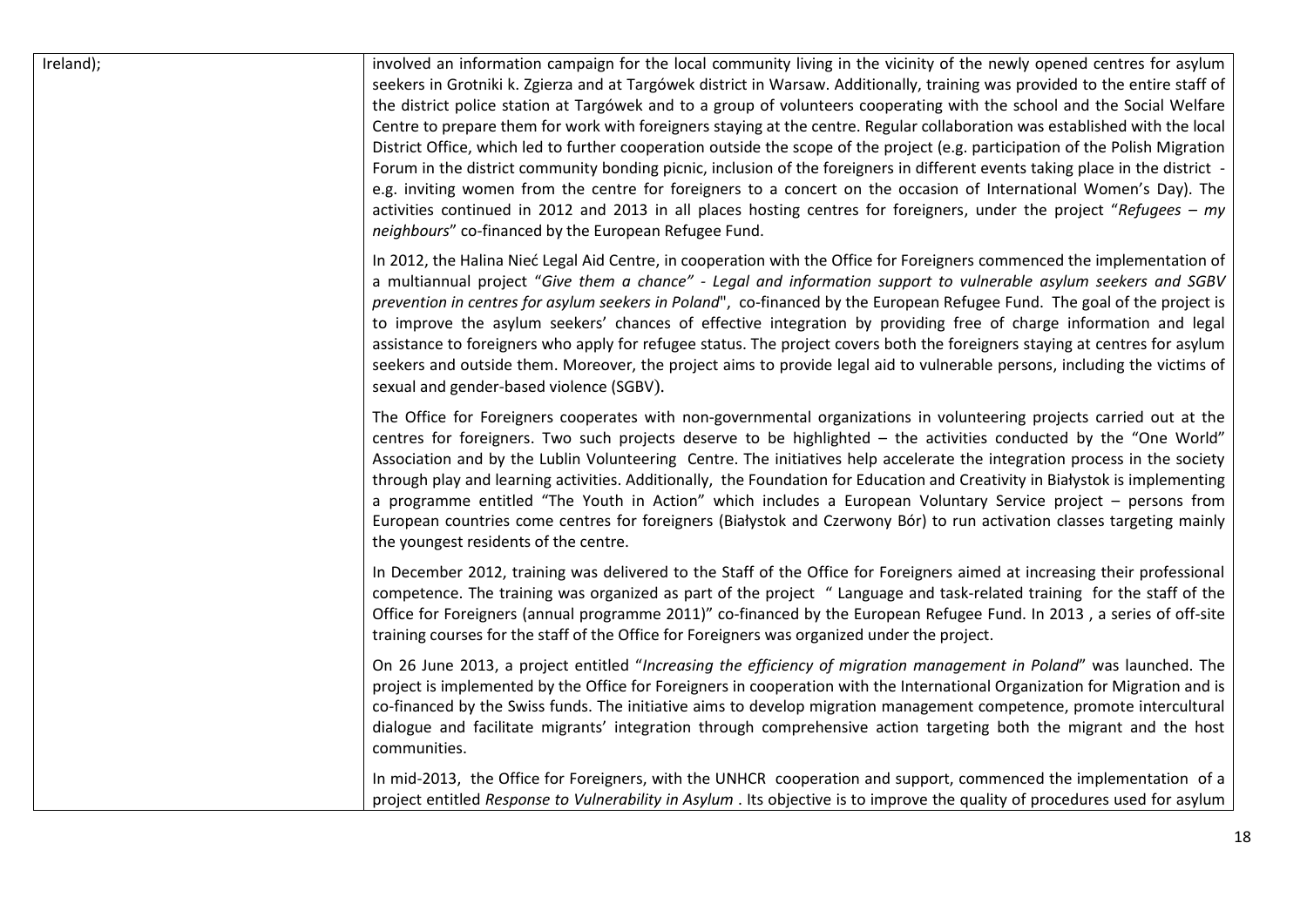| Ireland); | involved an information campaign for the local community living in the vicinity of the newly opened centres for asylum<br>seekers in Grotniki k. Zgierza and at Targówek district in Warsaw. Additionally, training was provided to the entire staff of<br>the district police station at Targówek and to a group of volunteers cooperating with the school and the Social Welfare<br>Centre to prepare them for work with foreigners staying at the centre. Regular collaboration was established with the local<br>District Office, which led to further cooperation outside the scope of the project (e.g. participation of the Polish Migration<br>Forum in the district community bonding picnic, inclusion of the foreigners in different events taking place in the district -<br>e.g. inviting women from the centre for foreigners to a concert on the occasion of International Women's Day). The<br>activities continued in 2012 and 2013 in all places hosting centres for foreigners, under the project "Refugees – my<br>neighbours" co-financed by the European Refugee Fund. |
|-----------|----------------------------------------------------------------------------------------------------------------------------------------------------------------------------------------------------------------------------------------------------------------------------------------------------------------------------------------------------------------------------------------------------------------------------------------------------------------------------------------------------------------------------------------------------------------------------------------------------------------------------------------------------------------------------------------------------------------------------------------------------------------------------------------------------------------------------------------------------------------------------------------------------------------------------------------------------------------------------------------------------------------------------------------------------------------------------------------------|
|           | In 2012, the Halina Nieć Legal Aid Centre, in cooperation with the Office for Foreigners commenced the implementation of<br>a multiannual project "Give them a chance" - Legal and information support to vulnerable asylum seekers and SGBV<br>prevention in centres for asylum seekers in Poland", co-financed by the European Refugee Fund. The goal of the project is<br>to improve the asylum seekers' chances of effective integration by providing free of charge information and legal<br>assistance to foreigners who apply for refugee status. The project covers both the foreigners staying at centres for asylum<br>seekers and outside them. Moreover, the project aims to provide legal aid to vulnerable persons, including the victims of<br>sexual and gender-based violence (SGBV).                                                                                                                                                                                                                                                                                       |
|           | The Office for Foreigners cooperates with non-governmental organizations in volunteering projects carried out at the<br>centres for foreigners. Two such projects deserve to be highlighted - the activities conducted by the "One World"<br>Association and by the Lublin Volunteering Centre. The initiatives help accelerate the integration process in the society<br>through play and learning activities. Additionally, the Foundation for Education and Creativity in Białystok is implementing<br>a programme entitled "The Youth in Action" which includes a European Voluntary Service project – persons from<br>European countries come centres for foreigners (Białystok and Czerwony Bór) to run activation classes targeting mainly<br>the youngest residents of the centre.                                                                                                                                                                                                                                                                                                   |
|           | In December 2012, training was delivered to the Staff of the Office for Foreigners aimed at increasing their professional<br>competence. The training was organized as part of the project " Language and task-related training for the staff of the<br>Office for Foreigners (annual programme 2011)" co-financed by the European Refugee Fund. In 2013, a series of off-site<br>training courses for the staff of the Office for Foreigners was organized under the project.                                                                                                                                                                                                                                                                                                                                                                                                                                                                                                                                                                                                               |
|           | On 26 June 2013, a project entitled "Increasing the efficiency of migration management in Poland" was launched. The<br>project is implemented by the Office for Foreigners in cooperation with the International Organization for Migration and is<br>co-financed by the Swiss funds. The initiative aims to develop migration management competence, promote intercultural<br>dialogue and facilitate migrants' integration through comprehensive action targeting both the migrant and the host<br>communities.                                                                                                                                                                                                                                                                                                                                                                                                                                                                                                                                                                            |
|           | In mid-2013, the Office for Foreigners, with the UNHCR cooperation and support, commenced the implementation of a<br>project entitled Response to Vulnerability in Asylum. Its objective is to improve the quality of procedures used for asylum                                                                                                                                                                                                                                                                                                                                                                                                                                                                                                                                                                                                                                                                                                                                                                                                                                             |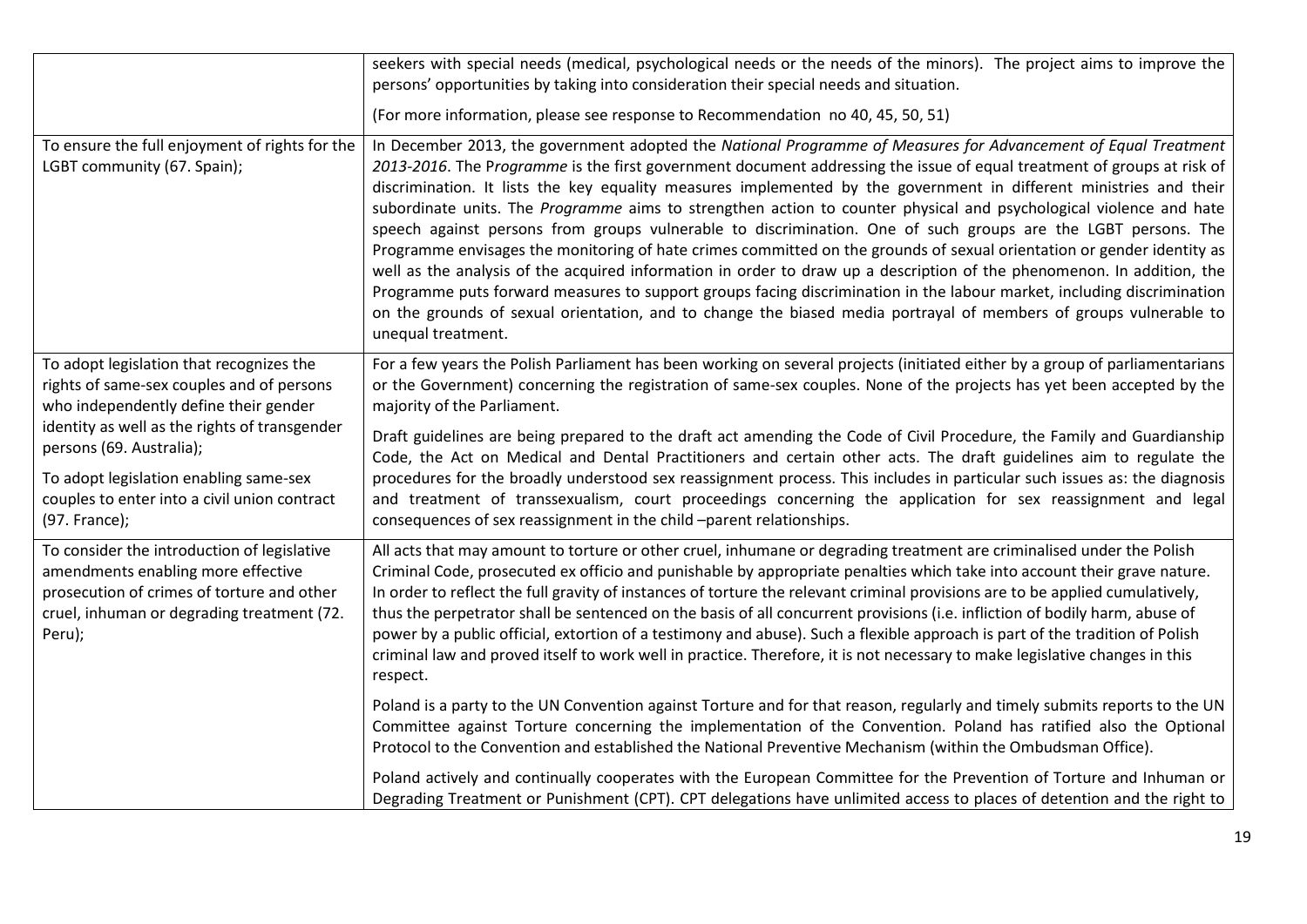|                                                                                                                                                                                                                                                                                                                        | seekers with special needs (medical, psychological needs or the needs of the minors). The project aims to improve the<br>persons' opportunities by taking into consideration their special needs and situation.                                                                                                                                                                                                                                                                                                                                                                                                                                                                                                                                                                                                                                                                                                                                                                                                                                                                                                                |
|------------------------------------------------------------------------------------------------------------------------------------------------------------------------------------------------------------------------------------------------------------------------------------------------------------------------|--------------------------------------------------------------------------------------------------------------------------------------------------------------------------------------------------------------------------------------------------------------------------------------------------------------------------------------------------------------------------------------------------------------------------------------------------------------------------------------------------------------------------------------------------------------------------------------------------------------------------------------------------------------------------------------------------------------------------------------------------------------------------------------------------------------------------------------------------------------------------------------------------------------------------------------------------------------------------------------------------------------------------------------------------------------------------------------------------------------------------------|
|                                                                                                                                                                                                                                                                                                                        | (For more information, please see response to Recommendation no 40, 45, 50, 51)                                                                                                                                                                                                                                                                                                                                                                                                                                                                                                                                                                                                                                                                                                                                                                                                                                                                                                                                                                                                                                                |
| To ensure the full enjoyment of rights for the<br>LGBT community (67. Spain);                                                                                                                                                                                                                                          | In December 2013, the government adopted the National Programme of Measures for Advancement of Equal Treatment<br>2013-2016. The Programme is the first government document addressing the issue of equal treatment of groups at risk of<br>discrimination. It lists the key equality measures implemented by the government in different ministries and their<br>subordinate units. The Programme aims to strengthen action to counter physical and psychological violence and hate<br>speech against persons from groups vulnerable to discrimination. One of such groups are the LGBT persons. The<br>Programme envisages the monitoring of hate crimes committed on the grounds of sexual orientation or gender identity as<br>well as the analysis of the acquired information in order to draw up a description of the phenomenon. In addition, the<br>Programme puts forward measures to support groups facing discrimination in the labour market, including discrimination<br>on the grounds of sexual orientation, and to change the biased media portrayal of members of groups vulnerable to<br>unequal treatment. |
| To adopt legislation that recognizes the<br>rights of same-sex couples and of persons<br>who independently define their gender<br>identity as well as the rights of transgender<br>persons (69. Australia);<br>To adopt legislation enabling same-sex<br>couples to enter into a civil union contract<br>(97. France); | For a few years the Polish Parliament has been working on several projects (initiated either by a group of parliamentarians<br>or the Government) concerning the registration of same-sex couples. None of the projects has yet been accepted by the<br>majority of the Parliament.<br>Draft guidelines are being prepared to the draft act amending the Code of Civil Procedure, the Family and Guardianship<br>Code, the Act on Medical and Dental Practitioners and certain other acts. The draft guidelines aim to regulate the<br>procedures for the broadly understood sex reassignment process. This includes in particular such issues as: the diagnosis<br>and treatment of transsexualism, court proceedings concerning the application for sex reassignment and legal<br>consequences of sex reassignment in the child -parent relationships.                                                                                                                                                                                                                                                                       |
| To consider the introduction of legislative<br>amendments enabling more effective<br>prosecution of crimes of torture and other<br>cruel, inhuman or degrading treatment (72.<br>Peru);                                                                                                                                | All acts that may amount to torture or other cruel, inhumane or degrading treatment are criminalised under the Polish<br>Criminal Code, prosecuted ex officio and punishable by appropriate penalties which take into account their grave nature.<br>In order to reflect the full gravity of instances of torture the relevant criminal provisions are to be applied cumulatively,<br>thus the perpetrator shall be sentenced on the basis of all concurrent provisions (i.e. infliction of bodily harm, abuse of<br>power by a public official, extortion of a testimony and abuse). Such a flexible approach is part of the tradition of Polish<br>criminal law and proved itself to work well in practice. Therefore, it is not necessary to make legislative changes in this<br>respect.                                                                                                                                                                                                                                                                                                                                   |
|                                                                                                                                                                                                                                                                                                                        | Poland is a party to the UN Convention against Torture and for that reason, regularly and timely submits reports to the UN<br>Committee against Torture concerning the implementation of the Convention. Poland has ratified also the Optional<br>Protocol to the Convention and established the National Preventive Mechanism (within the Ombudsman Office).                                                                                                                                                                                                                                                                                                                                                                                                                                                                                                                                                                                                                                                                                                                                                                  |
|                                                                                                                                                                                                                                                                                                                        | Poland actively and continually cooperates with the European Committee for the Prevention of Torture and Inhuman or<br>Degrading Treatment or Punishment (CPT). CPT delegations have unlimited access to places of detention and the right to                                                                                                                                                                                                                                                                                                                                                                                                                                                                                                                                                                                                                                                                                                                                                                                                                                                                                  |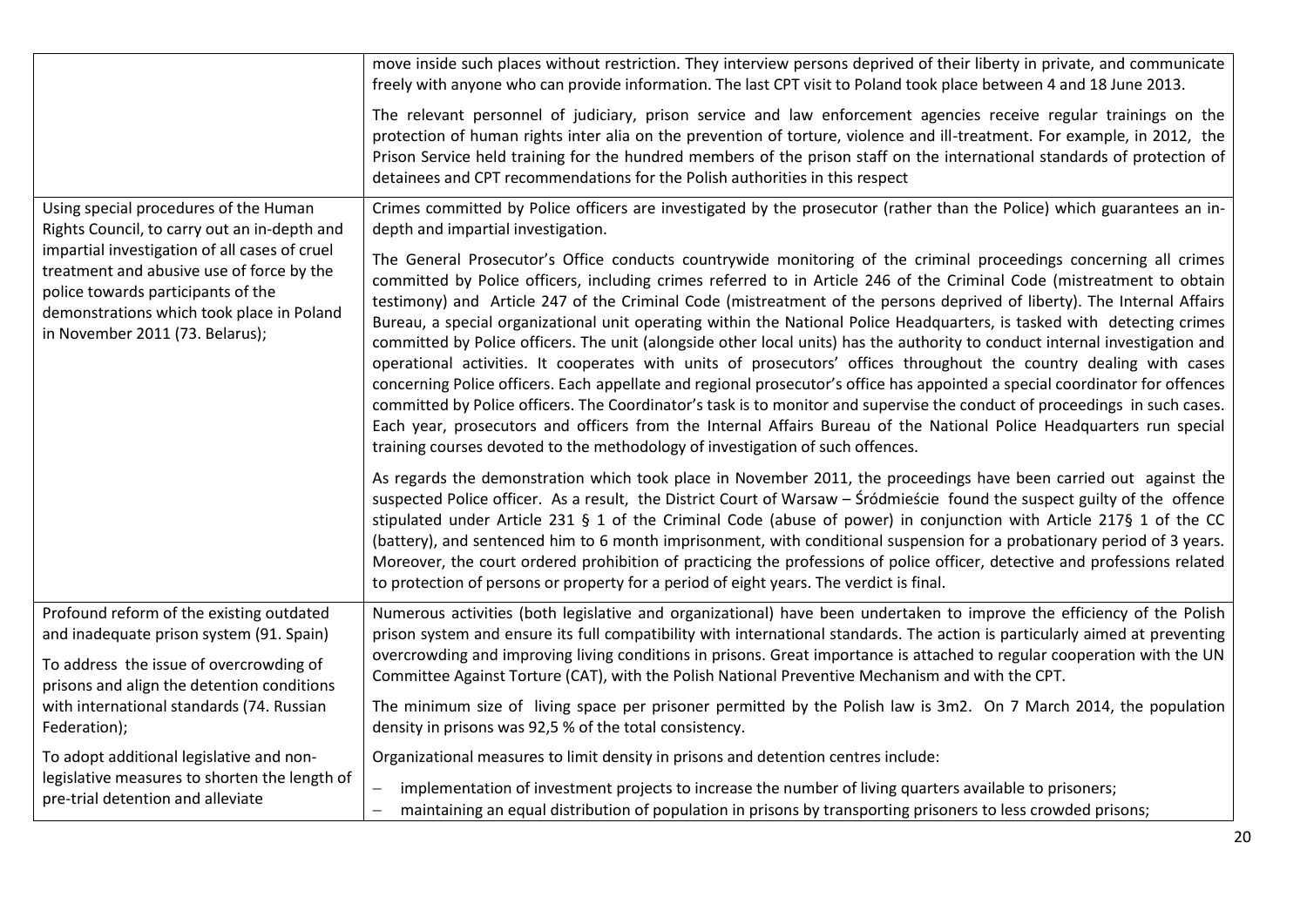|                                                                                                                                                                                                                  | move inside such places without restriction. They interview persons deprived of their liberty in private, and communicate<br>freely with anyone who can provide information. The last CPT visit to Poland took place between 4 and 18 June 2013.                                                                                                                                                                                                                                                                                                                                                                                                                                                                                                                                                                                                                                                                                                                                                                                                                                                                                                                                                                                 |
|------------------------------------------------------------------------------------------------------------------------------------------------------------------------------------------------------------------|----------------------------------------------------------------------------------------------------------------------------------------------------------------------------------------------------------------------------------------------------------------------------------------------------------------------------------------------------------------------------------------------------------------------------------------------------------------------------------------------------------------------------------------------------------------------------------------------------------------------------------------------------------------------------------------------------------------------------------------------------------------------------------------------------------------------------------------------------------------------------------------------------------------------------------------------------------------------------------------------------------------------------------------------------------------------------------------------------------------------------------------------------------------------------------------------------------------------------------|
|                                                                                                                                                                                                                  | The relevant personnel of judiciary, prison service and law enforcement agencies receive regular trainings on the<br>protection of human rights inter alia on the prevention of torture, violence and ill-treatment. For example, in 2012, the<br>Prison Service held training for the hundred members of the prison staff on the international standards of protection of<br>detainees and CPT recommendations for the Polish authorities in this respect                                                                                                                                                                                                                                                                                                                                                                                                                                                                                                                                                                                                                                                                                                                                                                       |
| Using special procedures of the Human<br>Rights Council, to carry out an in-depth and                                                                                                                            | Crimes committed by Police officers are investigated by the prosecutor (rather than the Police) which guarantees an in-<br>depth and impartial investigation.                                                                                                                                                                                                                                                                                                                                                                                                                                                                                                                                                                                                                                                                                                                                                                                                                                                                                                                                                                                                                                                                    |
| impartial investigation of all cases of cruel<br>treatment and abusive use of force by the<br>police towards participants of the<br>demonstrations which took place in Poland<br>in November 2011 (73. Belarus); | The General Prosecutor's Office conducts countrywide monitoring of the criminal proceedings concerning all crimes<br>committed by Police officers, including crimes referred to in Article 246 of the Criminal Code (mistreatment to obtain<br>testimony) and Article 247 of the Criminal Code (mistreatment of the persons deprived of liberty). The Internal Affairs<br>Bureau, a special organizational unit operating within the National Police Headquarters, is tasked with detecting crimes<br>committed by Police officers. The unit (alongside other local units) has the authority to conduct internal investigation and<br>operational activities. It cooperates with units of prosecutors' offices throughout the country dealing with cases<br>concerning Police officers. Each appellate and regional prosecutor's office has appointed a special coordinator for offences<br>committed by Police officers. The Coordinator's task is to monitor and supervise the conduct of proceedings in such cases.<br>Each year, prosecutors and officers from the Internal Affairs Bureau of the National Police Headquarters run special<br>training courses devoted to the methodology of investigation of such offences. |
|                                                                                                                                                                                                                  | As regards the demonstration which took place in November 2011, the proceedings have been carried out against the<br>suspected Police officer. As a result, the District Court of Warsaw - Śródmieście found the suspect guilty of the offence<br>stipulated under Article 231 § 1 of the Criminal Code (abuse of power) in conjunction with Article 217§ 1 of the CC<br>(battery), and sentenced him to 6 month imprisonment, with conditional suspension for a probationary period of 3 years.<br>Moreover, the court ordered prohibition of practicing the professions of police officer, detective and professions related<br>to protection of persons or property for a period of eight years. The verdict is final.                                                                                                                                                                                                                                                                                                                                                                                                                                                                                                        |
| Profound reform of the existing outdated<br>and inadequate prison system (91. Spain)                                                                                                                             | Numerous activities (both legislative and organizational) have been undertaken to improve the efficiency of the Polish<br>prison system and ensure its full compatibility with international standards. The action is particularly aimed at preventing                                                                                                                                                                                                                                                                                                                                                                                                                                                                                                                                                                                                                                                                                                                                                                                                                                                                                                                                                                           |
| To address the issue of overcrowding of<br>prisons and align the detention conditions                                                                                                                            | overcrowding and improving living conditions in prisons. Great importance is attached to regular cooperation with the UN<br>Committee Against Torture (CAT), with the Polish National Preventive Mechanism and with the CPT.                                                                                                                                                                                                                                                                                                                                                                                                                                                                                                                                                                                                                                                                                                                                                                                                                                                                                                                                                                                                     |
| with international standards (74. Russian<br>Federation);                                                                                                                                                        | The minimum size of living space per prisoner permitted by the Polish law is 3m2. On 7 March 2014, the population<br>density in prisons was 92,5 % of the total consistency.                                                                                                                                                                                                                                                                                                                                                                                                                                                                                                                                                                                                                                                                                                                                                                                                                                                                                                                                                                                                                                                     |
| To adopt additional legislative and non-<br>legislative measures to shorten the length of<br>pre-trial detention and alleviate                                                                                   | Organizational measures to limit density in prisons and detention centres include:                                                                                                                                                                                                                                                                                                                                                                                                                                                                                                                                                                                                                                                                                                                                                                                                                                                                                                                                                                                                                                                                                                                                               |
|                                                                                                                                                                                                                  | implementation of investment projects to increase the number of living quarters available to prisoners;<br>maintaining an equal distribution of population in prisons by transporting prisoners to less crowded prisons;                                                                                                                                                                                                                                                                                                                                                                                                                                                                                                                                                                                                                                                                                                                                                                                                                                                                                                                                                                                                         |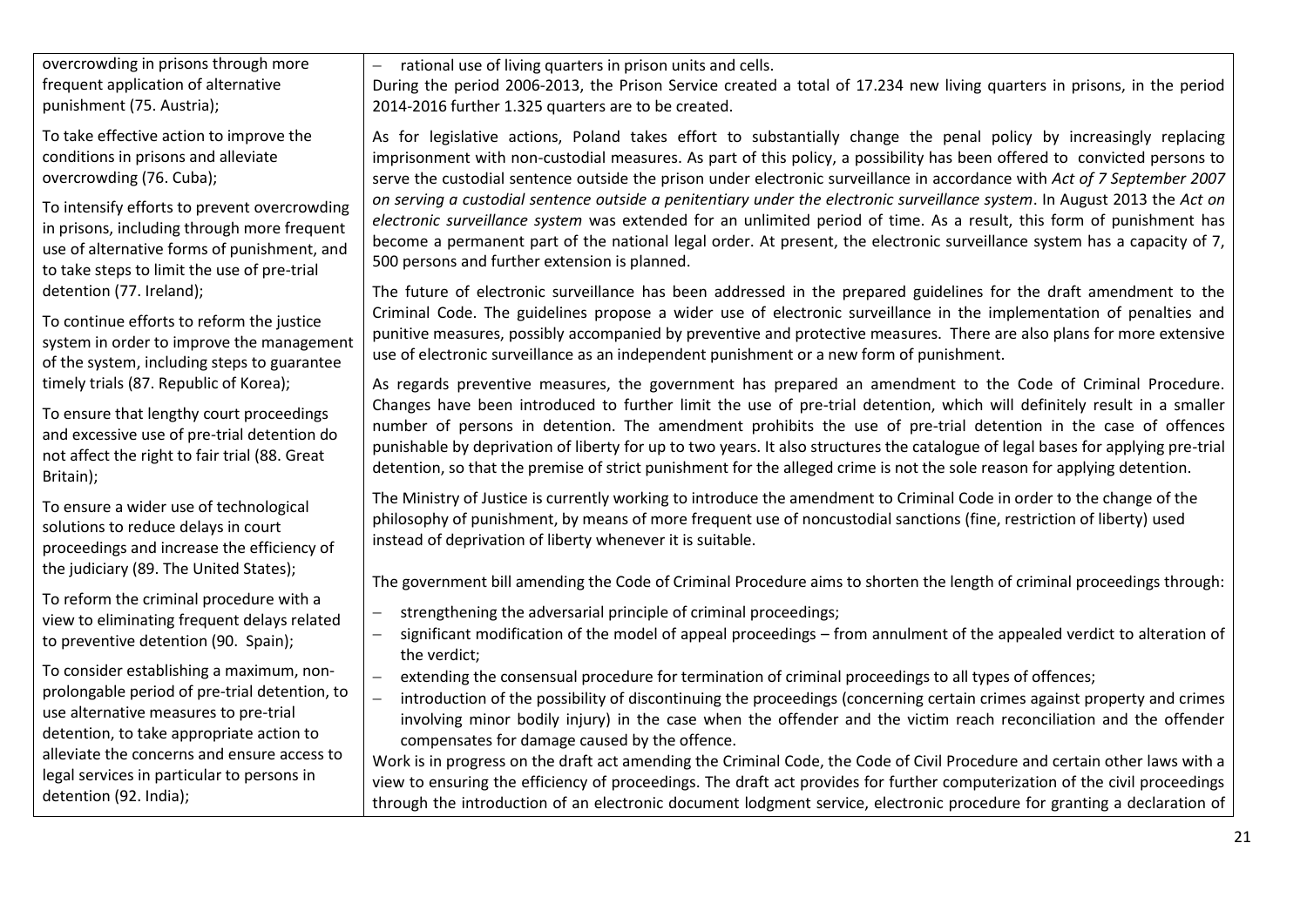overcrowding in prisons through more frequent application of alternative punishment (75. Austria);

To take effective action to improve the conditions in prisons and alleviate overcrowding (76. Cuba);

To intensify efforts to prevent overcrowding in prisons, including through more frequent use of alternative forms of punishment, and to take steps to limit the use of pre-trial detention (77. Ireland);

To continue efforts to reform the justice system in order to improve the management of the system, including steps to guarantee timely trials (87. Republic of Korea);

To ensure that lengthy court proceedings and excessive use of pre-trial detention do not affect the right to fair trial (88. Great Britain);

To ensure a wider use of technological solutions to reduce delays in court proceedings and increase the efficiency of the judiciary (89. The United States);

To reform the criminal procedure with a view to eliminating frequent delays related to preventive detention (90. Spain);

To consider establishing a maximum, nonprolongable period of pre-trial detention, to use alternative measures to pre-trial detention, to take appropriate action to alleviate the concerns and ensure access to legal services in particular to persons in detention (92. India);

rational use of living quarters in prison units and cells.

During the period 2006-2013, the Prison Service created a total of 17.234 new living quarters in prisons, in the period 2014-2016 further 1.325 quarters are to be created.

As for legislative actions, Poland takes effort to substantially change the penal policy by increasingly replacing imprisonment with non-custodial measures. As part of this policy, a possibility has been offered to convicted persons to serve the custodial sentence outside the prison under electronic surveillance in accordance with *Act of 7 September 2007 on serving a custodial sentence outside a penitentiary under the electronic surveillance system*. In August 2013 the *Act on electronic surveillance system* was extended for an unlimited period of time. As a result, this form of punishment has become a permanent part of the national legal order. At present, the electronic surveillance system has a capacity of 7, 500 persons and further extension is planned.

The future of electronic surveillance has been addressed in the prepared guidelines for the draft amendment to the Criminal Code. The guidelines propose a wider use of electronic surveillance in the implementation of penalties and punitive measures, possibly accompanied by preventive and protective measures. There are also plans for more extensive use of electronic surveillance as an independent punishment or a new form of punishment.

As regards preventive measures, the government has prepared an amendment to the Code of Criminal Procedure. Changes have been introduced to further limit the use of pre-trial detention, which will definitely result in a smaller number of persons in detention. The amendment prohibits the use of pre-trial detention in the case of offences punishable by deprivation of liberty for up to two years. It also structures the catalogue of legal bases for applying pre-trial detention, so that the premise of strict punishment for the alleged crime is not the sole reason for applying detention.

The Ministry of Justice is currently working to introduce the amendment to Criminal Code in order to the change of the philosophy of punishment, by means of more frequent use of noncustodial sanctions (fine, restriction of liberty) used instead of deprivation of liberty whenever it is suitable.

The government bill amending the Code of Criminal Procedure aims to shorten the length of criminal proceedings through:

- strengthening the adversarial principle of criminal proceedings;
- significant modification of the model of appeal proceedings from annulment of the appealed verdict to alteration of the verdict;
- extending the consensual procedure for termination of criminal proceedings to all types of offences;
- introduction of the possibility of discontinuing the proceedings (concerning certain crimes against property and crimes involving minor bodily injury) in the case when the offender and the victim reach reconciliation and the offender compensates for damage caused by the offence.

Work is in progress on the draft act amending the Criminal Code, the Code of Civil Procedure and certain other laws with a view to ensuring the efficiency of proceedings. The draft act provides for further computerization of the civil proceedings through the introduction of an electronic document lodgment service, electronic procedure for granting a declaration of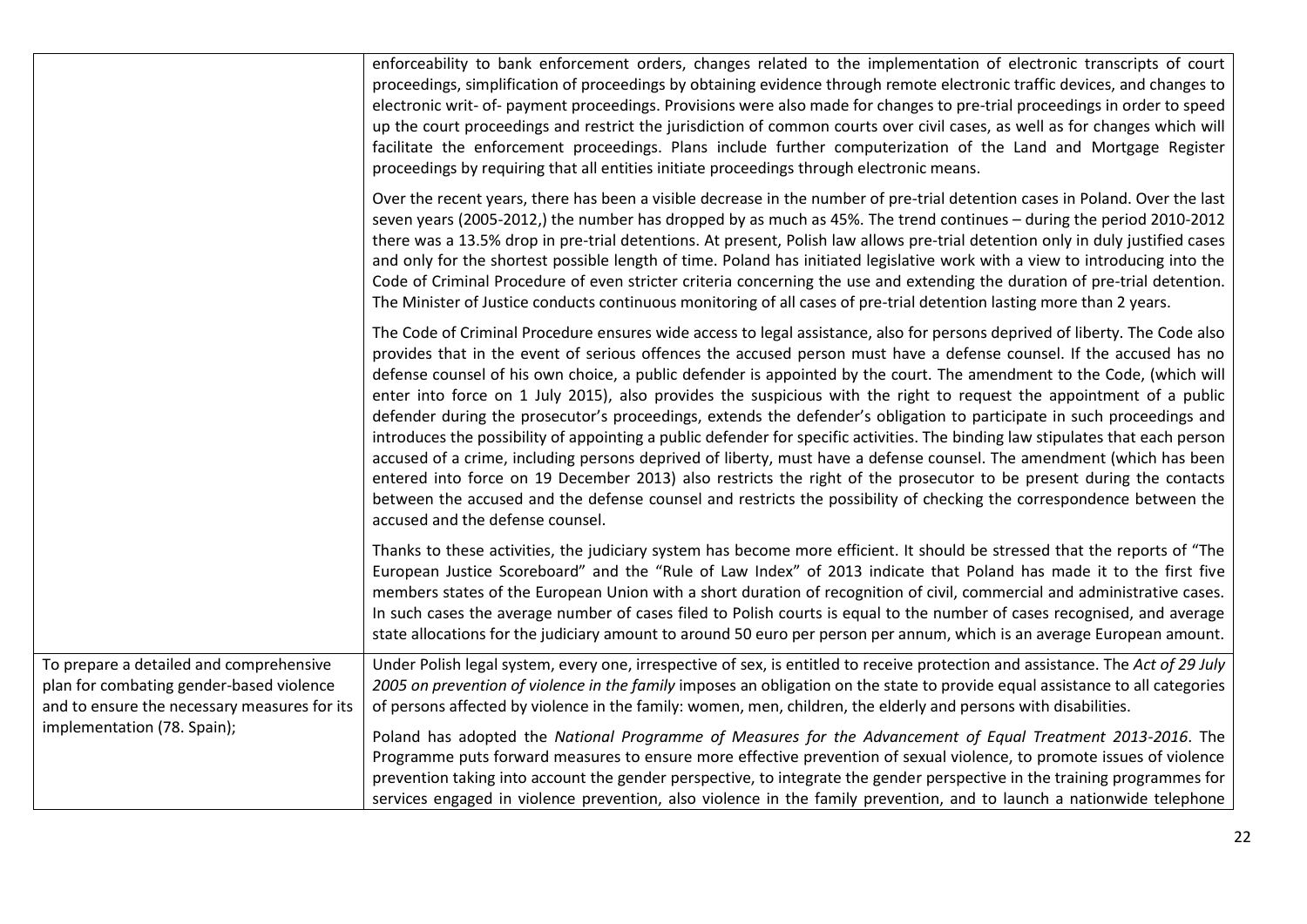|                                                                                                                                     | enforceability to bank enforcement orders, changes related to the implementation of electronic transcripts of court<br>proceedings, simplification of proceedings by obtaining evidence through remote electronic traffic devices, and changes to<br>electronic writ- of- payment proceedings. Provisions were also made for changes to pre-trial proceedings in order to speed<br>up the court proceedings and restrict the jurisdiction of common courts over civil cases, as well as for changes which will<br>facilitate the enforcement proceedings. Plans include further computerization of the Land and Mortgage Register<br>proceedings by requiring that all entities initiate proceedings through electronic means.                                                                                                                                                                                                                                                                                                                                                                                                                                                  |
|-------------------------------------------------------------------------------------------------------------------------------------|---------------------------------------------------------------------------------------------------------------------------------------------------------------------------------------------------------------------------------------------------------------------------------------------------------------------------------------------------------------------------------------------------------------------------------------------------------------------------------------------------------------------------------------------------------------------------------------------------------------------------------------------------------------------------------------------------------------------------------------------------------------------------------------------------------------------------------------------------------------------------------------------------------------------------------------------------------------------------------------------------------------------------------------------------------------------------------------------------------------------------------------------------------------------------------|
|                                                                                                                                     | Over the recent years, there has been a visible decrease in the number of pre-trial detention cases in Poland. Over the last<br>seven years (2005-2012,) the number has dropped by as much as 45%. The trend continues - during the period 2010-2012<br>there was a 13.5% drop in pre-trial detentions. At present, Polish law allows pre-trial detention only in duly justified cases<br>and only for the shortest possible length of time. Poland has initiated legislative work with a view to introducing into the<br>Code of Criminal Procedure of even stricter criteria concerning the use and extending the duration of pre-trial detention.<br>The Minister of Justice conducts continuous monitoring of all cases of pre-trial detention lasting more than 2 years.                                                                                                                                                                                                                                                                                                                                                                                                   |
|                                                                                                                                     | The Code of Criminal Procedure ensures wide access to legal assistance, also for persons deprived of liberty. The Code also<br>provides that in the event of serious offences the accused person must have a defense counsel. If the accused has no<br>defense counsel of his own choice, a public defender is appointed by the court. The amendment to the Code, (which will<br>enter into force on 1 July 2015), also provides the suspicious with the right to request the appointment of a public<br>defender during the prosecutor's proceedings, extends the defender's obligation to participate in such proceedings and<br>introduces the possibility of appointing a public defender for specific activities. The binding law stipulates that each person<br>accused of a crime, including persons deprived of liberty, must have a defense counsel. The amendment (which has been<br>entered into force on 19 December 2013) also restricts the right of the prosecutor to be present during the contacts<br>between the accused and the defense counsel and restricts the possibility of checking the correspondence between the<br>accused and the defense counsel. |
|                                                                                                                                     | Thanks to these activities, the judiciary system has become more efficient. It should be stressed that the reports of "The<br>European Justice Scoreboard" and the "Rule of Law Index" of 2013 indicate that Poland has made it to the first five<br>members states of the European Union with a short duration of recognition of civil, commercial and administrative cases.<br>In such cases the average number of cases filed to Polish courts is equal to the number of cases recognised, and average<br>state allocations for the judiciary amount to around 50 euro per person per annum, which is an average European amount.                                                                                                                                                                                                                                                                                                                                                                                                                                                                                                                                            |
| To prepare a detailed and comprehensive<br>plan for combating gender-based violence<br>and to ensure the necessary measures for its | Under Polish legal system, every one, irrespective of sex, is entitled to receive protection and assistance. The Act of 29 July<br>2005 on prevention of violence in the family imposes an obligation on the state to provide equal assistance to all categories<br>of persons affected by violence in the family: women, men, children, the elderly and persons with disabilities.                                                                                                                                                                                                                                                                                                                                                                                                                                                                                                                                                                                                                                                                                                                                                                                             |
| implementation (78. Spain);                                                                                                         | Poland has adopted the National Programme of Measures for the Advancement of Equal Treatment 2013-2016. The<br>Programme puts forward measures to ensure more effective prevention of sexual violence, to promote issues of violence<br>prevention taking into account the gender perspective, to integrate the gender perspective in the training programmes for<br>services engaged in violence prevention, also violence in the family prevention, and to launch a nationwide telephone                                                                                                                                                                                                                                                                                                                                                                                                                                                                                                                                                                                                                                                                                      |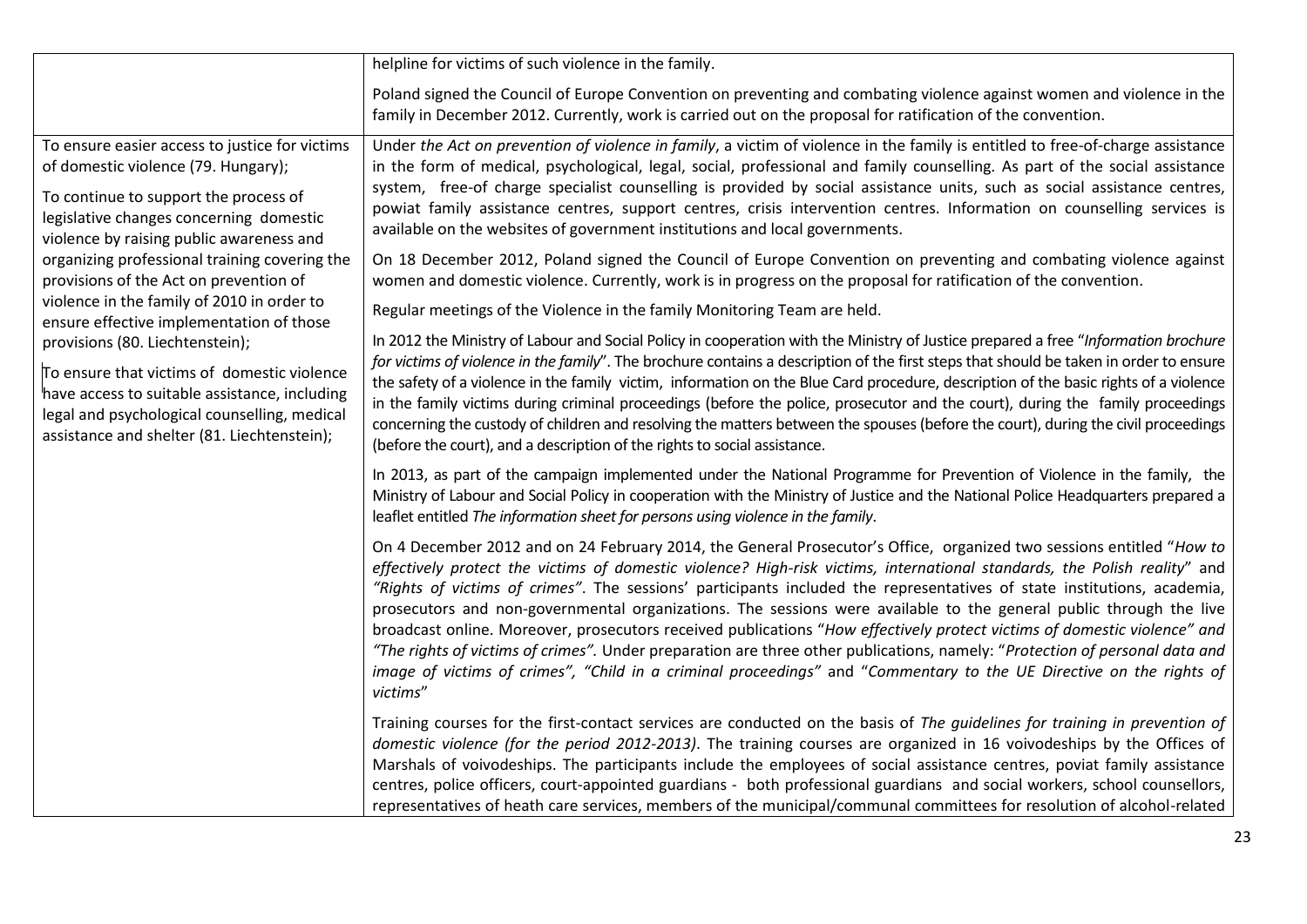|                                                                                                                                                                                                                                                                                                                                                                                                                                                                                                                                                                                                                                              | helpline for victims of such violence in the family.                                                                                                                                                                                                                                                                                                                                                                                                                                                                                                                                                                                                                                                                                                                                                                                                                                                                                                                                                                                                                                                                                                                                                                                                                                                                                                                                                                                                                                                                                                                                                                                                                                                                                                                                                                                                                                                                                                                                                                                                 |
|----------------------------------------------------------------------------------------------------------------------------------------------------------------------------------------------------------------------------------------------------------------------------------------------------------------------------------------------------------------------------------------------------------------------------------------------------------------------------------------------------------------------------------------------------------------------------------------------------------------------------------------------|------------------------------------------------------------------------------------------------------------------------------------------------------------------------------------------------------------------------------------------------------------------------------------------------------------------------------------------------------------------------------------------------------------------------------------------------------------------------------------------------------------------------------------------------------------------------------------------------------------------------------------------------------------------------------------------------------------------------------------------------------------------------------------------------------------------------------------------------------------------------------------------------------------------------------------------------------------------------------------------------------------------------------------------------------------------------------------------------------------------------------------------------------------------------------------------------------------------------------------------------------------------------------------------------------------------------------------------------------------------------------------------------------------------------------------------------------------------------------------------------------------------------------------------------------------------------------------------------------------------------------------------------------------------------------------------------------------------------------------------------------------------------------------------------------------------------------------------------------------------------------------------------------------------------------------------------------------------------------------------------------------------------------------------------------|
|                                                                                                                                                                                                                                                                                                                                                                                                                                                                                                                                                                                                                                              | Poland signed the Council of Europe Convention on preventing and combating violence against women and violence in the<br>family in December 2012. Currently, work is carried out on the proposal for ratification of the convention.                                                                                                                                                                                                                                                                                                                                                                                                                                                                                                                                                                                                                                                                                                                                                                                                                                                                                                                                                                                                                                                                                                                                                                                                                                                                                                                                                                                                                                                                                                                                                                                                                                                                                                                                                                                                                 |
| To ensure easier access to justice for victims<br>of domestic violence (79. Hungary);<br>To continue to support the process of<br>legislative changes concerning domestic<br>violence by raising public awareness and<br>organizing professional training covering the<br>provisions of the Act on prevention of<br>violence in the family of 2010 in order to<br>ensure effective implementation of those<br>provisions (80. Liechtenstein);<br>To ensure that victims of domestic violence<br>have access to suitable assistance, including<br>legal and psychological counselling, medical<br>assistance and shelter (81. Liechtenstein); | Under the Act on prevention of violence in family, a victim of violence in the family is entitled to free-of-charge assistance<br>in the form of medical, psychological, legal, social, professional and family counselling. As part of the social assistance<br>system, free-of charge specialist counselling is provided by social assistance units, such as social assistance centres,<br>powiat family assistance centres, support centres, crisis intervention centres. Information on counselling services is<br>available on the websites of government institutions and local governments.<br>On 18 December 2012, Poland signed the Council of Europe Convention on preventing and combating violence against<br>women and domestic violence. Currently, work is in progress on the proposal for ratification of the convention.<br>Regular meetings of the Violence in the family Monitoring Team are held.<br>In 2012 the Ministry of Labour and Social Policy in cooperation with the Ministry of Justice prepared a free "Information brochure<br>for victims of violence in the family". The brochure contains a description of the first steps that should be taken in order to ensure<br>the safety of a violence in the family victim, information on the Blue Card procedure, description of the basic rights of a violence<br>in the family victims during criminal proceedings (before the police, prosecutor and the court), during the family proceedings<br>concerning the custody of children and resolving the matters between the spouses (before the court), during the civil proceedings<br>(before the court), and a description of the rights to social assistance.<br>In 2013, as part of the campaign implemented under the National Programme for Prevention of Violence in the family, the<br>Ministry of Labour and Social Policy in cooperation with the Ministry of Justice and the National Police Headquarters prepared a<br>leaflet entitled The information sheet for persons using violence in the family. |
|                                                                                                                                                                                                                                                                                                                                                                                                                                                                                                                                                                                                                                              | On 4 December 2012 and on 24 February 2014, the General Prosecutor's Office, organized two sessions entitled "How to<br>effectively protect the victims of domestic violence? High-risk victims, international standards, the Polish reality" and<br>"Rights of victims of crimes". The sessions' participants included the representatives of state institutions, academia,<br>prosecutors and non-governmental organizations. The sessions were available to the general public through the live<br>broadcast online. Moreover, prosecutors received publications "How effectively protect victims of domestic violence" and<br>"The rights of victims of crimes". Under preparation are three other publications, namely: "Protection of personal data and<br>image of victims of crimes", "Child in a criminal proceedings" and "Commentary to the UE Directive on the rights of<br>victims"<br>Training courses for the first-contact services are conducted on the basis of The guidelines for training in prevention of<br>domestic violence (for the period 2012-2013). The training courses are organized in 16 voivodeships by the Offices of<br>Marshals of voivodeships. The participants include the employees of social assistance centres, poviat family assistance<br>centres, police officers, court-appointed guardians - both professional guardians and social workers, school counsellors,<br>representatives of heath care services, members of the municipal/communal committees for resolution of alcohol-related                                                                                                                                                                                                                                                                                                                                                                                                                                                                                                            |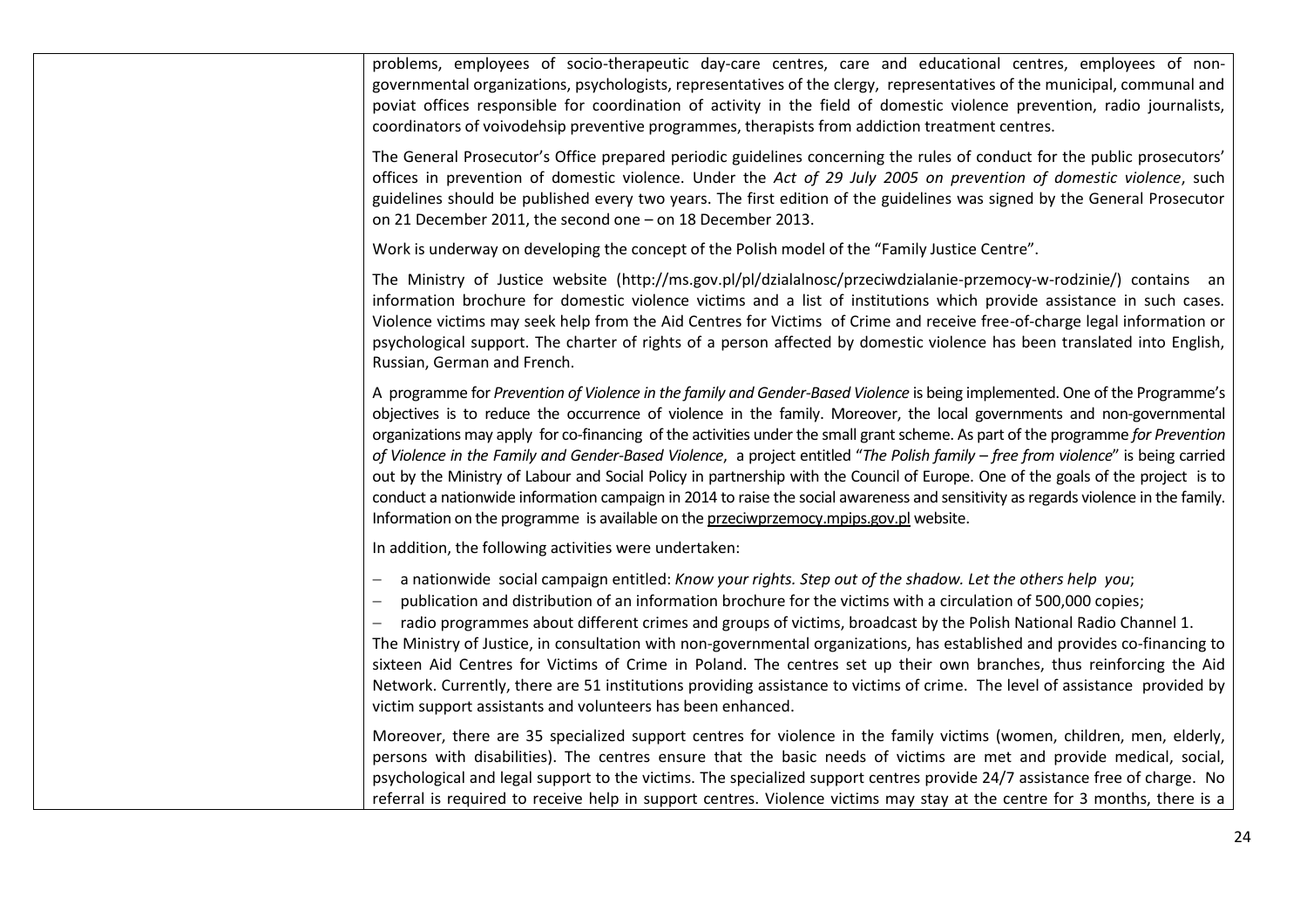| problems, employees of socio-therapeutic day-care centres, care and educational centres, employees of non-<br>governmental organizations, psychologists, representatives of the clergy, representatives of the municipal, communal and<br>poviat offices responsible for coordination of activity in the field of domestic violence prevention, radio journalists,<br>coordinators of voivodehsip preventive programmes, therapists from addiction treatment centres.                                                                                                                                                                                                                                                                                                                                                                                                                              |
|----------------------------------------------------------------------------------------------------------------------------------------------------------------------------------------------------------------------------------------------------------------------------------------------------------------------------------------------------------------------------------------------------------------------------------------------------------------------------------------------------------------------------------------------------------------------------------------------------------------------------------------------------------------------------------------------------------------------------------------------------------------------------------------------------------------------------------------------------------------------------------------------------|
| The General Prosecutor's Office prepared periodic guidelines concerning the rules of conduct for the public prosecutors'<br>offices in prevention of domestic violence. Under the Act of 29 July 2005 on prevention of domestic violence, such<br>guidelines should be published every two years. The first edition of the guidelines was signed by the General Prosecutor<br>on 21 December 2011, the second one - on 18 December 2013.                                                                                                                                                                                                                                                                                                                                                                                                                                                           |
| Work is underway on developing the concept of the Polish model of the "Family Justice Centre".                                                                                                                                                                                                                                                                                                                                                                                                                                                                                                                                                                                                                                                                                                                                                                                                     |
| The Ministry of Justice website (http://ms.gov.pl/pl/dzialalnosc/przeciwdzialanie-przemocy-w-rodzinie/) contains an<br>information brochure for domestic violence victims and a list of institutions which provide assistance in such cases.<br>Violence victims may seek help from the Aid Centres for Victims of Crime and receive free-of-charge legal information or<br>psychological support. The charter of rights of a person affected by domestic violence has been translated into English,<br>Russian, German and French.                                                                                                                                                                                                                                                                                                                                                                |
| A programme for Prevention of Violence in the family and Gender-Based Violence is being implemented. One of the Programme's<br>objectives is to reduce the occurrence of violence in the family. Moreover, the local governments and non-governmental<br>organizations may apply for co-financing of the activities under the small grant scheme. As part of the programme for Prevention<br>of Violence in the Family and Gender-Based Violence, a project entitled "The Polish family - free from violence" is being carried<br>out by the Ministry of Labour and Social Policy in partnership with the Council of Europe. One of the goals of the project is to<br>conduct a nationwide information campaign in 2014 to raise the social awareness and sensitivity as regards violence in the family.<br>Information on the programme is available on the przeciwprzemocy.mpips.gov.pl website. |
| In addition, the following activities were undertaken:                                                                                                                                                                                                                                                                                                                                                                                                                                                                                                                                                                                                                                                                                                                                                                                                                                             |
| a nationwide social campaign entitled: Know your rights. Step out of the shadow. Let the others help you;<br>publication and distribution of an information brochure for the victims with a circulation of 500,000 copies;<br>radio programmes about different crimes and groups of victims, broadcast by the Polish National Radio Channel 1.<br>The Ministry of Justice, in consultation with non-governmental organizations, has established and provides co-financing to<br>sixteen Aid Centres for Victims of Crime in Poland. The centres set up their own branches, thus reinforcing the Aid<br>Network. Currently, there are 51 institutions providing assistance to victims of crime. The level of assistance provided by<br>victim support assistants and volunteers has been enhanced.                                                                                                  |
| Moreover, there are 35 specialized support centres for violence in the family victims (women, children, men, elderly,<br>persons with disabilities). The centres ensure that the basic needs of victims are met and provide medical, social,<br>psychological and legal support to the victims. The specialized support centres provide 24/7 assistance free of charge. No<br>referral is required to receive help in support centres. Violence victims may stay at the centre for 3 months, there is a                                                                                                                                                                                                                                                                                                                                                                                            |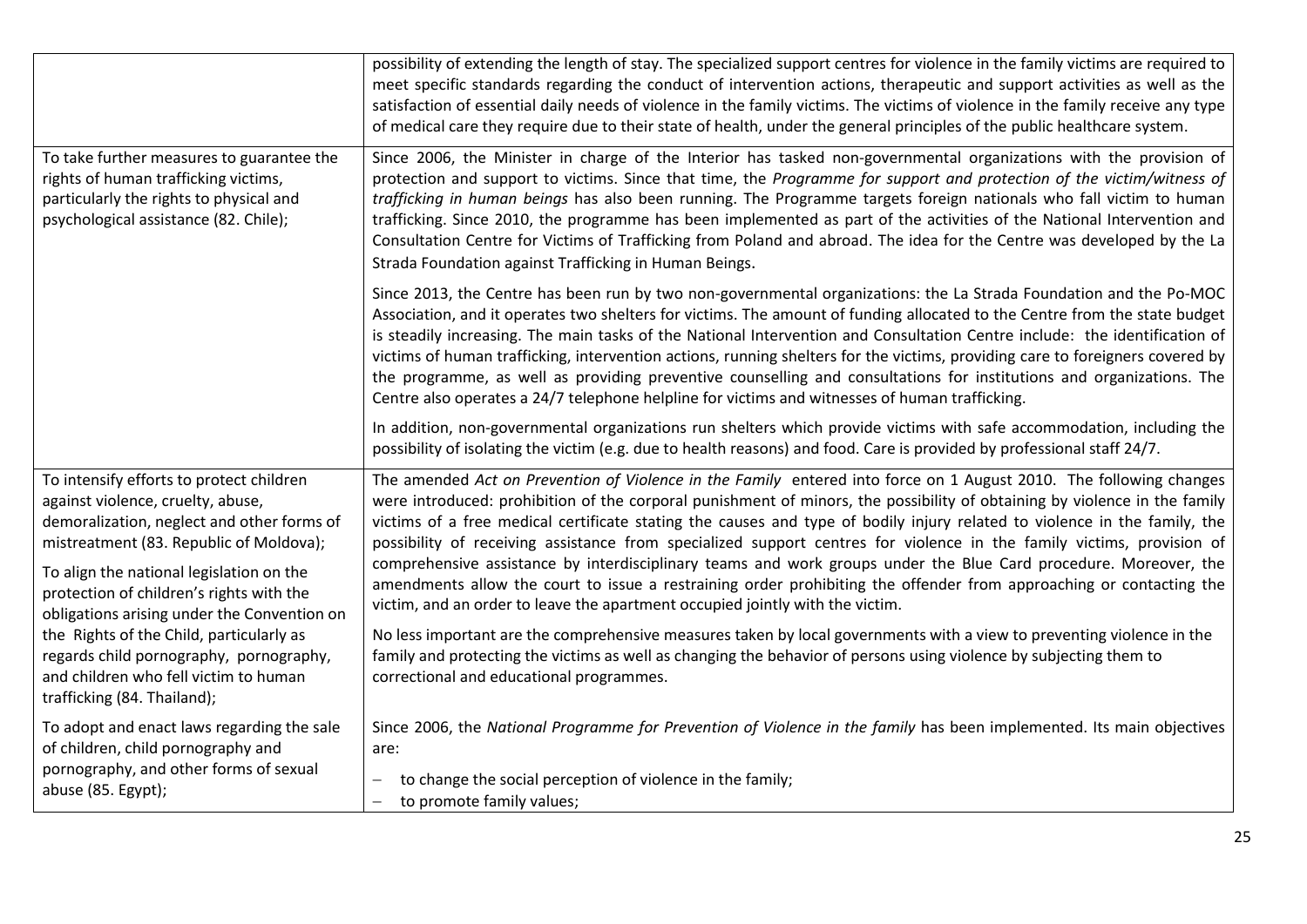|                                                                                                                                                                                                                                                                | possibility of extending the length of stay. The specialized support centres for violence in the family victims are required to<br>meet specific standards regarding the conduct of intervention actions, therapeutic and support activities as well as the<br>satisfaction of essential daily needs of violence in the family victims. The victims of violence in the family receive any type<br>of medical care they require due to their state of health, under the general principles of the public healthcare system.                                                                                                                                                                                                                                                                                                        |
|----------------------------------------------------------------------------------------------------------------------------------------------------------------------------------------------------------------------------------------------------------------|-----------------------------------------------------------------------------------------------------------------------------------------------------------------------------------------------------------------------------------------------------------------------------------------------------------------------------------------------------------------------------------------------------------------------------------------------------------------------------------------------------------------------------------------------------------------------------------------------------------------------------------------------------------------------------------------------------------------------------------------------------------------------------------------------------------------------------------|
| To take further measures to guarantee the<br>rights of human trafficking victims,<br>particularly the rights to physical and<br>psychological assistance (82. Chile);                                                                                          | Since 2006, the Minister in charge of the Interior has tasked non-governmental organizations with the provision of<br>protection and support to victims. Since that time, the Programme for support and protection of the victim/witness of<br>trafficking in human beings has also been running. The Programme targets foreign nationals who fall victim to human<br>trafficking. Since 2010, the programme has been implemented as part of the activities of the National Intervention and<br>Consultation Centre for Victims of Trafficking from Poland and abroad. The idea for the Centre was developed by the La<br>Strada Foundation against Trafficking in Human Beings.                                                                                                                                                  |
|                                                                                                                                                                                                                                                                | Since 2013, the Centre has been run by two non-governmental organizations: the La Strada Foundation and the Po-MOC<br>Association, and it operates two shelters for victims. The amount of funding allocated to the Centre from the state budget<br>is steadily increasing. The main tasks of the National Intervention and Consultation Centre include: the identification of<br>victims of human trafficking, intervention actions, running shelters for the victims, providing care to foreigners covered by<br>the programme, as well as providing preventive counselling and consultations for institutions and organizations. The<br>Centre also operates a 24/7 telephone helpline for victims and witnesses of human trafficking.                                                                                         |
|                                                                                                                                                                                                                                                                | In addition, non-governmental organizations run shelters which provide victims with safe accommodation, including the<br>possibility of isolating the victim (e.g. due to health reasons) and food. Care is provided by professional staff 24/7.                                                                                                                                                                                                                                                                                                                                                                                                                                                                                                                                                                                  |
| To intensify efforts to protect children<br>against violence, cruelty, abuse,<br>demoralization, neglect and other forms of<br>mistreatment (83. Republic of Moldova);<br>To align the national legislation on the<br>protection of children's rights with the | The amended Act on Prevention of Violence in the Family entered into force on 1 August 2010. The following changes<br>were introduced: prohibition of the corporal punishment of minors, the possibility of obtaining by violence in the family<br>victims of a free medical certificate stating the causes and type of bodily injury related to violence in the family, the<br>possibility of receiving assistance from specialized support centres for violence in the family victims, provision of<br>comprehensive assistance by interdisciplinary teams and work groups under the Blue Card procedure. Moreover, the<br>amendments allow the court to issue a restraining order prohibiting the offender from approaching or contacting the<br>victim, and an order to leave the apartment occupied jointly with the victim. |
| obligations arising under the Convention on<br>the Rights of the Child, particularly as<br>regards child pornography, pornography,<br>and children who fell victim to human<br>trafficking (84. Thailand);                                                     | No less important are the comprehensive measures taken by local governments with a view to preventing violence in the<br>family and protecting the victims as well as changing the behavior of persons using violence by subjecting them to<br>correctional and educational programmes.                                                                                                                                                                                                                                                                                                                                                                                                                                                                                                                                           |
| To adopt and enact laws regarding the sale<br>of children, child pornography and<br>pornography, and other forms of sexual<br>abuse (85. Egypt);                                                                                                               | Since 2006, the National Programme for Prevention of Violence in the family has been implemented. Its main objectives<br>are:<br>to change the social perception of violence in the family;<br>to promote family values;<br>$\overline{\phantom{m}}$                                                                                                                                                                                                                                                                                                                                                                                                                                                                                                                                                                              |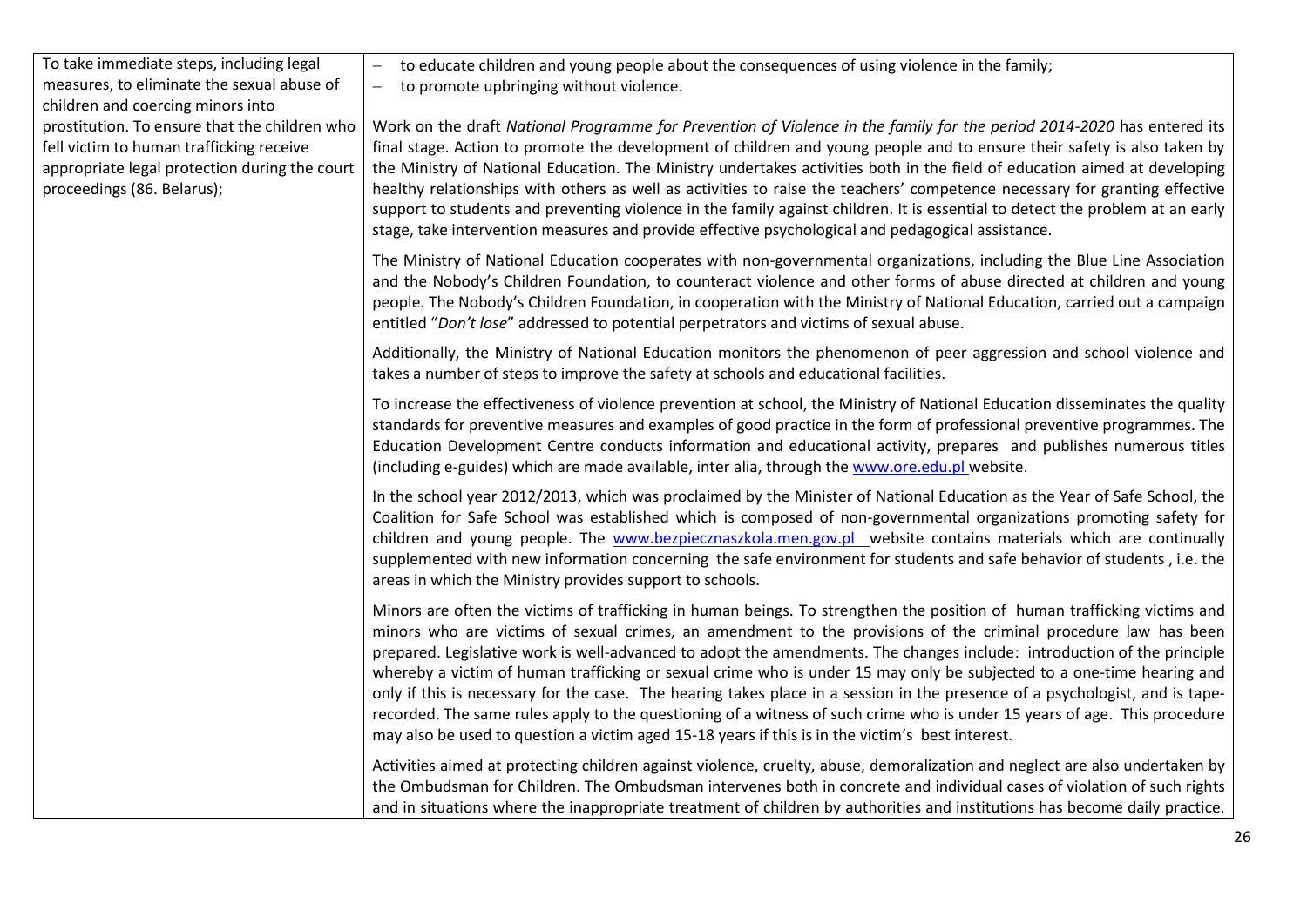## To take immediate steps, including legal measures, to eliminate the sexual abuse of children and coercing minors into prostitution. To ensure that the children who fell victim to human trafficking receive appropriate legal protection during the court proceedings (86. Belarus);

to educate children and young people about the consequences of using violence in the family;

to promote upbringing without violence.

Work on the draft *National Programme for Prevention of Violence in the family for the period 2014-2020* has entered its final stage. Action to promote the development of children and young people and to ensure their safety is also taken by the Ministry of National Education. The Ministry undertakes activities both in the field of education aimed at developing healthy relationships with others as well as activities to raise the teachers' competence necessary for granting effective support to students and preventing violence in the family against children. It is essential to detect the problem at an early stage, take intervention measures and provide effective psychological and pedagogical assistance.

The Ministry of National Education cooperates with non-governmental organizations, including the Blue Line Association and the Nobody's Children Foundation, to counteract violence and other forms of abuse directed at children and young people. The Nobody's Children Foundation, in cooperation with the Ministry of National Education, carried out a campaign entitled "*Don't lose*" addressed to potential perpetrators and victims of sexual abuse.

Additionally, the Ministry of National Education monitors the phenomenon of peer aggression and school violence and takes a number of steps to improve the safety at schools and educational facilities.

To increase the effectiveness of violence prevention at school, the Ministry of National Education disseminates the quality standards for preventive measures and examples of good practice in the form of professional preventive programmes. The Education Development Centre conducts information and educational activity, prepares and publishes numerous titles (including e-guides) which are made available, inter alia, through the [www.ore.edu.pl](http://www.ore.edu.pl/) website.

In the school year 2012/2013, which was proclaimed by the Minister of National Education as the Year of Safe School, the Coalition for Safe School was established which is composed of non-governmental organizations promoting safety for children and young people. The [www.bezpiecznaszkola.men.gov.pl](http://www.bezpiecznaszkola.men.gov.pl/) website contains materials which are continually supplemented with new information concerning the safe environment for students and safe behavior of students , i.e. the areas in which the Ministry provides support to schools.

Minors are often the victims of trafficking in human beings. To strengthen the position of human trafficking victims and minors who are victims of sexual crimes, an amendment to the provisions of the criminal procedure law has been prepared. Legislative work is well-advanced to adopt the amendments. The changes include: introduction of the principle whereby a victim of human trafficking or sexual crime who is under 15 may only be subjected to a one-time hearing and only if this is necessary for the case. The hearing takes place in a session in the presence of a psychologist, and is taperecorded. The same rules apply to the questioning of a witness of such crime who is under 15 years of age. This procedure may also be used to question a victim aged 15-18 years if this is in the victim's best interest.

Activities aimed at protecting children against violence, cruelty, abuse, demoralization and neglect are also undertaken by the Ombudsman for Children. The Ombudsman intervenes both in concrete and individual cases of violation of such rights and in situations where the inappropriate treatment of children by authorities and institutions has become daily practice.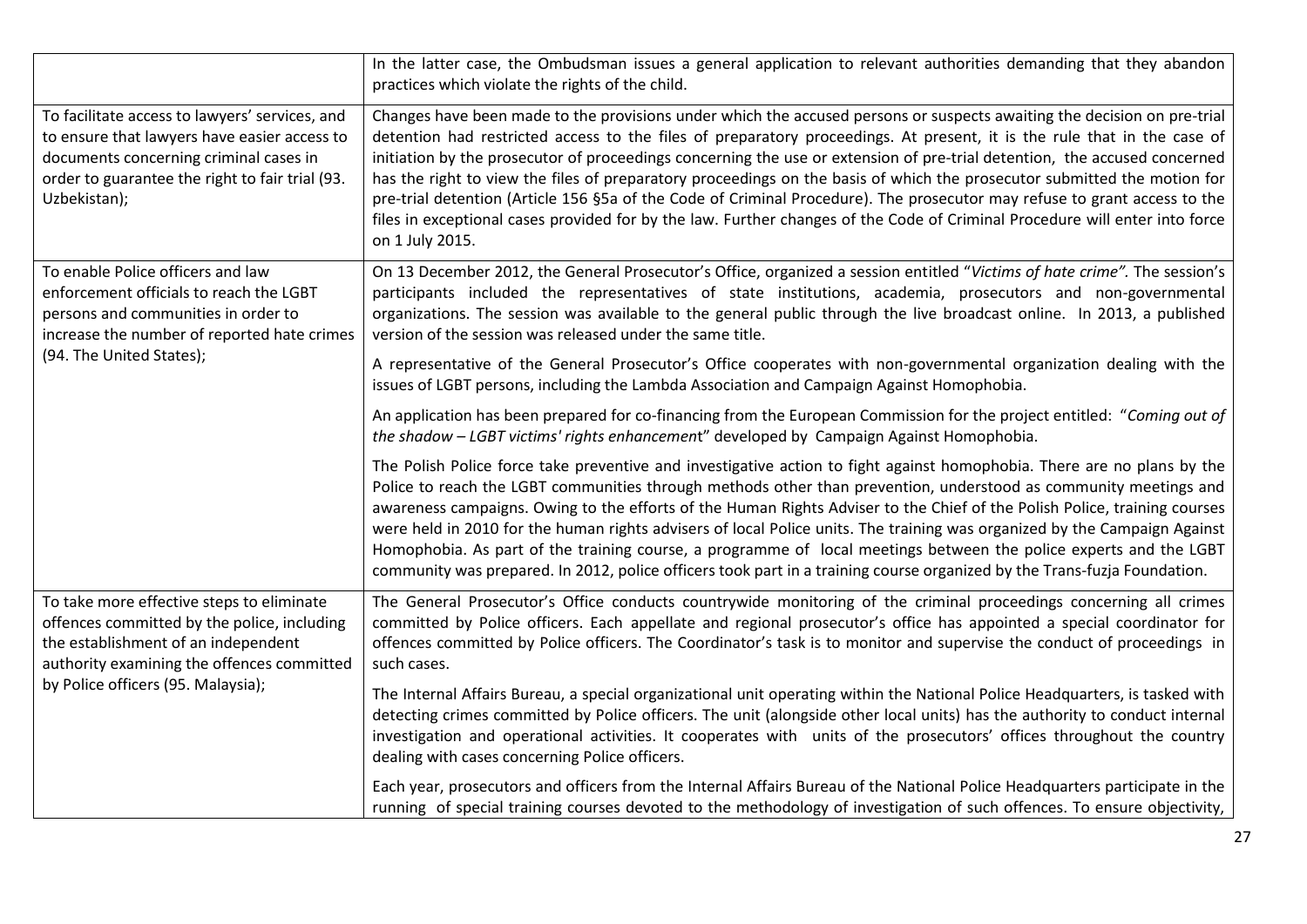|                                                                                                                                                                                                                     | In the latter case, the Ombudsman issues a general application to relevant authorities demanding that they abandon<br>practices which violate the rights of the child.                                                                                                                                                                                                                                                                                                                                                                                                                                                                                                                                                                                                                     |
|---------------------------------------------------------------------------------------------------------------------------------------------------------------------------------------------------------------------|--------------------------------------------------------------------------------------------------------------------------------------------------------------------------------------------------------------------------------------------------------------------------------------------------------------------------------------------------------------------------------------------------------------------------------------------------------------------------------------------------------------------------------------------------------------------------------------------------------------------------------------------------------------------------------------------------------------------------------------------------------------------------------------------|
| To facilitate access to lawyers' services, and<br>to ensure that lawyers have easier access to<br>documents concerning criminal cases in<br>order to guarantee the right to fair trial (93.<br>Uzbekistan);         | Changes have been made to the provisions under which the accused persons or suspects awaiting the decision on pre-trial<br>detention had restricted access to the files of preparatory proceedings. At present, it is the rule that in the case of<br>initiation by the prosecutor of proceedings concerning the use or extension of pre-trial detention, the accused concerned<br>has the right to view the files of preparatory proceedings on the basis of which the prosecutor submitted the motion for<br>pre-trial detention (Article 156 §5a of the Code of Criminal Procedure). The prosecutor may refuse to grant access to the<br>files in exceptional cases provided for by the law. Further changes of the Code of Criminal Procedure will enter into force<br>on 1 July 2015. |
| To enable Police officers and law<br>enforcement officials to reach the LGBT<br>persons and communities in order to<br>increase the number of reported hate crimes                                                  | On 13 December 2012, the General Prosecutor's Office, organized a session entitled "Victims of hate crime". The session's<br>participants included the representatives of state institutions, academia, prosecutors and non-governmental<br>organizations. The session was available to the general public through the live broadcast online. In 2013, a published<br>version of the session was released under the same title.                                                                                                                                                                                                                                                                                                                                                            |
| (94. The United States);                                                                                                                                                                                            | A representative of the General Prosecutor's Office cooperates with non-governmental organization dealing with the<br>issues of LGBT persons, including the Lambda Association and Campaign Against Homophobia.                                                                                                                                                                                                                                                                                                                                                                                                                                                                                                                                                                            |
|                                                                                                                                                                                                                     | An application has been prepared for co-financing from the European Commission for the project entitled: "Coming out of<br>the shadow - LGBT victims' rights enhancement" developed by Campaign Against Homophobia.                                                                                                                                                                                                                                                                                                                                                                                                                                                                                                                                                                        |
|                                                                                                                                                                                                                     | The Polish Police force take preventive and investigative action to fight against homophobia. There are no plans by the<br>Police to reach the LGBT communities through methods other than prevention, understood as community meetings and<br>awareness campaigns. Owing to the efforts of the Human Rights Adviser to the Chief of the Polish Police, training courses<br>were held in 2010 for the human rights advisers of local Police units. The training was organized by the Campaign Against<br>Homophobia. As part of the training course, a programme of local meetings between the police experts and the LGBT<br>community was prepared. In 2012, police officers took part in a training course organized by the Trans-fuzja Foundation.                                     |
| To take more effective steps to eliminate<br>offences committed by the police, including<br>the establishment of an independent<br>authority examining the offences committed<br>by Police officers (95. Malaysia); | The General Prosecutor's Office conducts countrywide monitoring of the criminal proceedings concerning all crimes<br>committed by Police officers. Each appellate and regional prosecutor's office has appointed a special coordinator for<br>offences committed by Police officers. The Coordinator's task is to monitor and supervise the conduct of proceedings in<br>such cases.                                                                                                                                                                                                                                                                                                                                                                                                       |
|                                                                                                                                                                                                                     | The Internal Affairs Bureau, a special organizational unit operating within the National Police Headquarters, is tasked with<br>detecting crimes committed by Police officers. The unit (alongside other local units) has the authority to conduct internal<br>investigation and operational activities. It cooperates with units of the prosecutors' offices throughout the country<br>dealing with cases concerning Police officers.                                                                                                                                                                                                                                                                                                                                                     |
|                                                                                                                                                                                                                     | Each year, prosecutors and officers from the Internal Affairs Bureau of the National Police Headquarters participate in the<br>running of special training courses devoted to the methodology of investigation of such offences. To ensure objectivity,                                                                                                                                                                                                                                                                                                                                                                                                                                                                                                                                    |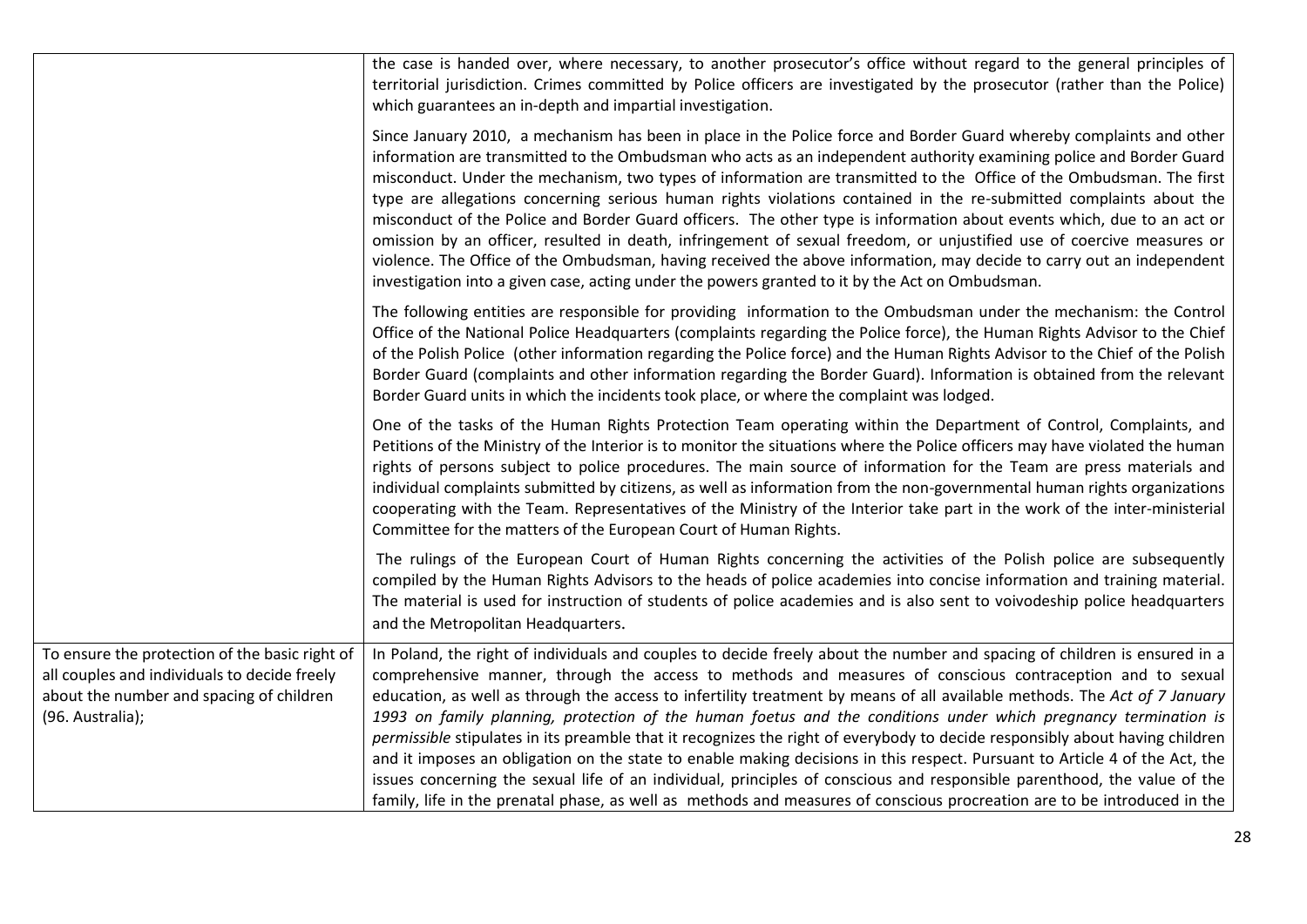|                                                                                                                                                                | the case is handed over, where necessary, to another prosecutor's office without regard to the general principles of<br>territorial jurisdiction. Crimes committed by Police officers are investigated by the prosecutor (rather than the Police)<br>which guarantees an in-depth and impartial investigation.                                                                                                                                                                                                                                                                                                                                                                                                                                                                                                                                                                                                                                                                                                |
|----------------------------------------------------------------------------------------------------------------------------------------------------------------|---------------------------------------------------------------------------------------------------------------------------------------------------------------------------------------------------------------------------------------------------------------------------------------------------------------------------------------------------------------------------------------------------------------------------------------------------------------------------------------------------------------------------------------------------------------------------------------------------------------------------------------------------------------------------------------------------------------------------------------------------------------------------------------------------------------------------------------------------------------------------------------------------------------------------------------------------------------------------------------------------------------|
|                                                                                                                                                                | Since January 2010, a mechanism has been in place in the Police force and Border Guard whereby complaints and other<br>information are transmitted to the Ombudsman who acts as an independent authority examining police and Border Guard<br>misconduct. Under the mechanism, two types of information are transmitted to the Office of the Ombudsman. The first<br>type are allegations concerning serious human rights violations contained in the re-submitted complaints about the<br>misconduct of the Police and Border Guard officers. The other type is information about events which, due to an act or<br>omission by an officer, resulted in death, infringement of sexual freedom, or unjustified use of coercive measures or<br>violence. The Office of the Ombudsman, having received the above information, may decide to carry out an independent<br>investigation into a given case, acting under the powers granted to it by the Act on Ombudsman.                                         |
|                                                                                                                                                                | The following entities are responsible for providing information to the Ombudsman under the mechanism: the Control<br>Office of the National Police Headquarters (complaints regarding the Police force), the Human Rights Advisor to the Chief<br>of the Polish Police (other information regarding the Police force) and the Human Rights Advisor to the Chief of the Polish<br>Border Guard (complaints and other information regarding the Border Guard). Information is obtained from the relevant<br>Border Guard units in which the incidents took place, or where the complaint was lodged.                                                                                                                                                                                                                                                                                                                                                                                                           |
|                                                                                                                                                                | One of the tasks of the Human Rights Protection Team operating within the Department of Control, Complaints, and<br>Petitions of the Ministry of the Interior is to monitor the situations where the Police officers may have violated the human<br>rights of persons subject to police procedures. The main source of information for the Team are press materials and<br>individual complaints submitted by citizens, as well as information from the non-governmental human rights organizations<br>cooperating with the Team. Representatives of the Ministry of the Interior take part in the work of the inter-ministerial<br>Committee for the matters of the European Court of Human Rights.                                                                                                                                                                                                                                                                                                          |
|                                                                                                                                                                | The rulings of the European Court of Human Rights concerning the activities of the Polish police are subsequently<br>compiled by the Human Rights Advisors to the heads of police academies into concise information and training material.<br>The material is used for instruction of students of police academies and is also sent to voivodeship police headquarters<br>and the Metropolitan Headquarters.                                                                                                                                                                                                                                                                                                                                                                                                                                                                                                                                                                                                 |
| To ensure the protection of the basic right of<br>all couples and individuals to decide freely<br>about the number and spacing of children<br>(96. Australia); | In Poland, the right of individuals and couples to decide freely about the number and spacing of children is ensured in a<br>comprehensive manner, through the access to methods and measures of conscious contraception and to sexual<br>education, as well as through the access to infertility treatment by means of all available methods. The Act of 7 January<br>1993 on family planning, protection of the human foetus and the conditions under which pregnancy termination is<br>permissible stipulates in its preamble that it recognizes the right of everybody to decide responsibly about having children<br>and it imposes an obligation on the state to enable making decisions in this respect. Pursuant to Article 4 of the Act, the<br>issues concerning the sexual life of an individual, principles of conscious and responsible parenthood, the value of the<br>family, life in the prenatal phase, as well as methods and measures of conscious procreation are to be introduced in the |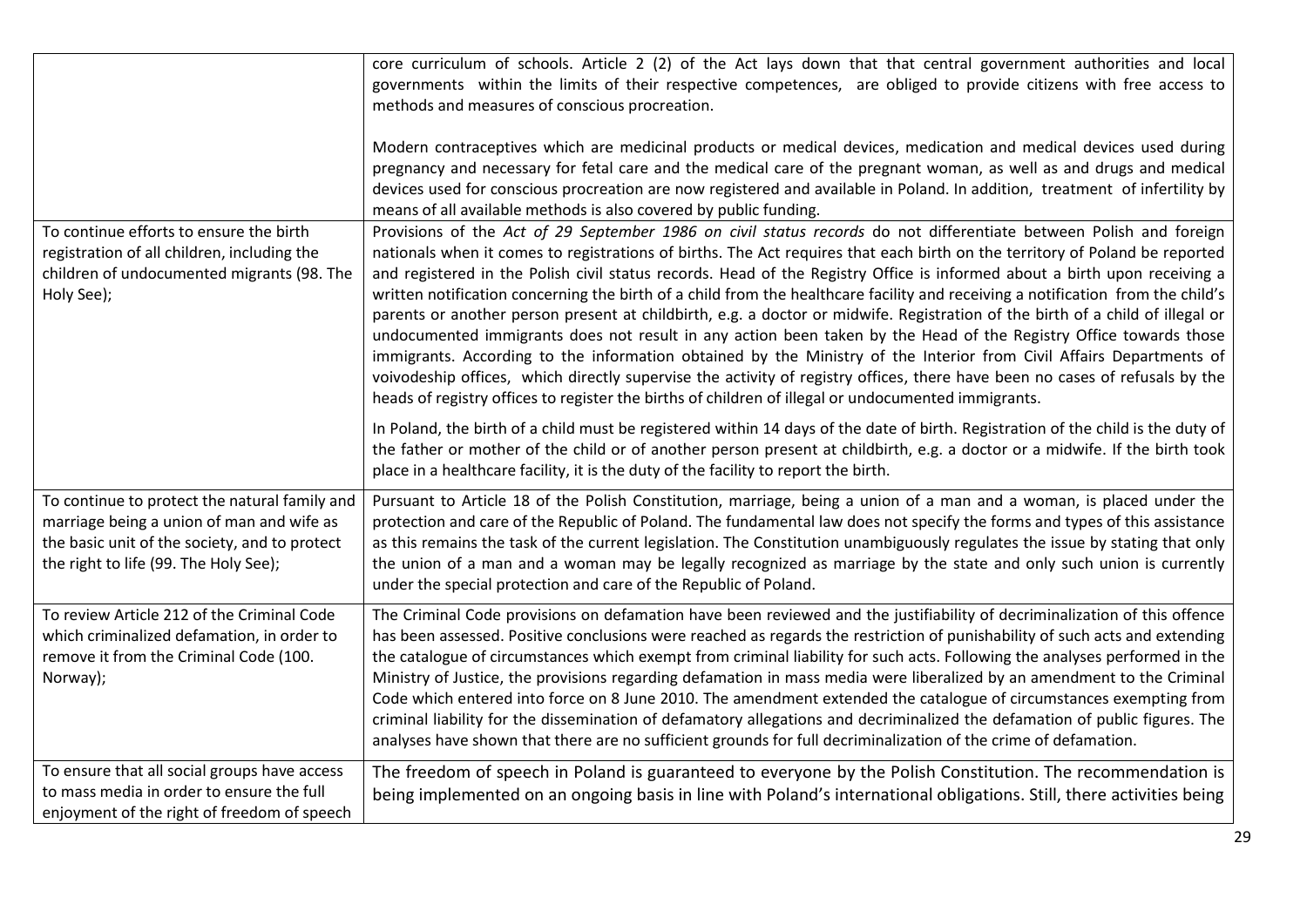|                                                                                                                                                                                      | core curriculum of schools. Article 2 (2) of the Act lays down that that central government authorities and local<br>governments within the limits of their respective competences, are obliged to provide citizens with free access to<br>methods and measures of conscious procreation.                                                                                                                                                                                                                                                                                                                                                                                                                                                                                                                                                                                                                                                                                                                                                                                                                                            |
|--------------------------------------------------------------------------------------------------------------------------------------------------------------------------------------|--------------------------------------------------------------------------------------------------------------------------------------------------------------------------------------------------------------------------------------------------------------------------------------------------------------------------------------------------------------------------------------------------------------------------------------------------------------------------------------------------------------------------------------------------------------------------------------------------------------------------------------------------------------------------------------------------------------------------------------------------------------------------------------------------------------------------------------------------------------------------------------------------------------------------------------------------------------------------------------------------------------------------------------------------------------------------------------------------------------------------------------|
|                                                                                                                                                                                      | Modern contraceptives which are medicinal products or medical devices, medication and medical devices used during<br>pregnancy and necessary for fetal care and the medical care of the pregnant woman, as well as and drugs and medical<br>devices used for conscious procreation are now registered and available in Poland. In addition, treatment of infertility by<br>means of all available methods is also covered by public funding.                                                                                                                                                                                                                                                                                                                                                                                                                                                                                                                                                                                                                                                                                         |
| To continue efforts to ensure the birth<br>registration of all children, including the<br>children of undocumented migrants (98. The<br>Holy See);                                   | Provisions of the Act of 29 September 1986 on civil status records do not differentiate between Polish and foreign<br>nationals when it comes to registrations of births. The Act requires that each birth on the territory of Poland be reported<br>and registered in the Polish civil status records. Head of the Registry Office is informed about a birth upon receiving a<br>written notification concerning the birth of a child from the healthcare facility and receiving a notification from the child's<br>parents or another person present at childbirth, e.g. a doctor or midwife. Registration of the birth of a child of illegal or<br>undocumented immigrants does not result in any action been taken by the Head of the Registry Office towards those<br>immigrants. According to the information obtained by the Ministry of the Interior from Civil Affairs Departments of<br>voivodeship offices, which directly supervise the activity of registry offices, there have been no cases of refusals by the<br>heads of registry offices to register the births of children of illegal or undocumented immigrants. |
|                                                                                                                                                                                      | In Poland, the birth of a child must be registered within 14 days of the date of birth. Registration of the child is the duty of<br>the father or mother of the child or of another person present at childbirth, e.g. a doctor or a midwife. If the birth took<br>place in a healthcare facility, it is the duty of the facility to report the birth.                                                                                                                                                                                                                                                                                                                                                                                                                                                                                                                                                                                                                                                                                                                                                                               |
| To continue to protect the natural family and<br>marriage being a union of man and wife as<br>the basic unit of the society, and to protect<br>the right to life (99. The Holy See); | Pursuant to Article 18 of the Polish Constitution, marriage, being a union of a man and a woman, is placed under the<br>protection and care of the Republic of Poland. The fundamental law does not specify the forms and types of this assistance<br>as this remains the task of the current legislation. The Constitution unambiguously regulates the issue by stating that only<br>the union of a man and a woman may be legally recognized as marriage by the state and only such union is currently<br>under the special protection and care of the Republic of Poland.                                                                                                                                                                                                                                                                                                                                                                                                                                                                                                                                                         |
| To review Article 212 of the Criminal Code<br>which criminalized defamation, in order to<br>remove it from the Criminal Code (100.<br>Norway);                                       | The Criminal Code provisions on defamation have been reviewed and the justifiability of decriminalization of this offence<br>has been assessed. Positive conclusions were reached as regards the restriction of punishability of such acts and extending<br>the catalogue of circumstances which exempt from criminal liability for such acts. Following the analyses performed in the<br>Ministry of Justice, the provisions regarding defamation in mass media were liberalized by an amendment to the Criminal<br>Code which entered into force on 8 June 2010. The amendment extended the catalogue of circumstances exempting from<br>criminal liability for the dissemination of defamatory allegations and decriminalized the defamation of public figures. The<br>analyses have shown that there are no sufficient grounds for full decriminalization of the crime of defamation.                                                                                                                                                                                                                                            |
| To ensure that all social groups have access<br>to mass media in order to ensure the full<br>enjoyment of the right of freedom of speech                                             | The freedom of speech in Poland is guaranteed to everyone by the Polish Constitution. The recommendation is<br>being implemented on an ongoing basis in line with Poland's international obligations. Still, there activities being                                                                                                                                                                                                                                                                                                                                                                                                                                                                                                                                                                                                                                                                                                                                                                                                                                                                                                  |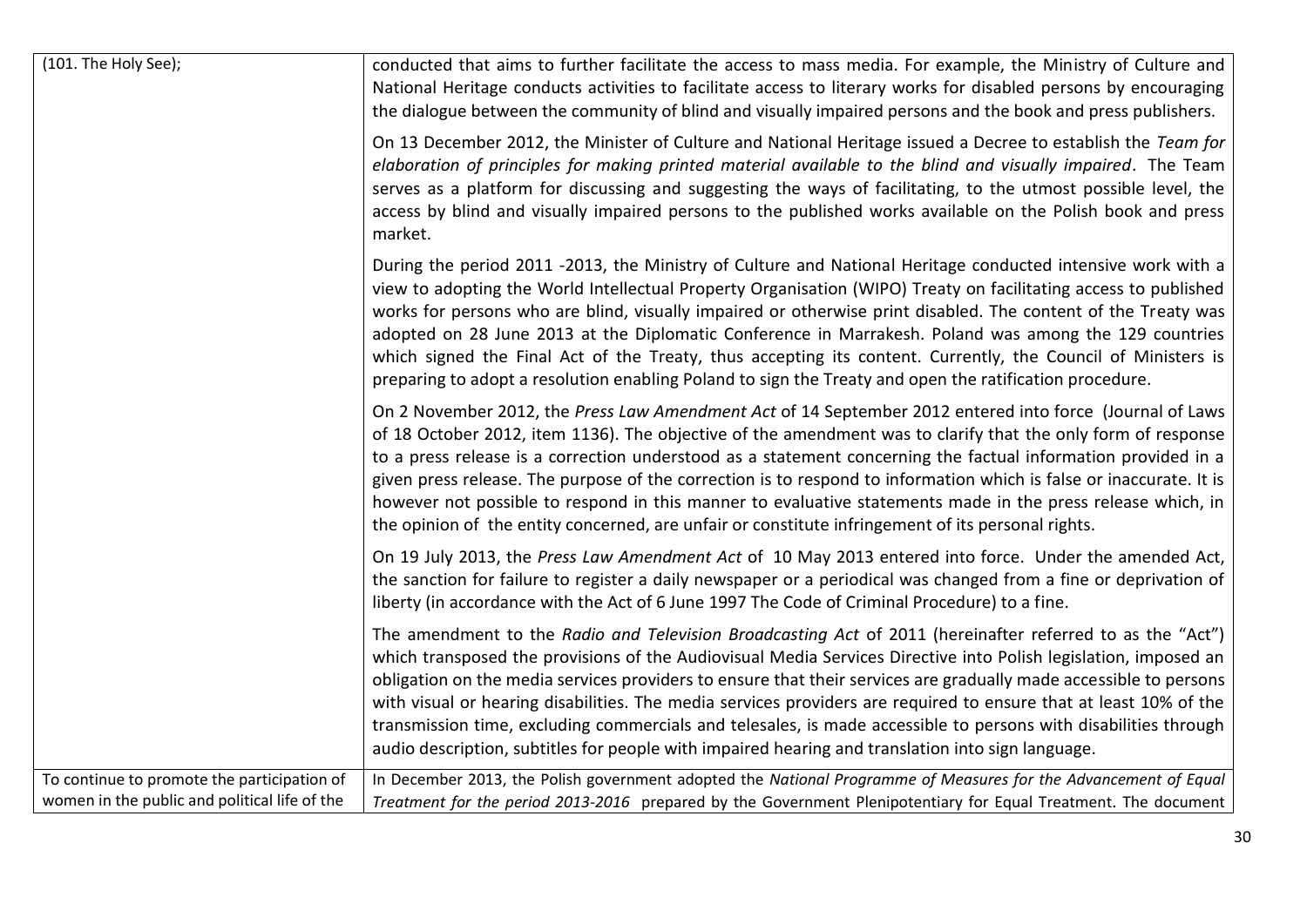| (101. The Holy See);                                                                         | conducted that aims to further facilitate the access to mass media. For example, the Ministry of Culture and<br>National Heritage conducts activities to facilitate access to literary works for disabled persons by encouraging<br>the dialogue between the community of blind and visually impaired persons and the book and press publishers.                                                                                                                                                                                                                                                                                                                                               |
|----------------------------------------------------------------------------------------------|------------------------------------------------------------------------------------------------------------------------------------------------------------------------------------------------------------------------------------------------------------------------------------------------------------------------------------------------------------------------------------------------------------------------------------------------------------------------------------------------------------------------------------------------------------------------------------------------------------------------------------------------------------------------------------------------|
|                                                                                              | On 13 December 2012, the Minister of Culture and National Heritage issued a Decree to establish the Team for<br>elaboration of principles for making printed material available to the blind and visually impaired. The Team<br>serves as a platform for discussing and suggesting the ways of facilitating, to the utmost possible level, the<br>access by blind and visually impaired persons to the published works available on the Polish book and press<br>market.                                                                                                                                                                                                                       |
|                                                                                              | During the period 2011 -2013, the Ministry of Culture and National Heritage conducted intensive work with a<br>view to adopting the World Intellectual Property Organisation (WIPO) Treaty on facilitating access to published<br>works for persons who are blind, visually impaired or otherwise print disabled. The content of the Treaty was<br>adopted on 28 June 2013 at the Diplomatic Conference in Marrakesh. Poland was among the 129 countries<br>which signed the Final Act of the Treaty, thus accepting its content. Currently, the Council of Ministers is<br>preparing to adopt a resolution enabling Poland to sign the Treaty and open the ratification procedure.            |
|                                                                                              | On 2 November 2012, the Press Law Amendment Act of 14 September 2012 entered into force (Journal of Laws<br>of 18 October 2012, item 1136). The objective of the amendment was to clarify that the only form of response<br>to a press release is a correction understood as a statement concerning the factual information provided in a<br>given press release. The purpose of the correction is to respond to information which is false or inaccurate. It is<br>however not possible to respond in this manner to evaluative statements made in the press release which, in<br>the opinion of the entity concerned, are unfair or constitute infringement of its personal rights.          |
|                                                                                              | On 19 July 2013, the Press Law Amendment Act of 10 May 2013 entered into force. Under the amended Act,<br>the sanction for failure to register a daily newspaper or a periodical was changed from a fine or deprivation of<br>liberty (in accordance with the Act of 6 June 1997 The Code of Criminal Procedure) to a fine.                                                                                                                                                                                                                                                                                                                                                                    |
|                                                                                              | The amendment to the Radio and Television Broadcasting Act of 2011 (hereinafter referred to as the "Act")<br>which transposed the provisions of the Audiovisual Media Services Directive into Polish legislation, imposed an<br>obligation on the media services providers to ensure that their services are gradually made accessible to persons<br>with visual or hearing disabilities. The media services providers are required to ensure that at least 10% of the<br>transmission time, excluding commercials and telesales, is made accessible to persons with disabilities through<br>audio description, subtitles for people with impaired hearing and translation into sign language. |
| To continue to promote the participation of<br>women in the public and political life of the | In December 2013, the Polish government adopted the National Programme of Measures for the Advancement of Equal<br>Treatment for the period 2013-2016 prepared by the Government Plenipotentiary for Equal Treatment. The document                                                                                                                                                                                                                                                                                                                                                                                                                                                             |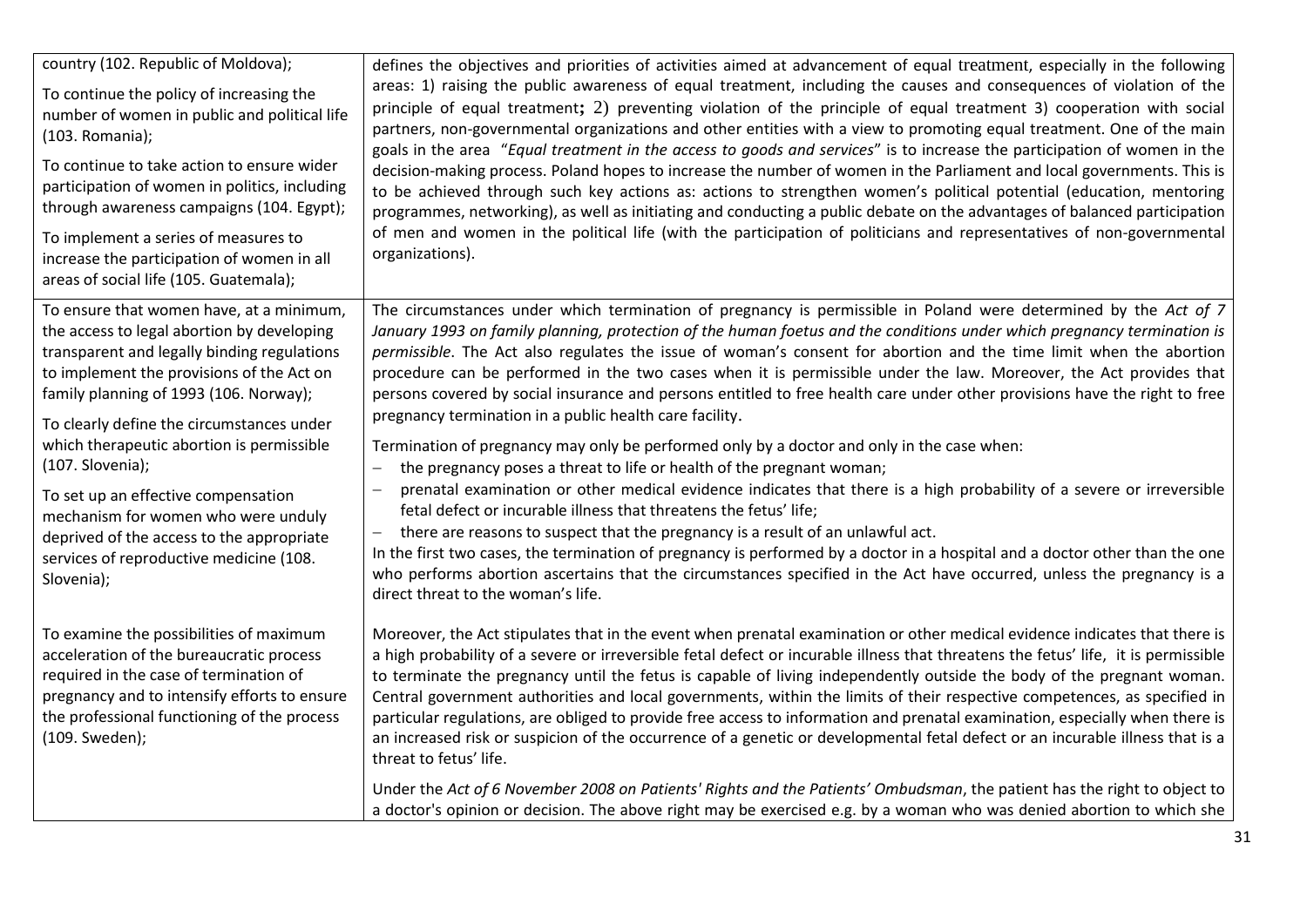| defines the objectives and priorities of activities aimed at advancement of equal treatment, especially in the following<br>areas: 1) raising the public awareness of equal treatment, including the causes and consequences of violation of the<br>principle of equal treatment; 2) preventing violation of the principle of equal treatment 3) cooperation with social<br>partners, non-governmental organizations and other entities with a view to promoting equal treatment. One of the main<br>goals in the area "Equal treatment in the access to goods and services" is to increase the participation of women in the<br>decision-making process. Poland hopes to increase the number of women in the Parliament and local governments. This is<br>to be achieved through such key actions as: actions to strengthen women's political potential (education, mentoring<br>programmes, networking), as well as initiating and conducting a public debate on the advantages of balanced participation<br>of men and women in the political life (with the participation of politicians and representatives of non-governmental<br>organizations).                                                                                                                                    |
|--------------------------------------------------------------------------------------------------------------------------------------------------------------------------------------------------------------------------------------------------------------------------------------------------------------------------------------------------------------------------------------------------------------------------------------------------------------------------------------------------------------------------------------------------------------------------------------------------------------------------------------------------------------------------------------------------------------------------------------------------------------------------------------------------------------------------------------------------------------------------------------------------------------------------------------------------------------------------------------------------------------------------------------------------------------------------------------------------------------------------------------------------------------------------------------------------------------------------------------------------------------------------------------------|
| The circumstances under which termination of pregnancy is permissible in Poland were determined by the Act of 7<br>January 1993 on family planning, protection of the human foetus and the conditions under which pregnancy termination is<br>permissible. The Act also regulates the issue of woman's consent for abortion and the time limit when the abortion<br>procedure can be performed in the two cases when it is permissible under the law. Moreover, the Act provides that<br>persons covered by social insurance and persons entitled to free health care under other provisions have the right to free<br>pregnancy termination in a public health care facility.<br>Termination of pregnancy may only be performed only by a doctor and only in the case when:<br>the pregnancy poses a threat to life or health of the pregnant woman;<br>$\qquad \qquad -$<br>prenatal examination or other medical evidence indicates that there is a high probability of a severe or irreversible<br>fetal defect or incurable illness that threatens the fetus' life;<br>there are reasons to suspect that the pregnancy is a result of an unlawful act.<br>In the first two cases, the termination of pregnancy is performed by a doctor in a hospital and a doctor other than the one |
| who performs abortion ascertains that the circumstances specified in the Act have occurred, unless the pregnancy is a<br>direct threat to the woman's life.<br>Moreover, the Act stipulates that in the event when prenatal examination or other medical evidence indicates that there is<br>a high probability of a severe or irreversible fetal defect or incurable illness that threatens the fetus' life, it is permissible<br>to terminate the pregnancy until the fetus is capable of living independently outside the body of the pregnant woman.<br>Central government authorities and local governments, within the limits of their respective competences, as specified in<br>particular regulations, are obliged to provide free access to information and prenatal examination, especially when there is<br>an increased risk or suspicion of the occurrence of a genetic or developmental fetal defect or an incurable illness that is a<br>threat to fetus' life.<br>Under the Act of 6 November 2008 on Patients' Rights and the Patients' Ombudsman, the patient has the right to object to<br>a doctor's opinion or decision. The above right may be exercised e.g. by a woman who was denied abortion to which she                                                       |
|                                                                                                                                                                                                                                                                                                                                                                                                                                                                                                                                                                                                                                                                                                                                                                                                                                                                                                                                                                                                                                                                                                                                                                                                                                                                                            |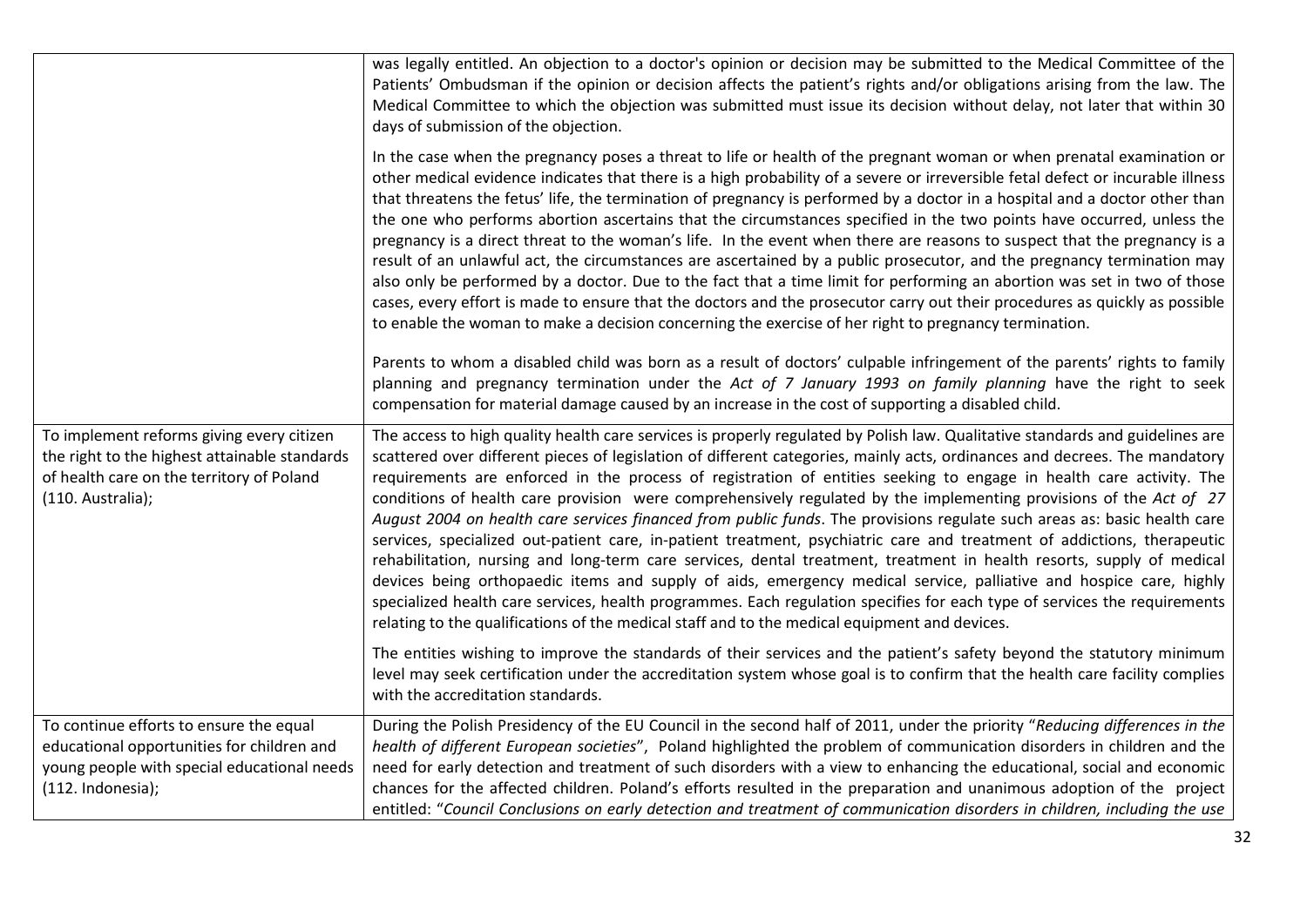|                                                                                                                                                              | was legally entitled. An objection to a doctor's opinion or decision may be submitted to the Medical Committee of the<br>Patients' Ombudsman if the opinion or decision affects the patient's rights and/or obligations arising from the law. The<br>Medical Committee to which the objection was submitted must issue its decision without delay, not later that within 30<br>days of submission of the objection.                                                                                                                                                                                                                                                                                                                                                                                                                                                                                                                                                                                                                                                                                                                                                                                                                          |
|--------------------------------------------------------------------------------------------------------------------------------------------------------------|----------------------------------------------------------------------------------------------------------------------------------------------------------------------------------------------------------------------------------------------------------------------------------------------------------------------------------------------------------------------------------------------------------------------------------------------------------------------------------------------------------------------------------------------------------------------------------------------------------------------------------------------------------------------------------------------------------------------------------------------------------------------------------------------------------------------------------------------------------------------------------------------------------------------------------------------------------------------------------------------------------------------------------------------------------------------------------------------------------------------------------------------------------------------------------------------------------------------------------------------|
|                                                                                                                                                              | In the case when the pregnancy poses a threat to life or health of the pregnant woman or when prenatal examination or<br>other medical evidence indicates that there is a high probability of a severe or irreversible fetal defect or incurable illness<br>that threatens the fetus' life, the termination of pregnancy is performed by a doctor in a hospital and a doctor other than<br>the one who performs abortion ascertains that the circumstances specified in the two points have occurred, unless the<br>pregnancy is a direct threat to the woman's life. In the event when there are reasons to suspect that the pregnancy is a<br>result of an unlawful act, the circumstances are ascertained by a public prosecutor, and the pregnancy termination may<br>also only be performed by a doctor. Due to the fact that a time limit for performing an abortion was set in two of those<br>cases, every effort is made to ensure that the doctors and the prosecutor carry out their procedures as quickly as possible<br>to enable the woman to make a decision concerning the exercise of her right to pregnancy termination.                                                                                                   |
|                                                                                                                                                              | Parents to whom a disabled child was born as a result of doctors' culpable infringement of the parents' rights to family<br>planning and pregnancy termination under the Act of 7 January 1993 on family planning have the right to seek<br>compensation for material damage caused by an increase in the cost of supporting a disabled child.                                                                                                                                                                                                                                                                                                                                                                                                                                                                                                                                                                                                                                                                                                                                                                                                                                                                                               |
| To implement reforms giving every citizen<br>the right to the highest attainable standards<br>of health care on the territory of Poland<br>(110. Australia); | The access to high quality health care services is properly regulated by Polish law. Qualitative standards and guidelines are<br>scattered over different pieces of legislation of different categories, mainly acts, ordinances and decrees. The mandatory<br>requirements are enforced in the process of registration of entities seeking to engage in health care activity. The<br>conditions of health care provision were comprehensively regulated by the implementing provisions of the Act of 27<br>August 2004 on health care services financed from public funds. The provisions regulate such areas as: basic health care<br>services, specialized out-patient care, in-patient treatment, psychiatric care and treatment of addictions, therapeutic<br>rehabilitation, nursing and long-term care services, dental treatment, treatment in health resorts, supply of medical<br>devices being orthopaedic items and supply of aids, emergency medical service, palliative and hospice care, highly<br>specialized health care services, health programmes. Each regulation specifies for each type of services the requirements<br>relating to the qualifications of the medical staff and to the medical equipment and devices. |
|                                                                                                                                                              | The entities wishing to improve the standards of their services and the patient's safety beyond the statutory minimum<br>level may seek certification under the accreditation system whose goal is to confirm that the health care facility complies<br>with the accreditation standards.                                                                                                                                                                                                                                                                                                                                                                                                                                                                                                                                                                                                                                                                                                                                                                                                                                                                                                                                                    |
| To continue efforts to ensure the equal<br>educational opportunities for children and<br>young people with special educational needs<br>$(112.$ Indonesia);  | During the Polish Presidency of the EU Council in the second half of 2011, under the priority "Reducing differences in the<br>health of different European societies", Poland highlighted the problem of communication disorders in children and the<br>need for early detection and treatment of such disorders with a view to enhancing the educational, social and economic<br>chances for the affected children. Poland's efforts resulted in the preparation and unanimous adoption of the project<br>entitled: "Council Conclusions on early detection and treatment of communication disorders in children, including the use                                                                                                                                                                                                                                                                                                                                                                                                                                                                                                                                                                                                         |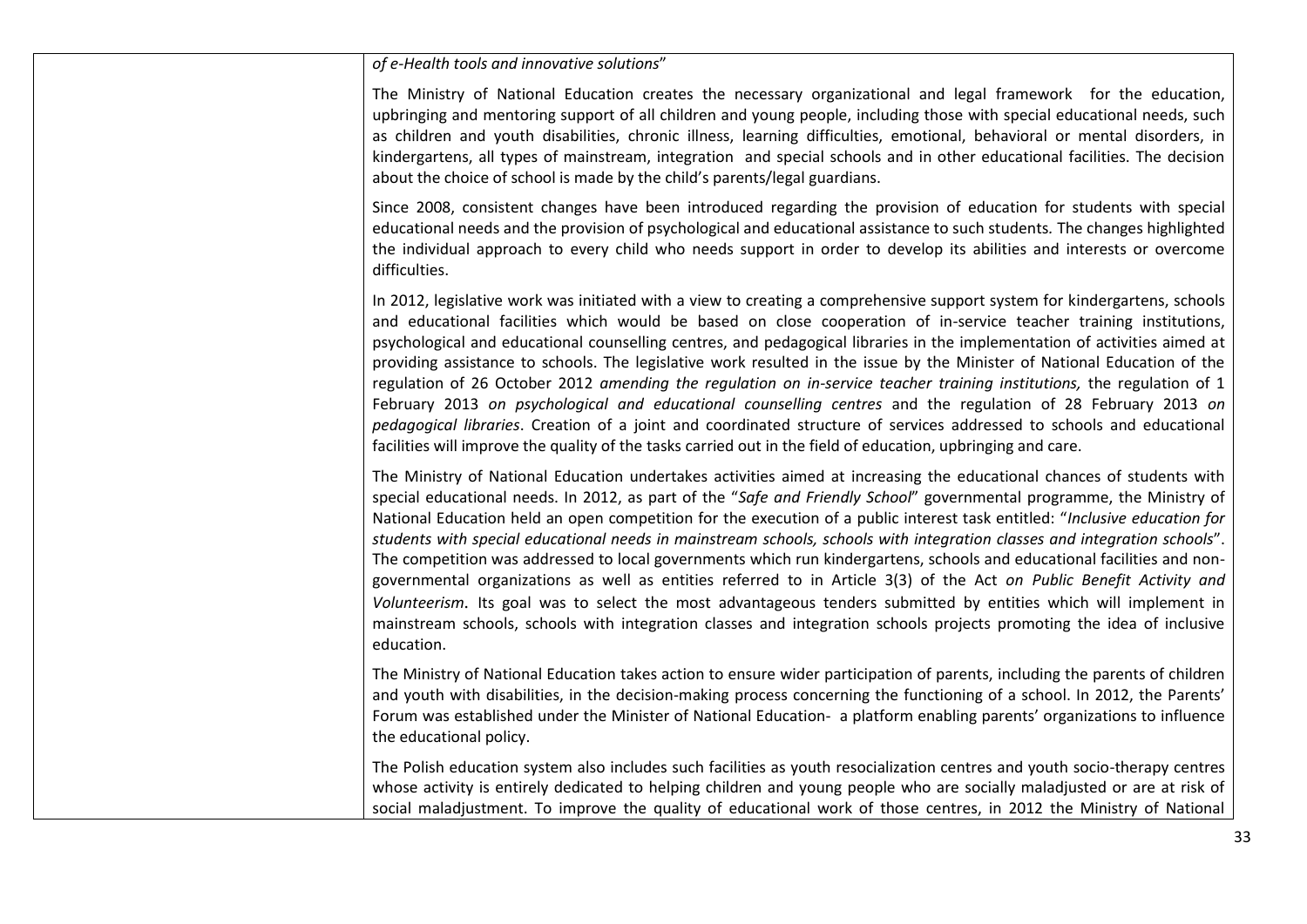| of e-Health tools and innovative solutions"                                                                                                                                                                                                                                                                                                                                                                                                                                                                                                                                                                                                                                                                                                                                                                                                                                                                                                                                                                             |
|-------------------------------------------------------------------------------------------------------------------------------------------------------------------------------------------------------------------------------------------------------------------------------------------------------------------------------------------------------------------------------------------------------------------------------------------------------------------------------------------------------------------------------------------------------------------------------------------------------------------------------------------------------------------------------------------------------------------------------------------------------------------------------------------------------------------------------------------------------------------------------------------------------------------------------------------------------------------------------------------------------------------------|
| The Ministry of National Education creates the necessary organizational and legal framework for the education,<br>upbringing and mentoring support of all children and young people, including those with special educational needs, such<br>as children and youth disabilities, chronic illness, learning difficulties, emotional, behavioral or mental disorders, in<br>kindergartens, all types of mainstream, integration and special schools and in other educational facilities. The decision<br>about the choice of school is made by the child's parents/legal guardians.                                                                                                                                                                                                                                                                                                                                                                                                                                       |
| Since 2008, consistent changes have been introduced regarding the provision of education for students with special<br>educational needs and the provision of psychological and educational assistance to such students. The changes highlighted<br>the individual approach to every child who needs support in order to develop its abilities and interests or overcome<br>difficulties.                                                                                                                                                                                                                                                                                                                                                                                                                                                                                                                                                                                                                                |
| In 2012, legislative work was initiated with a view to creating a comprehensive support system for kindergartens, schools<br>and educational facilities which would be based on close cooperation of in-service teacher training institutions,<br>psychological and educational counselling centres, and pedagogical libraries in the implementation of activities aimed at<br>providing assistance to schools. The legislative work resulted in the issue by the Minister of National Education of the<br>regulation of 26 October 2012 amending the regulation on in-service teacher training institutions, the regulation of 1<br>February 2013 on psychological and educational counselling centres and the regulation of 28 February 2013 on<br>pedagogical libraries. Creation of a joint and coordinated structure of services addressed to schools and educational<br>facilities will improve the quality of the tasks carried out in the field of education, upbringing and care.                              |
| The Ministry of National Education undertakes activities aimed at increasing the educational chances of students with<br>special educational needs. In 2012, as part of the "Safe and Friendly School" governmental programme, the Ministry of<br>National Education held an open competition for the execution of a public interest task entitled: "Inclusive education for<br>students with special educational needs in mainstream schools, schools with integration classes and integration schools".<br>The competition was addressed to local governments which run kindergartens, schools and educational facilities and non-<br>governmental organizations as well as entities referred to in Article 3(3) of the Act on Public Benefit Activity and<br>Volunteerism. Its goal was to select the most advantageous tenders submitted by entities which will implement in<br>mainstream schools, schools with integration classes and integration schools projects promoting the idea of inclusive<br>education. |
| The Ministry of National Education takes action to ensure wider participation of parents, including the parents of children<br>and youth with disabilities, in the decision-making process concerning the functioning of a school. In 2012, the Parents'<br>Forum was established under the Minister of National Education- a platform enabling parents' organizations to influence<br>the educational policy.                                                                                                                                                                                                                                                                                                                                                                                                                                                                                                                                                                                                          |
| The Polish education system also includes such facilities as youth resocialization centres and youth socio-therapy centres<br>whose activity is entirely dedicated to helping children and young people who are socially maladjusted or are at risk of<br>social maladjustment. To improve the quality of educational work of those centres, in 2012 the Ministry of National                                                                                                                                                                                                                                                                                                                                                                                                                                                                                                                                                                                                                                           |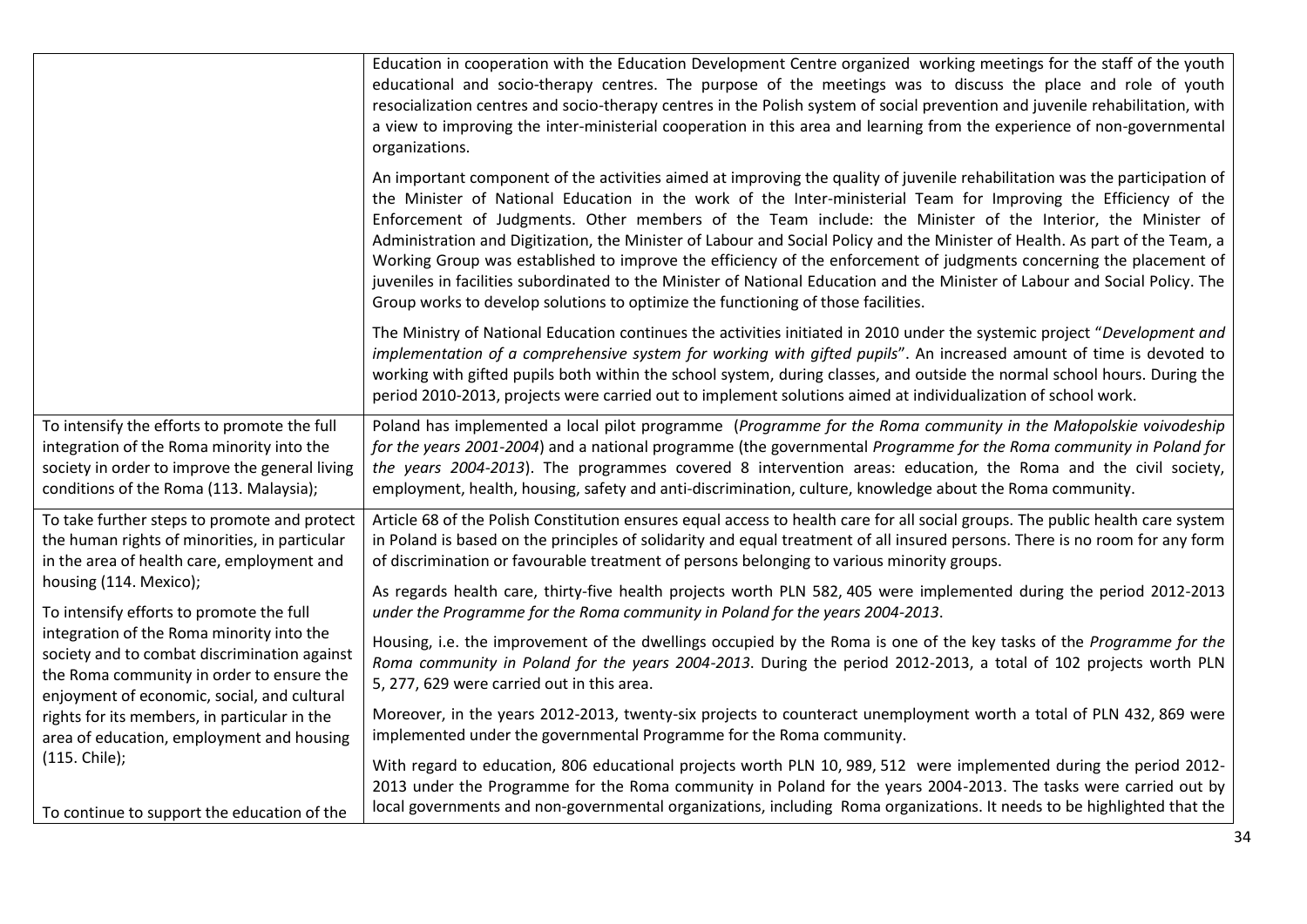|                                                                                                                                                                                                                                                                                                                                                                                                                                                                                                                                                                         | Education in cooperation with the Education Development Centre organized working meetings for the staff of the youth<br>educational and socio-therapy centres. The purpose of the meetings was to discuss the place and role of youth<br>resocialization centres and socio-therapy centres in the Polish system of social prevention and juvenile rehabilitation, with<br>a view to improving the inter-ministerial cooperation in this area and learning from the experience of non-governmental<br>organizations.                                                                                                                                                                                                                                                                                                                       |
|-------------------------------------------------------------------------------------------------------------------------------------------------------------------------------------------------------------------------------------------------------------------------------------------------------------------------------------------------------------------------------------------------------------------------------------------------------------------------------------------------------------------------------------------------------------------------|-------------------------------------------------------------------------------------------------------------------------------------------------------------------------------------------------------------------------------------------------------------------------------------------------------------------------------------------------------------------------------------------------------------------------------------------------------------------------------------------------------------------------------------------------------------------------------------------------------------------------------------------------------------------------------------------------------------------------------------------------------------------------------------------------------------------------------------------|
|                                                                                                                                                                                                                                                                                                                                                                                                                                                                                                                                                                         | An important component of the activities aimed at improving the quality of juvenile rehabilitation was the participation of<br>the Minister of National Education in the work of the Inter-ministerial Team for Improving the Efficiency of the<br>Enforcement of Judgments. Other members of the Team include: the Minister of the Interior, the Minister of<br>Administration and Digitization, the Minister of Labour and Social Policy and the Minister of Health. As part of the Team, a<br>Working Group was established to improve the efficiency of the enforcement of judgments concerning the placement of<br>juveniles in facilities subordinated to the Minister of National Education and the Minister of Labour and Social Policy. The<br>Group works to develop solutions to optimize the functioning of those facilities. |
|                                                                                                                                                                                                                                                                                                                                                                                                                                                                                                                                                                         | The Ministry of National Education continues the activities initiated in 2010 under the systemic project "Development and<br>implementation of a comprehensive system for working with gifted pupils". An increased amount of time is devoted to<br>working with gifted pupils both within the school system, during classes, and outside the normal school hours. During the<br>period 2010-2013, projects were carried out to implement solutions aimed at individualization of school work.                                                                                                                                                                                                                                                                                                                                            |
| To intensify the efforts to promote the full<br>integration of the Roma minority into the<br>society in order to improve the general living<br>conditions of the Roma (113. Malaysia);                                                                                                                                                                                                                                                                                                                                                                                  | Poland has implemented a local pilot programme (Programme for the Roma community in the Małopolskie voivodeship<br>for the years 2001-2004) and a national programme (the governmental Programme for the Roma community in Poland for<br>the years 2004-2013). The programmes covered 8 intervention areas: education, the Roma and the civil society,<br>employment, health, housing, safety and anti-discrimination, culture, knowledge about the Roma community.                                                                                                                                                                                                                                                                                                                                                                       |
| To take further steps to promote and protect<br>the human rights of minorities, in particular<br>in the area of health care, employment and<br>housing (114. Mexico);<br>To intensify efforts to promote the full<br>integration of the Roma minority into the<br>society and to combat discrimination against<br>the Roma community in order to ensure the<br>enjoyment of economic, social, and cultural<br>rights for its members, in particular in the<br>area of education, employment and housing<br>(115. Chile);<br>To continue to support the education of the | Article 68 of the Polish Constitution ensures equal access to health care for all social groups. The public health care system<br>in Poland is based on the principles of solidarity and equal treatment of all insured persons. There is no room for any form<br>of discrimination or favourable treatment of persons belonging to various minority groups.                                                                                                                                                                                                                                                                                                                                                                                                                                                                              |
|                                                                                                                                                                                                                                                                                                                                                                                                                                                                                                                                                                         | As regards health care, thirty-five health projects worth PLN 582, 405 were implemented during the period 2012-2013<br>under the Programme for the Roma community in Poland for the years 2004-2013.                                                                                                                                                                                                                                                                                                                                                                                                                                                                                                                                                                                                                                      |
|                                                                                                                                                                                                                                                                                                                                                                                                                                                                                                                                                                         | Housing, i.e. the improvement of the dwellings occupied by the Roma is one of the key tasks of the Programme for the<br>Roma community in Poland for the years 2004-2013. During the period 2012-2013, a total of 102 projects worth PLN<br>5, 277, 629 were carried out in this area.                                                                                                                                                                                                                                                                                                                                                                                                                                                                                                                                                    |
|                                                                                                                                                                                                                                                                                                                                                                                                                                                                                                                                                                         | Moreover, in the years 2012-2013, twenty-six projects to counteract unemployment worth a total of PLN 432, 869 were<br>implemented under the governmental Programme for the Roma community.                                                                                                                                                                                                                                                                                                                                                                                                                                                                                                                                                                                                                                               |
|                                                                                                                                                                                                                                                                                                                                                                                                                                                                                                                                                                         | With regard to education, 806 educational projects worth PLN 10, 989, 512 were implemented during the period 2012-<br>2013 under the Programme for the Roma community in Poland for the years 2004-2013. The tasks were carried out by<br>local governments and non-governmental organizations, including Roma organizations. It needs to be highlighted that the                                                                                                                                                                                                                                                                                                                                                                                                                                                                         |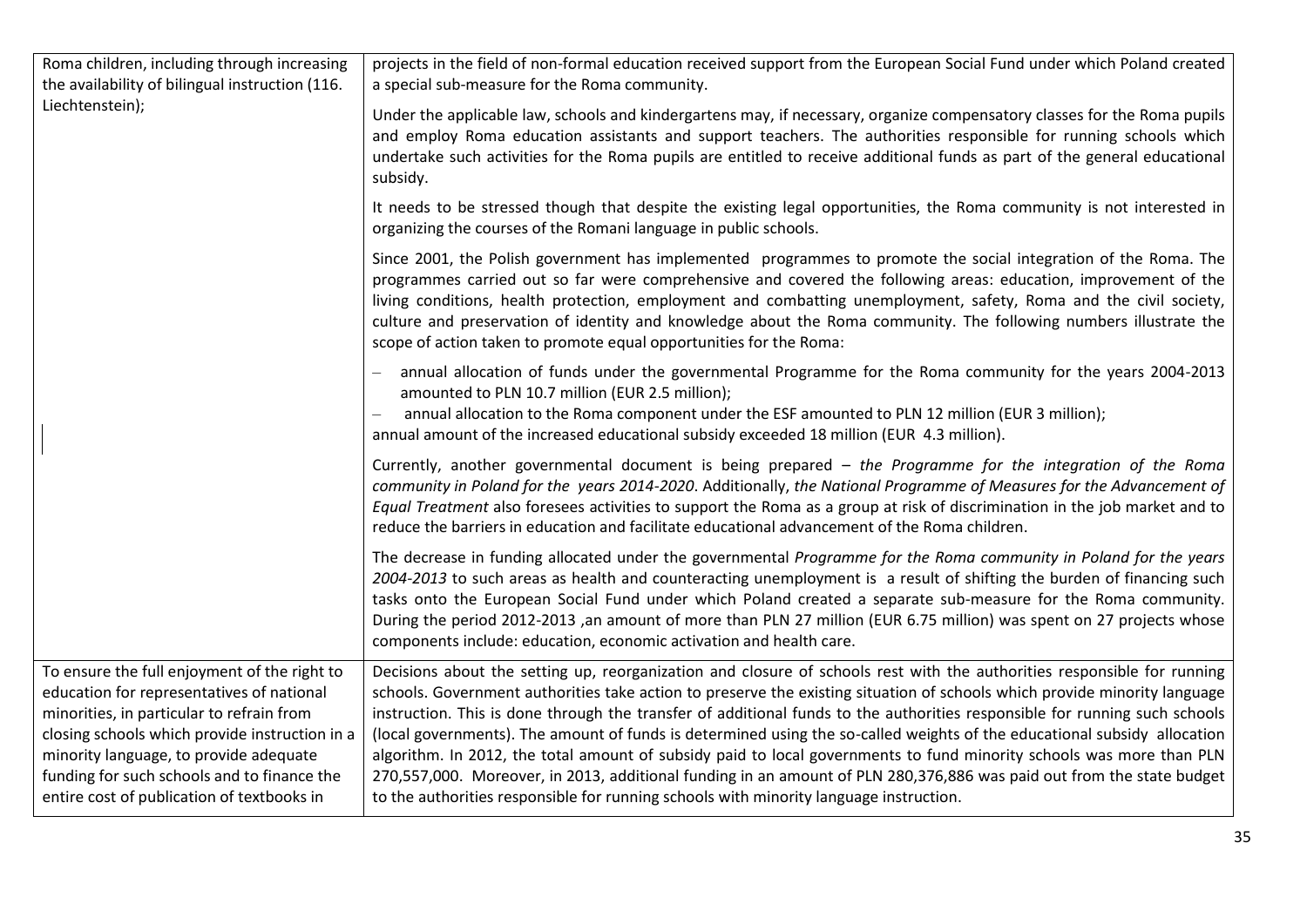| Roma children, including through increasing<br>the availability of bilingual instruction (116.                                                                                                                                                                                                                                  | projects in the field of non-formal education received support from the European Social Fund under which Poland created<br>a special sub-measure for the Roma community.                                                                                                                                                                                                                                                                                                                                                                                                                                                                                                                                                                                                                                                                                  |
|---------------------------------------------------------------------------------------------------------------------------------------------------------------------------------------------------------------------------------------------------------------------------------------------------------------------------------|-----------------------------------------------------------------------------------------------------------------------------------------------------------------------------------------------------------------------------------------------------------------------------------------------------------------------------------------------------------------------------------------------------------------------------------------------------------------------------------------------------------------------------------------------------------------------------------------------------------------------------------------------------------------------------------------------------------------------------------------------------------------------------------------------------------------------------------------------------------|
| Liechtenstein);                                                                                                                                                                                                                                                                                                                 | Under the applicable law, schools and kindergartens may, if necessary, organize compensatory classes for the Roma pupils<br>and employ Roma education assistants and support teachers. The authorities responsible for running schools which<br>undertake such activities for the Roma pupils are entitled to receive additional funds as part of the general educational<br>subsidy.                                                                                                                                                                                                                                                                                                                                                                                                                                                                     |
|                                                                                                                                                                                                                                                                                                                                 | It needs to be stressed though that despite the existing legal opportunities, the Roma community is not interested in<br>organizing the courses of the Romani language in public schools.                                                                                                                                                                                                                                                                                                                                                                                                                                                                                                                                                                                                                                                                 |
|                                                                                                                                                                                                                                                                                                                                 | Since 2001, the Polish government has implemented programmes to promote the social integration of the Roma. The<br>programmes carried out so far were comprehensive and covered the following areas: education, improvement of the<br>living conditions, health protection, employment and combatting unemployment, safety, Roma and the civil society,<br>culture and preservation of identity and knowledge about the Roma community. The following numbers illustrate the<br>scope of action taken to promote equal opportunities for the Roma:                                                                                                                                                                                                                                                                                                        |
|                                                                                                                                                                                                                                                                                                                                 | annual allocation of funds under the governmental Programme for the Roma community for the years 2004-2013<br>amounted to PLN 10.7 million (EUR 2.5 million);<br>annual allocation to the Roma component under the ESF amounted to PLN 12 million (EUR 3 million);<br>annual amount of the increased educational subsidy exceeded 18 million (EUR 4.3 million).                                                                                                                                                                                                                                                                                                                                                                                                                                                                                           |
|                                                                                                                                                                                                                                                                                                                                 | Currently, another governmental document is being prepared - the Programme for the integration of the Roma<br>community in Poland for the years 2014-2020. Additionally, the National Programme of Measures for the Advancement of<br>Equal Treatment also foresees activities to support the Roma as a group at risk of discrimination in the job market and to<br>reduce the barriers in education and facilitate educational advancement of the Roma children.                                                                                                                                                                                                                                                                                                                                                                                         |
|                                                                                                                                                                                                                                                                                                                                 | The decrease in funding allocated under the governmental Programme for the Roma community in Poland for the years<br>2004-2013 to such areas as health and counteracting unemployment is a result of shifting the burden of financing such<br>tasks onto the European Social Fund under which Poland created a separate sub-measure for the Roma community.<br>During the period 2012-2013 ,an amount of more than PLN 27 million (EUR 6.75 million) was spent on 27 projects whose<br>components include: education, economic activation and health care.                                                                                                                                                                                                                                                                                                |
| To ensure the full enjoyment of the right to<br>education for representatives of national<br>minorities, in particular to refrain from<br>closing schools which provide instruction in a<br>minority language, to provide adequate<br>funding for such schools and to finance the<br>entire cost of publication of textbooks in | Decisions about the setting up, reorganization and closure of schools rest with the authorities responsible for running<br>schools. Government authorities take action to preserve the existing situation of schools which provide minority language<br>instruction. This is done through the transfer of additional funds to the authorities responsible for running such schools<br>(local governments). The amount of funds is determined using the so-called weights of the educational subsidy allocation<br>algorithm. In 2012, the total amount of subsidy paid to local governments to fund minority schools was more than PLN<br>270,557,000. Moreover, in 2013, additional funding in an amount of PLN 280,376,886 was paid out from the state budget<br>to the authorities responsible for running schools with minority language instruction. |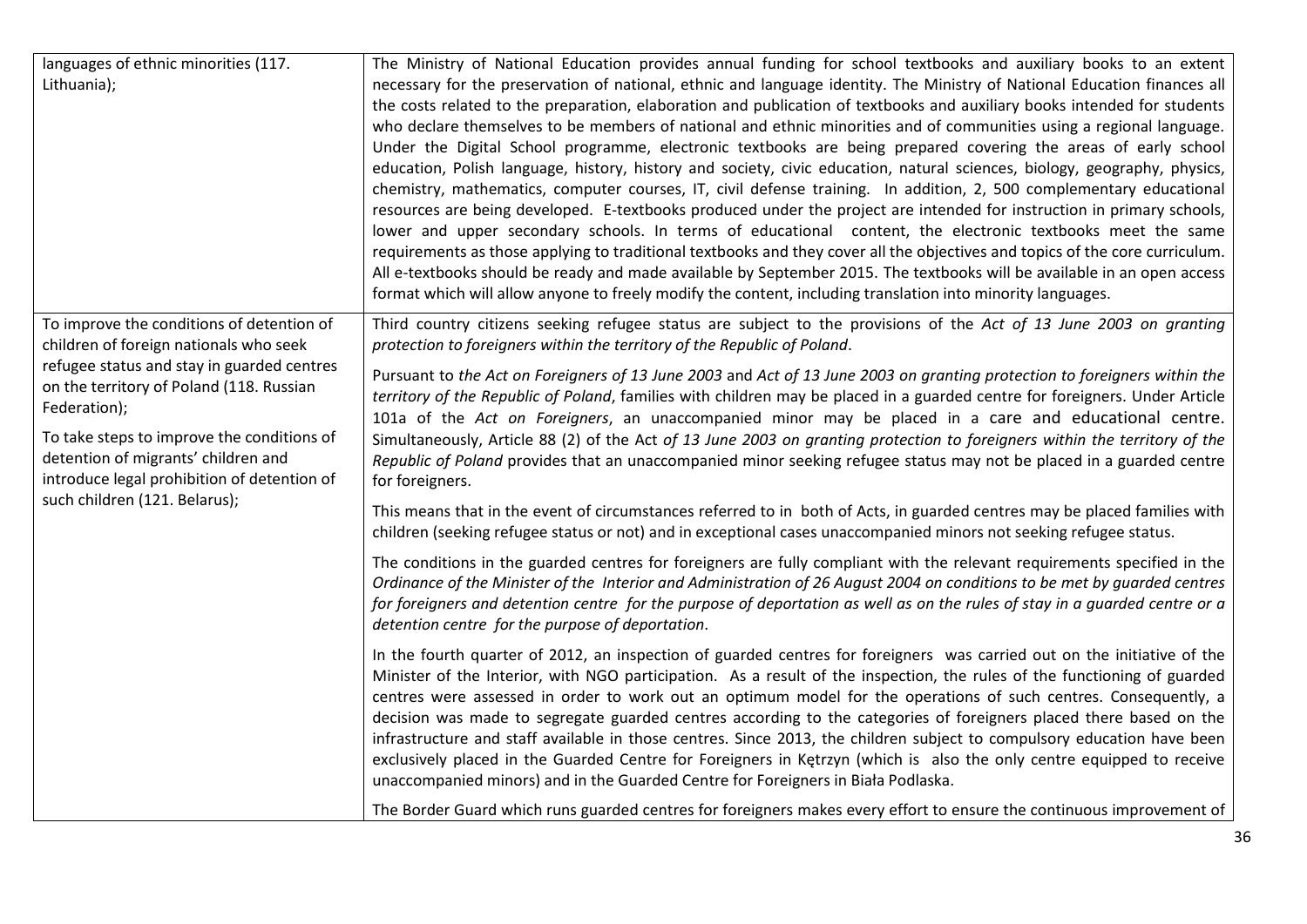| languages of ethnic minorities (117.<br>Lithuania);                                                                                                                                                                                                                                                                                                                | The Ministry of National Education provides annual funding for school textbooks and auxiliary books to an extent<br>necessary for the preservation of national, ethnic and language identity. The Ministry of National Education finances all<br>the costs related to the preparation, elaboration and publication of textbooks and auxiliary books intended for students<br>who declare themselves to be members of national and ethnic minorities and of communities using a regional language.<br>Under the Digital School programme, electronic textbooks are being prepared covering the areas of early school<br>education, Polish language, history, history and society, civic education, natural sciences, biology, geography, physics,<br>chemistry, mathematics, computer courses, IT, civil defense training. In addition, 2, 500 complementary educational<br>resources are being developed. E-textbooks produced under the project are intended for instruction in primary schools,<br>lower and upper secondary schools. In terms of educational content, the electronic textbooks meet the same<br>requirements as those applying to traditional textbooks and they cover all the objectives and topics of the core curriculum.<br>All e-textbooks should be ready and made available by September 2015. The textbooks will be available in an open access<br>format which will allow anyone to freely modify the content, including translation into minority languages.                                                                                                                                                                                                                                                                                                                                                                                                                                                                                                                                                                                                                                                                                                                                                                                                                                                                                                                                                                                                                     |
|--------------------------------------------------------------------------------------------------------------------------------------------------------------------------------------------------------------------------------------------------------------------------------------------------------------------------------------------------------------------|---------------------------------------------------------------------------------------------------------------------------------------------------------------------------------------------------------------------------------------------------------------------------------------------------------------------------------------------------------------------------------------------------------------------------------------------------------------------------------------------------------------------------------------------------------------------------------------------------------------------------------------------------------------------------------------------------------------------------------------------------------------------------------------------------------------------------------------------------------------------------------------------------------------------------------------------------------------------------------------------------------------------------------------------------------------------------------------------------------------------------------------------------------------------------------------------------------------------------------------------------------------------------------------------------------------------------------------------------------------------------------------------------------------------------------------------------------------------------------------------------------------------------------------------------------------------------------------------------------------------------------------------------------------------------------------------------------------------------------------------------------------------------------------------------------------------------------------------------------------------------------------------------------------------------------------------------------------------------------------------------------------------------------------------------------------------------------------------------------------------------------------------------------------------------------------------------------------------------------------------------------------------------------------------------------------------------------------------------------------------------------------------------------------------------------------------------------------------------------------------------------------|
| To improve the conditions of detention of<br>children of foreign nationals who seek<br>refugee status and stay in guarded centres<br>on the territory of Poland (118. Russian<br>Federation);<br>To take steps to improve the conditions of<br>detention of migrants' children and<br>introduce legal prohibition of detention of<br>such children (121. Belarus); | Third country citizens seeking refugee status are subject to the provisions of the Act of 13 June 2003 on granting<br>protection to foreigners within the territory of the Republic of Poland.<br>Pursuant to the Act on Foreigners of 13 June 2003 and Act of 13 June 2003 on granting protection to foreigners within the<br>territory of the Republic of Poland, families with children may be placed in a guarded centre for foreigners. Under Article<br>101a of the Act on Foreigners, an unaccompanied minor may be placed in a care and educational centre.<br>Simultaneously, Article 88 (2) of the Act of 13 June 2003 on granting protection to foreigners within the territory of the<br>Republic of Poland provides that an unaccompanied minor seeking refugee status may not be placed in a guarded centre<br>for foreigners.<br>This means that in the event of circumstances referred to in both of Acts, in guarded centres may be placed families with<br>children (seeking refugee status or not) and in exceptional cases unaccompanied minors not seeking refugee status.<br>The conditions in the guarded centres for foreigners are fully compliant with the relevant requirements specified in the<br>Ordinance of the Minister of the Interior and Administration of 26 August 2004 on conditions to be met by guarded centres<br>for foreigners and detention centre for the purpose of deportation as well as on the rules of stay in a guarded centre or a<br>detention centre for the purpose of deportation.<br>In the fourth quarter of 2012, an inspection of guarded centres for foreigners was carried out on the initiative of the<br>Minister of the Interior, with NGO participation. As a result of the inspection, the rules of the functioning of guarded<br>centres were assessed in order to work out an optimum model for the operations of such centres. Consequently, a<br>decision was made to segregate guarded centres according to the categories of foreigners placed there based on the<br>infrastructure and staff available in those centres. Since 2013, the children subject to compulsory education have been<br>exclusively placed in the Guarded Centre for Foreigners in Ketrzyn (which is also the only centre equipped to receive<br>unaccompanied minors) and in the Guarded Centre for Foreigners in Biała Podlaska.<br>The Border Guard which runs guarded centres for foreigners makes every effort to ensure the continuous improvement of |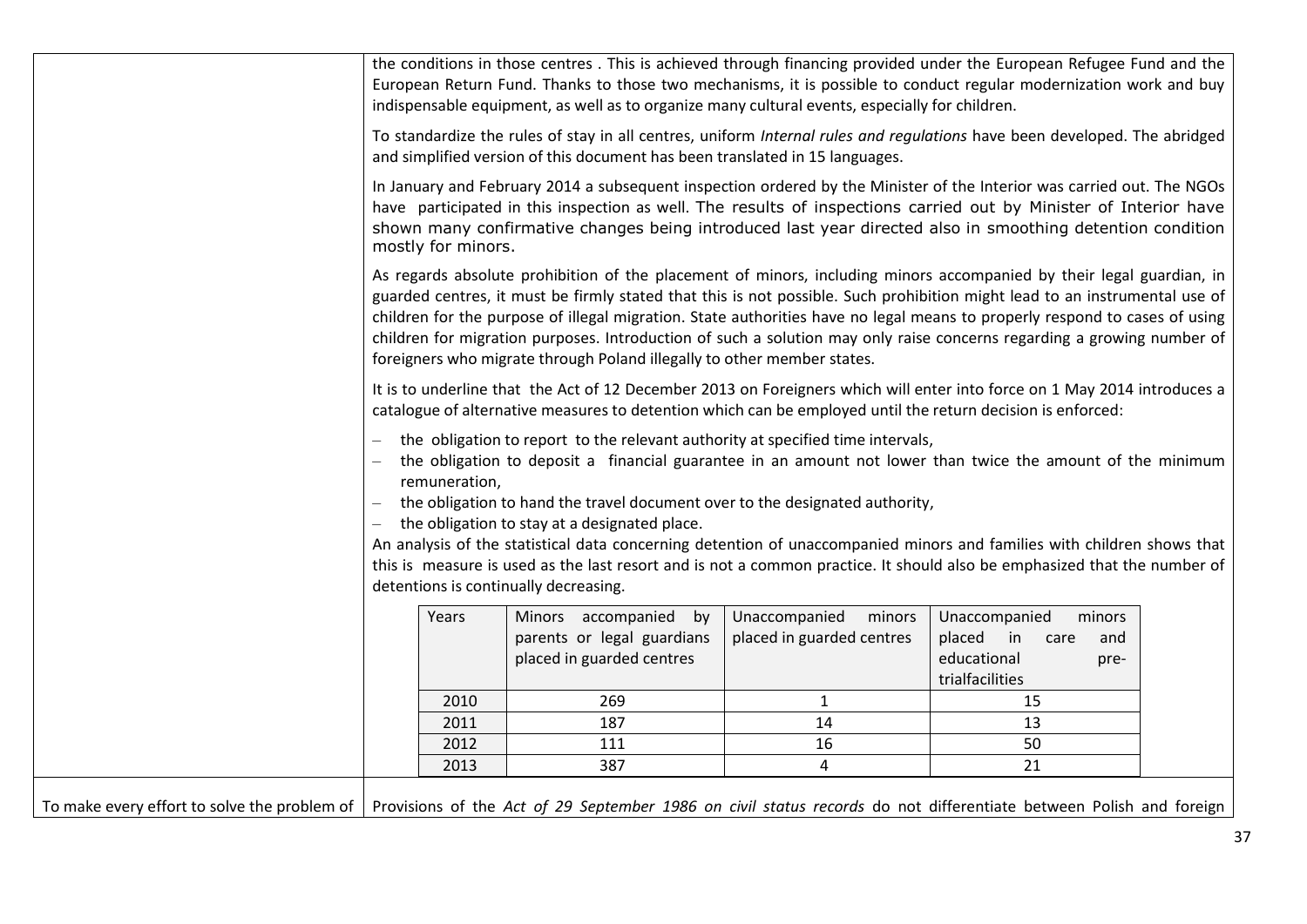|                                                                                                                                                                   |                    | indispensable equipment, as well as to organize many cultural events, especially for children.                                                                                                                                                            |                                                      | the conditions in those centres. This is achieved through financing provided under the European Refugee Fund and the<br>European Return Fund. Thanks to those two mechanisms, it is possible to conduct regular modernization work and buy                                                                                                                                                                                                                                                                 |  |
|-------------------------------------------------------------------------------------------------------------------------------------------------------------------|--------------------|-----------------------------------------------------------------------------------------------------------------------------------------------------------------------------------------------------------------------------------------------------------|------------------------------------------------------|------------------------------------------------------------------------------------------------------------------------------------------------------------------------------------------------------------------------------------------------------------------------------------------------------------------------------------------------------------------------------------------------------------------------------------------------------------------------------------------------------------|--|
|                                                                                                                                                                   |                    | and simplified version of this document has been translated in 15 languages.                                                                                                                                                                              |                                                      | To standardize the rules of stay in all centres, uniform Internal rules and regulations have been developed. The abridged                                                                                                                                                                                                                                                                                                                                                                                  |  |
|                                                                                                                                                                   | mostly for minors. |                                                                                                                                                                                                                                                           |                                                      | In January and February 2014 a subsequent inspection ordered by the Minister of the Interior was carried out. The NGOs<br>have participated in this inspection as well. The results of inspections carried out by Minister of Interior have<br>shown many confirmative changes being introduced last year directed also in smoothing detention condition                                                                                                                                                   |  |
|                                                                                                                                                                   |                    | foreigners who migrate through Poland illegally to other member states.                                                                                                                                                                                   |                                                      | As regards absolute prohibition of the placement of minors, including minors accompanied by their legal guardian, in<br>guarded centres, it must be firmly stated that this is not possible. Such prohibition might lead to an instrumental use of<br>children for the purpose of illegal migration. State authorities have no legal means to properly respond to cases of using<br>children for migration purposes. Introduction of such a solution may only raise concerns regarding a growing number of |  |
|                                                                                                                                                                   |                    | catalogue of alternative measures to detention which can be employed until the return decision is enforced:                                                                                                                                               |                                                      | It is to underline that the Act of 12 December 2013 on Foreigners which will enter into force on 1 May 2014 introduces a                                                                                                                                                                                                                                                                                                                                                                                   |  |
|                                                                                                                                                                   | remuneration,      | the obligation to report to the relevant authority at specified time intervals,<br>the obligation to hand the travel document over to the designated authority,<br>the obligation to stay at a designated place.<br>detentions is continually decreasing. |                                                      | the obligation to deposit a financial guarantee in an amount not lower than twice the amount of the minimum<br>An analysis of the statistical data concerning detention of unaccompanied minors and families with children shows that<br>this is measure is used as the last resort and is not a common practice. It should also be emphasized that the number of                                                                                                                                          |  |
|                                                                                                                                                                   | Years              | Minors accompanied<br>by<br>parents or legal guardians<br>placed in guarded centres                                                                                                                                                                       | Unaccompanied<br>minors<br>placed in guarded centres | Unaccompanied<br>minors<br>placed<br>$\overline{\mathsf{in}}$<br>care<br>and<br>educational<br>pre-<br>trialfacilities                                                                                                                                                                                                                                                                                                                                                                                     |  |
|                                                                                                                                                                   | 2010               | 269                                                                                                                                                                                                                                                       | $\mathbf{1}$                                         | 15                                                                                                                                                                                                                                                                                                                                                                                                                                                                                                         |  |
|                                                                                                                                                                   | 2011               | 187                                                                                                                                                                                                                                                       | 14                                                   | 13                                                                                                                                                                                                                                                                                                                                                                                                                                                                                                         |  |
|                                                                                                                                                                   | 2012               | 111                                                                                                                                                                                                                                                       | 16                                                   | 50                                                                                                                                                                                                                                                                                                                                                                                                                                                                                                         |  |
|                                                                                                                                                                   | 2013               | 387                                                                                                                                                                                                                                                       | $\overline{4}$                                       | 21                                                                                                                                                                                                                                                                                                                                                                                                                                                                                                         |  |
| To make every effort to solve the problem of   Provisions of the Act of 29 September 1986 on civil status records do not differentiate between Polish and foreign |                    |                                                                                                                                                                                                                                                           |                                                      |                                                                                                                                                                                                                                                                                                                                                                                                                                                                                                            |  |